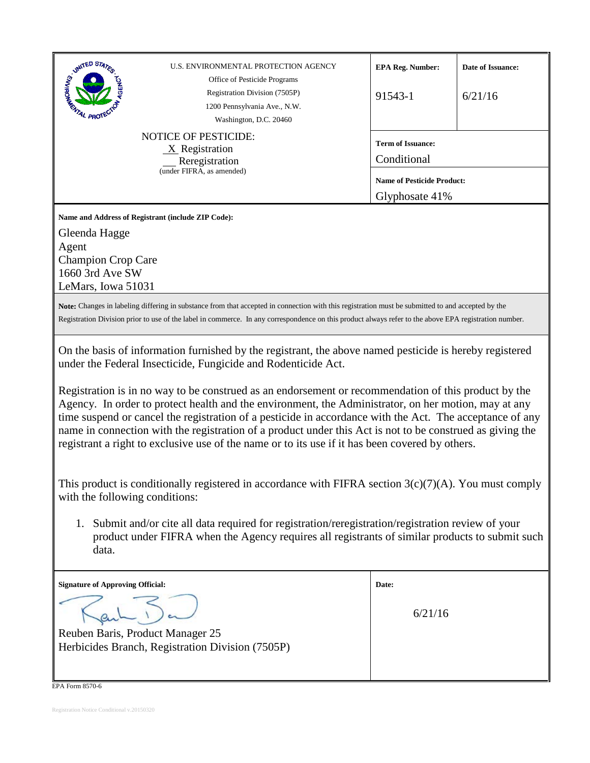| UNITED STATES<br>U.S. ENVIRONMENTAL PROTECTION AGENCY<br>Office of Pesticide Programs<br>Registration Division (7505P)<br>1200 Pennsylvania Ave., N.W.<br>Washington, D.C. 20460                                                                                                                                                                                                                                                                                                                                                                                                                                                                                                                                                                                                                                                                                                                                                                                                                                                                                                         | <b>EPA Reg. Number:</b><br>91543-1                  | Date of Issuance:<br>6/21/16 |  |  |
|------------------------------------------------------------------------------------------------------------------------------------------------------------------------------------------------------------------------------------------------------------------------------------------------------------------------------------------------------------------------------------------------------------------------------------------------------------------------------------------------------------------------------------------------------------------------------------------------------------------------------------------------------------------------------------------------------------------------------------------------------------------------------------------------------------------------------------------------------------------------------------------------------------------------------------------------------------------------------------------------------------------------------------------------------------------------------------------|-----------------------------------------------------|------------------------------|--|--|
| <b>NOTICE OF PESTICIDE:</b><br>$X$ Registration<br>Reregistration<br>(under FIFRA, as amended)                                                                                                                                                                                                                                                                                                                                                                                                                                                                                                                                                                                                                                                                                                                                                                                                                                                                                                                                                                                           | <b>Term of Issuance:</b><br>Conditional             |                              |  |  |
|                                                                                                                                                                                                                                                                                                                                                                                                                                                                                                                                                                                                                                                                                                                                                                                                                                                                                                                                                                                                                                                                                          | <b>Name of Pesticide Product:</b><br>Glyphosate 41% |                              |  |  |
| Name and Address of Registrant (include ZIP Code):<br>Gleenda Hagge<br>Agent<br><b>Champion Crop Care</b><br>1660 3rd Ave SW<br>LeMars, Iowa 51031                                                                                                                                                                                                                                                                                                                                                                                                                                                                                                                                                                                                                                                                                                                                                                                                                                                                                                                                       |                                                     |                              |  |  |
| Note: Changes in labeling differing in substance from that accepted in connection with this registration must be submitted to and accepted by the<br>Registration Division prior to use of the label in commerce. In any correspondence on this product always refer to the above EPA registration number.                                                                                                                                                                                                                                                                                                                                                                                                                                                                                                                                                                                                                                                                                                                                                                               |                                                     |                              |  |  |
| On the basis of information furnished by the registrant, the above named pesticide is hereby registered<br>under the Federal Insecticide, Fungicide and Rodenticide Act.<br>Registration is in no way to be construed as an endorsement or recommendation of this product by the<br>Agency. In order to protect health and the environment, the Administrator, on her motion, may at any<br>time suspend or cancel the registration of a pesticide in accordance with the Act. The acceptance of any<br>name in connection with the registration of a product under this Act is not to be construed as giving the<br>registrant a right to exclusive use of the name or to its use if it has been covered by others.<br>This product is conditionally registered in accordance with FIFRA section $3(c)(7)(A)$ . You must comply<br>with the following conditions:<br>Submit and/or cite all data required for registration/reregistration/registration review of your<br>1.<br>product under FIFRA when the Agency requires all registrants of similar products to submit such<br>data. |                                                     |                              |  |  |
| <b>Signature of Approving Official:</b><br>Reuben Baris, Product Manager 25                                                                                                                                                                                                                                                                                                                                                                                                                                                                                                                                                                                                                                                                                                                                                                                                                                                                                                                                                                                                              | Date:<br>6/21/16                                    |                              |  |  |
| Herbicides Branch, Registration Division (7505P)                                                                                                                                                                                                                                                                                                                                                                                                                                                                                                                                                                                                                                                                                                                                                                                                                                                                                                                                                                                                                                         |                                                     |                              |  |  |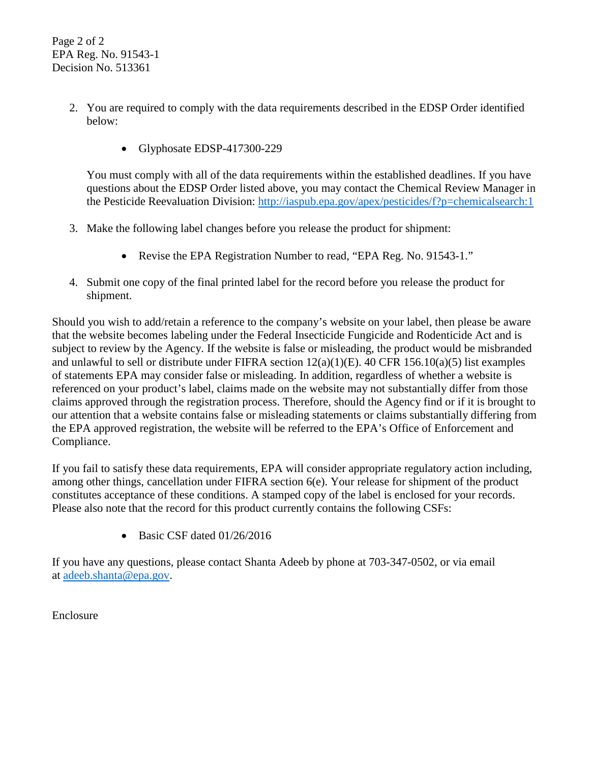Page 2 of 2 EPA Reg. No. 91543-1 Decision No. 513361

- 2. You are required to comply with the data requirements described in the EDSP Order identified below:
	- Glyphosate EDSP-417300-229

You must comply with all of the data requirements within the established deadlines. If you have questions about the EDSP Order listed above, you may contact the Chemical Review Manager in the Pesticide Reevaluation Division:<http://iaspub.epa.gov/apex/pesticides/f?p=chemicalsearch:1>

- 3. Make the following label changes before you release the product for shipment:
	- Revise the EPA Registration Number to read, "EPA Reg. No. 91543-1."
- 4. Submit one copy of the final printed label for the record before you release the product for shipment.

Should you wish to add/retain a reference to the company's website on your label, then please be aware that the website becomes labeling under the Federal Insecticide Fungicide and Rodenticide Act and is subject to review by the Agency. If the website is false or misleading, the product would be misbranded and unlawful to sell or distribute under FIFRA section  $12(a)(1)(E)$ . 40 CFR  $156.10(a)(5)$  list examples of statements EPA may consider false or misleading. In addition, regardless of whether a website is referenced on your product's label, claims made on the website may not substantially differ from those claims approved through the registration process. Therefore, should the Agency find or if it is brought to our attention that a website contains false or misleading statements or claims substantially differing from the EPA approved registration, the website will be referred to the EPA's Office of Enforcement and Compliance.

If you fail to satisfy these data requirements, EPA will consider appropriate regulatory action including, among other things, cancellation under FIFRA section 6(e). Your release for shipment of the product constitutes acceptance of these conditions. A stamped copy of the label is enclosed for your records. Please also note that the record for this product currently contains the following CSFs:

• Basic CSF dated 01/26/2016

If you have any questions, please contact Shanta Adeeb by phone at 703-347-0502, or via email at [adeeb.shanta@epa.gov.](mailto:adeeb.shanta@epa.gov)

Enclosure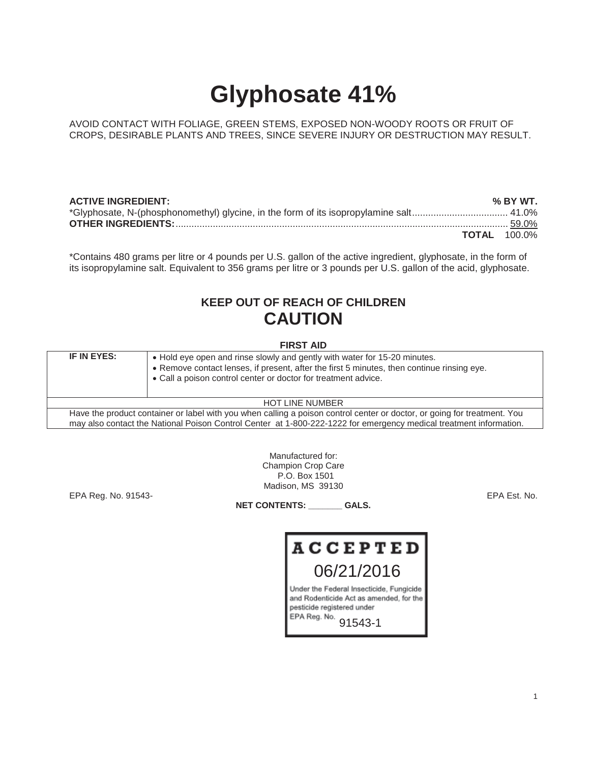# **Glyphosate 41%**

AVOID CONTACT WITH FOLIAGE, GREEN STEMS, EXPOSED NON-WOODY ROOTS OR FRUIT OF CROPS, DESIRABLE PLANTS AND TREES, SINCE SEVERE INJURY OR DESTRUCTION MAY RESULT.

| <b>ACTIVE INGREDIENT:</b> | % BY WT.            |
|---------------------------|---------------------|
|                           |                     |
|                           |                     |
|                           | <b>TOTAL</b> 100.0% |

\*Contains 480 grams per litre or 4 pounds per U.S. gallon of the active ingredient, glyphosate, in the form of its isopropylamine salt. Equivalent to 356 grams per litre or 3 pounds per U.S. gallon of the acid, glyphosate.

## **KEEP OUT OF REACH OF CHILDREN CAUTION**

**FIRST AID** 

| IF IN EYES:<br>• Hold eye open and rinse slowly and gently with water for 15-20 minutes.<br>• Remove contact lenses, if present, after the first 5 minutes, then continue rinsing eye.<br>• Call a poison control center or doctor for treatment advice. |                                                                                                                          |  |  |  |
|----------------------------------------------------------------------------------------------------------------------------------------------------------------------------------------------------------------------------------------------------------|--------------------------------------------------------------------------------------------------------------------------|--|--|--|
| <b>HOT LINE NUMBER</b>                                                                                                                                                                                                                                   |                                                                                                                          |  |  |  |
|                                                                                                                                                                                                                                                          | Have the product container or label with you when calling a poison control center or doctor, or going for treatment. You |  |  |  |

Have the product container or label with you when calling a poison control center or doctor, or going for treatment. You may also contact the National Poison Control Center at 1-800-222-1222 for emergency medical treatment information.

> Manufactured for: Champion Crop Care P.O. Box 1501 Madison, MS 39130

EPA Reg. No. 91543- EPA Est. No.

**NET CONTENTS: \_\_\_\_\_\_\_ GALS.** 

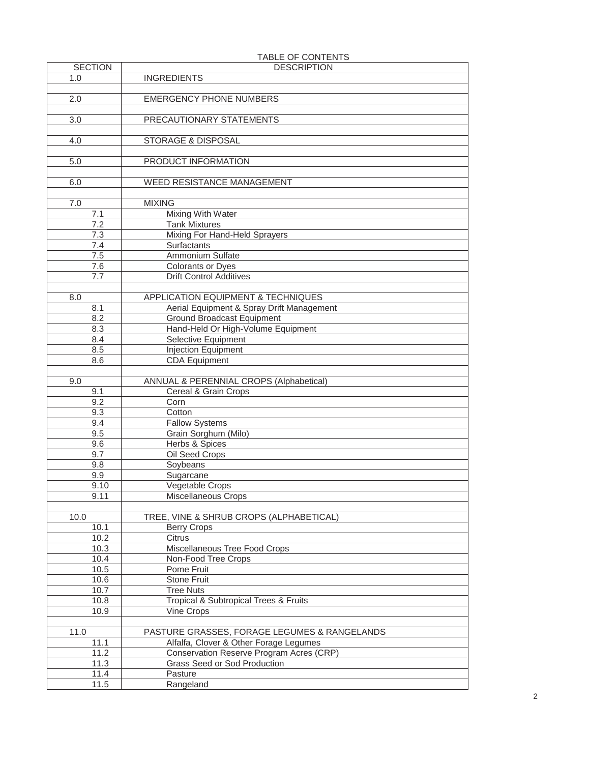| <b>SECTION</b>   | <b>INDLL VI VUITLITIV</b><br><b>DESCRIPTION</b> |
|------------------|-------------------------------------------------|
|                  |                                                 |
| 1.0              | <b>INGREDIENTS</b>                              |
|                  |                                                 |
| 2.0              | <b>EMERGENCY PHONE NUMBERS</b>                  |
|                  |                                                 |
| $\overline{3.0}$ | PRECAUTIONARY STATEMENTS                        |
|                  |                                                 |
| 4.0              | STORAGE & DISPOSAL                              |
|                  |                                                 |
|                  |                                                 |
| 5.0              | PRODUCT INFORMATION                             |
|                  |                                                 |
| 6.0              | WEED RESISTANCE MANAGEMENT                      |
|                  |                                                 |
| 7.0              | <b>MIXING</b>                                   |
| 7.1              | <b>Mixing With Water</b>                        |
| 7.2              | <b>Tank Mixtures</b>                            |
| 7.3              | Mixing For Hand-Held Sprayers                   |
| 7.4              | <b>Surfactants</b>                              |
| 7.5              | Ammonium Sulfate                                |
|                  |                                                 |
| 7.6              | Colorants or Dyes                               |
| 7.7              | <b>Drift Control Additives</b>                  |
|                  |                                                 |
| 8.0              | APPLICATION EQUIPMENT & TECHNIQUES              |
| 8.1              | Aerial Equipment & Spray Drift Management       |
| 8.2              | <b>Ground Broadcast Equipment</b>               |
| 8.3              | Hand-Held Or High-Volume Equipment              |
| 8.4              | Selective Equipment                             |
|                  |                                                 |
| 8.5              | Injection Equipment                             |
| 8.6              | <b>CDA Equipment</b>                            |
|                  |                                                 |
|                  |                                                 |
| 9.0              | ANNUAL & PERENNIAL CROPS (Alphabetical)         |
| 9.1              | Cereal & Grain Crops                            |
| 9.2              | Corn                                            |
|                  | Cotton                                          |
| 9.3              |                                                 |
| 9.4              | <b>Fallow Systems</b>                           |
| 9.5              | Grain Sorghum (Milo)                            |
| $9.\overline{6}$ | <b>Herbs &amp; Spices</b>                       |
| 9.7              | Oil Seed Crops                                  |
| 9.8              | Soybeans                                        |
| 9.9              | Sugarcane                                       |
| 9.10             | Vegetable Crops                                 |
| 9.11             | Miscellaneous Crops                             |
|                  |                                                 |
|                  |                                                 |
| 10.0             | TREE, VINE & SHRUB CROPS (ALPHABETICAL)         |
| 10.1             | <b>Berry Crops</b>                              |
| 10.2             | Citrus                                          |
| 10.3             | Miscellaneous Tree Food Crops                   |
| 10.4             | Non-Food Tree Crops                             |
| 10.5             | Pome Fruit                                      |
| 10.6             | <b>Stone Fruit</b>                              |
| 10.7             | <b>Tree Nuts</b>                                |
| 10.8             | Tropical & Subtropical Trees & Fruits           |
| 10.9             | Vine Crops                                      |
|                  |                                                 |
|                  |                                                 |
| 11.0             | PASTURE GRASSES, FORAGE LEGUMES & RANGELANDS    |
| 11.1             | Alfalfa, Clover & Other Forage Legumes          |
| 11.2             | Conservation Reserve Program Acres (CRP)        |
| 11.3             | Grass Seed or Sod Production                    |
| 11.4<br>11.5     | Pasture<br>Rangeland                            |

## TABLE OF CONTENTS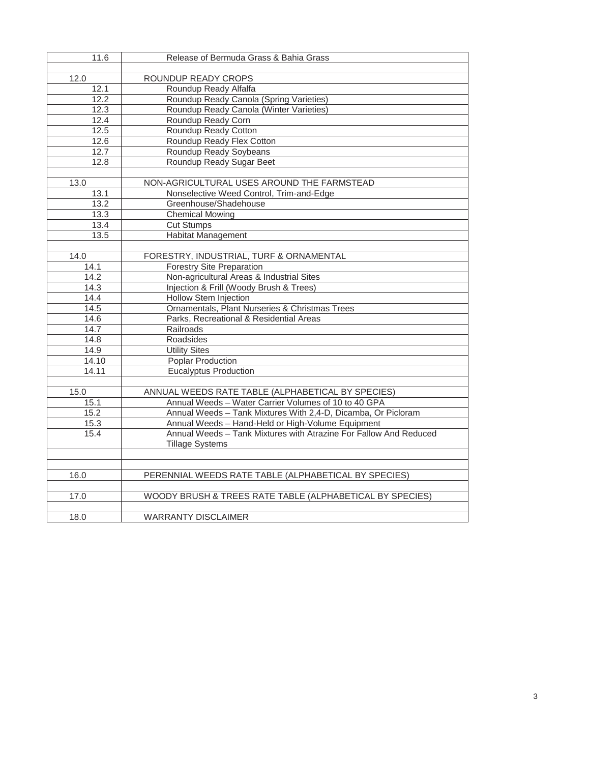| 11.6              | Release of Bermuda Grass & Bahia Grass                            |
|-------------------|-------------------------------------------------------------------|
|                   |                                                                   |
| 12.0              | ROUNDUP READY CROPS                                               |
| 12.1              | Roundup Ready Alfalfa                                             |
| 12.2              | Roundup Ready Canola (Spring Varieties)                           |
| $\overline{1}2.3$ | Roundup Ready Canola (Winter Varieties)                           |
| 12.4              | Roundup Ready Corn                                                |
| 12.5              | Roundup Ready Cotton                                              |
| 12.6              | Roundup Ready Flex Cotton                                         |
| 12.7              | Roundup Ready Soybeans                                            |
| 12.8              | Roundup Ready Sugar Beet                                          |
|                   |                                                                   |
| 13.0              | NON-AGRICULTURAL USES AROUND THE FARMSTEAD                        |
| 13.1              | Nonselective Weed Control, Trim-and-Edge                          |
| 13.2              | Greenhouse/Shadehouse                                             |
| 13.3              | <b>Chemical Mowing</b>                                            |
| 13.4              | <b>Cut Stumps</b>                                                 |
| 13.5              | <b>Habitat Management</b>                                         |
|                   |                                                                   |
| 14.0              | FORESTRY, INDUSTRIAL, TURF & ORNAMENTAL                           |
| 14.1              | <b>Forestry Site Preparation</b>                                  |
| 14.2              | Non-agricultural Areas & Industrial Sites                         |
| 14.3              | Injection & Frill (Woody Brush & Trees)                           |
| 14.4              | <b>Hollow Stem Injection</b>                                      |
| 14.5              | Ornamentals, Plant Nurseries & Christmas Trees                    |
| 14.6              | Parks, Recreational & Residential Areas                           |
| 14.7              | Railroads                                                         |
| 14.8              | Roadsides                                                         |
| 14.9              | <b>Utility Sites</b>                                              |
| 14.10             | <b>Poplar Production</b>                                          |
| 14.11             | <b>Eucalyptus Production</b>                                      |
|                   |                                                                   |
| 15.0              | ANNUAL WEEDS RATE TABLE (ALPHABETICAL BY SPECIES)                 |
| 15.1              | Annual Weeds - Water Carrier Volumes of 10 to 40 GPA              |
| 15.2              | Annual Weeds - Tank Mixtures With 2,4-D, Dicamba, Or Picloram     |
| 15.3              | Annual Weeds - Hand-Held or High-Volume Equipment                 |
| 15.4              | Annual Weeds - Tank Mixtures with Atrazine For Fallow And Reduced |
|                   | <b>Tillage Systems</b>                                            |
|                   |                                                                   |
|                   |                                                                   |
| 16.0              | PERENNIAL WEEDS RATE TABLE (ALPHABETICAL BY SPECIES)              |
|                   |                                                                   |
| 17.0              | WOODY BRUSH & TREES RATE TABLE (ALPHABETICAL BY SPECIES)          |
|                   |                                                                   |
| 18.0              | <b>WARRANTY DISCLAIMER</b>                                        |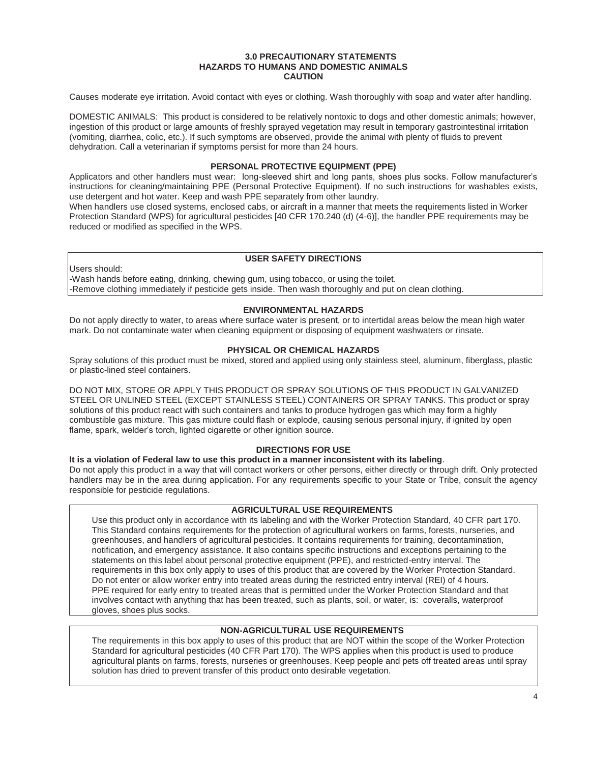#### **3.0 PRECAUTIONARY STATEMENTS HAZARDS TO HUMANS AND DOMESTIC ANIMALS CAUTION**

Causes moderate eye irritation. Avoid contact with eyes or clothing. Wash thoroughly with soap and water after handling.

DOMESTIC ANIMALS: This product is considered to be relatively nontoxic to dogs and other domestic animals; however, ingestion of this product or large amounts of freshly sprayed vegetation may result in temporary gastrointestinal irritation (vomiting, diarrhea, colic, etc.). If such symptoms are observed, provide the animal with plenty of fluids to prevent dehydration. Call a veterinarian if symptoms persist for more than 24 hours.

## **PERSONAL PROTECTIVE EQUIPMENT (PPE)**

Applicators and other handlers must wear: long-sleeved shirt and long pants, shoes plus socks. Follow manufacturer's instructions for cleaning/maintaining PPE (Personal Protective Equipment). If no such instructions for washables exists, use detergent and hot water. Keep and wash PPE separately from other laundry.

When handlers use closed systems, enclosed cabs, or aircraft in a manner that meets the requirements listed in Worker Protection Standard (WPS) for agricultural pesticides [40 CFR 170.240 (d) (4-6)], the handler PPE requirements may be reduced or modified as specified in the WPS.

## **USER SAFETY DIRECTIONS**

Users should: -Wash hands before eating, drinking, chewing gum, using tobacco, or using the toilet. -Remove clothing immediately if pesticide gets inside. Then wash thoroughly and put on clean clothing.

## **ENVIRONMENTAL HAZARDS**

Do not apply directly to water, to areas where surface water is present, or to intertidal areas below the mean high water mark. Do not contaminate water when cleaning equipment or disposing of equipment washwaters or rinsate.

## **PHYSICAL OR CHEMICAL HAZARDS**

Spray solutions of this product must be mixed, stored and applied using only stainless steel, aluminum, fiberglass, plastic or plastic-lined steel containers.

DO NOT MIX, STORE OR APPLY THIS PRODUCT OR SPRAY SOLUTIONS OF THIS PRODUCT IN GALVANIZED STEEL OR UNLINED STEEL (EXCEPT STAINLESS STEEL) CONTAINERS OR SPRAY TANKS. This product or spray solutions of this product react with such containers and tanks to produce hydrogen gas which may form a highly combustible gas mixture. This gas mixture could flash or explode, causing serious personal injury, if ignited by open flame, spark, welder's torch, lighted cigarette or other ignition source.

## **DIRECTIONS FOR USE**

**It is a violation of Federal law to use this product in a manner inconsistent with its labeling**.

Do not apply this product in a way that will contact workers or other persons, either directly or through drift. Only protected handlers may be in the area during application. For any requirements specific to your State or Tribe, consult the agency responsible for pesticide regulations.

## **AGRICULTURAL USE REQUIREMENTS**

Use this product only in accordance with its labeling and with the Worker Protection Standard, 40 CFR part 170. This Standard contains requirements for the protection of agricultural workers on farms, forests, nurseries, and greenhouses, and handlers of agricultural pesticides. It contains requirements for training, decontamination, notification, and emergency assistance. It also contains specific instructions and exceptions pertaining to the statements on this label about personal protective equipment (PPE), and restricted-entry interval. The requirements in this box only apply to uses of this product that are covered by the Worker Protection Standard. Do not enter or allow worker entry into treated areas during the restricted entry interval (REI) of 4 hours. PPE required for early entry to treated areas that is permitted under the Worker Protection Standard and that involves contact with anything that has been treated, such as plants, soil, or water, is: coveralls, waterproof gloves, shoes plus socks.

## **NON-AGRICULTURAL USE REQUIREMENTS**

The requirements in this box apply to uses of this product that are NOT within the scope of the Worker Protection Standard for agricultural pesticides (40 CFR Part 170). The WPS applies when this product is used to produce agricultural plants on farms, forests, nurseries or greenhouses. Keep people and pets off treated areas until spray solution has dried to prevent transfer of this product onto desirable vegetation.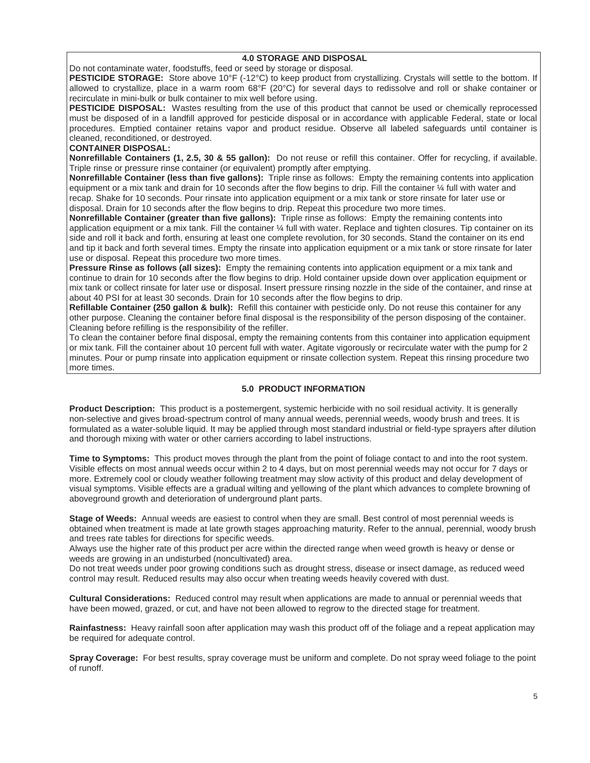## **4.0 STORAGE AND DISPOSAL**

Do not contaminate water, foodstuffs, feed or seed by storage or disposal.

**PESTICIDE STORAGE:** Store above 10°F (-12°C) to keep product from crystallizing. Crystals will settle to the bottom. If allowed to crystallize, place in a warm room 68°F (20°C) for several days to redissolve and roll or shake container or recirculate in mini-bulk or bulk container to mix well before using.

**PESTICIDE DISPOSAL:** Wastes resulting from the use of this product that cannot be used or chemically reprocessed must be disposed of in a landfill approved for pesticide disposal or in accordance with applicable Federal, state or local procedures. Emptied container retains vapor and product residue. Observe all labeled safeguards until container is cleaned, reconditioned, or destroyed.

## **CONTAINER DISPOSAL:**

**Nonrefillable Containers (1, 2.5, 30 & 55 gallon):** Do not reuse or refill this container. Offer for recycling, if available. Triple rinse or pressure rinse container (or equivalent) promptly after emptying.

**Nonrefillable Container (less than five gallons):** Triple rinse as follows: Empty the remaining contents into application equipment or a mix tank and drain for 10 seconds after the flow begins to drip. Fill the container ¼ full with water and recap. Shake for 10 seconds. Pour rinsate into application equipment or a mix tank or store rinsate for later use or disposal. Drain for 10 seconds after the flow begins to drip. Repeat this procedure two more times.

**Nonrefillable Container (greater than five gallons):** Triple rinse as follows: Empty the remaining contents into application equipment or a mix tank. Fill the container 1/4 full with water. Replace and tighten closures. Tip container on its side and roll it back and forth, ensuring at least one complete revolution, for 30 seconds. Stand the container on its end and tip it back and forth several times. Empty the rinsate into application equipment or a mix tank or store rinsate for later use or disposal. Repeat this procedure two more times.

**Pressure Rinse as follows (all sizes):** Empty the remaining contents into application equipment or a mix tank and continue to drain for 10 seconds after the flow begins to drip. Hold container upside down over application equipment or mix tank or collect rinsate for later use or disposal. Insert pressure rinsing nozzle in the side of the container, and rinse at about 40 PSI for at least 30 seconds. Drain for 10 seconds after the flow begins to drip.

**Refillable Container (250 gallon & bulk):** Refill this container with pesticide only. Do not reuse this container for any other purpose. Cleaning the container before final disposal is the responsibility of the person disposing of the container. Cleaning before refilling is the responsibility of the refiller.

To clean the container before final disposal, empty the remaining contents from this container into application equipment or mix tank. Fill the container about 10 percent full with water. Agitate vigorously or recirculate water with the pump for 2 minutes. Pour or pump rinsate into application equipment or rinsate collection system. Repeat this rinsing procedure two more times.

## **5.0 PRODUCT INFORMATION**

**Product Description:** This product is a postemergent, systemic herbicide with no soil residual activity. It is generally non-selective and gives broad-spectrum control of many annual weeds, perennial weeds, woody brush and trees. It is formulated as a water-soluble liquid. It may be applied through most standard industrial or field-type sprayers after dilution and thorough mixing with water or other carriers according to label instructions.

**Time to Symptoms:** This product moves through the plant from the point of foliage contact to and into the root system. Visible effects on most annual weeds occur within 2 to 4 days, but on most perennial weeds may not occur for 7 days or more. Extremely cool or cloudy weather following treatment may slow activity of this product and delay development of visual symptoms. Visible effects are a gradual wilting and yellowing of the plant which advances to complete browning of aboveground growth and deterioration of underground plant parts.

**Stage of Weeds:** Annual weeds are easiest to control when they are small. Best control of most perennial weeds is obtained when treatment is made at late growth stages approaching maturity. Refer to the annual, perennial, woody brush and trees rate tables for directions for specific weeds.

Always use the higher rate of this product per acre within the directed range when weed growth is heavy or dense or weeds are growing in an undisturbed (noncultivated) area.

Do not treat weeds under poor growing conditions such as drought stress, disease or insect damage, as reduced weed control may result. Reduced results may also occur when treating weeds heavily covered with dust.

**Cultural Considerations:** Reduced control may result when applications are made to annual or perennial weeds that have been mowed, grazed, or cut, and have not been allowed to regrow to the directed stage for treatment.

**Rainfastness:** Heavy rainfall soon after application may wash this product off of the foliage and a repeat application may be required for adequate control.

**Spray Coverage:** For best results, spray coverage must be uniform and complete. Do not spray weed foliage to the point of runoff.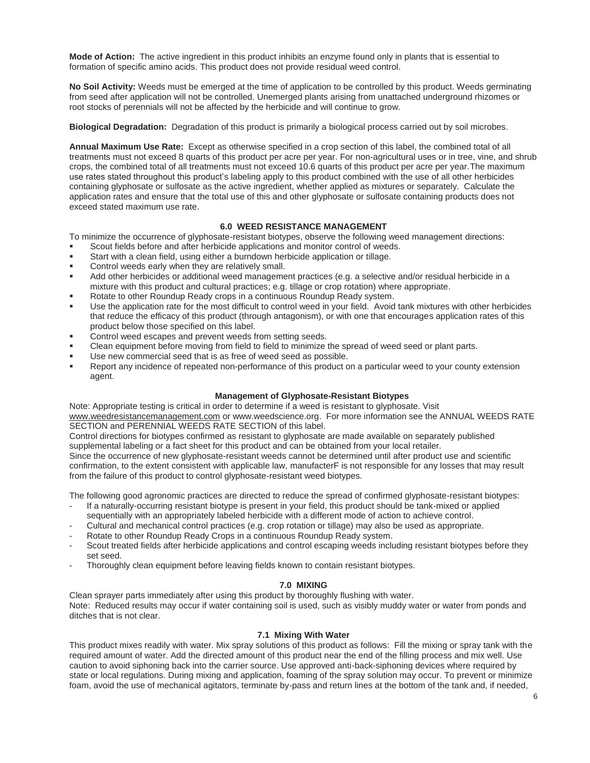**Mode of Action:** The active ingredient in this product inhibits an enzyme found only in plants that is essential to formation of specific amino acids. This product does not provide residual weed control.

**No Soil Activity:** Weeds must be emerged at the time of application to be controlled by this product. Weeds germinating from seed after application will not be controlled. Unemerged plants arising from unattached underground rhizomes or root stocks of perennials will not be affected by the herbicide and will continue to grow.

**Biological Degradation:** Degradation of this product is primarily a biological process carried out by soil microbes.

**Annual Maximum Use Rate:** Except as otherwise specified in a crop section of this label, the combined total of all treatments must not exceed 8 quarts of this product per acre per year. For non-agricultural uses or in tree, vine, and shrub crops, the combined total of all treatments must not exceed 10.6 quarts of this product per acre per year.The maximum use rates stated throughout this product's labeling apply to this product combined with the use of all other herbicides containing glyphosate or sulfosate as the active ingredient, whether applied as mixtures or separately. Calculate the application rates and ensure that the total use of this and other glyphosate or sulfosate containing products does not exceed stated maximum use rate.

## **6.0 WEED RESISTANCE MANAGEMENT**

To minimize the occurrence of glyphosate-resistant biotypes, observe the following weed management directions:

- Scout fields before and after herbicide applications and monitor control of weeds.
- Start with a clean field, using either a burndown herbicide application or tillage.
- Control weeds early when they are relatively small.
- Add other herbicides or additional weed management practices (e.g. a selective and/or residual herbicide in a mixture with this product and cultural practices; e.g. tillage or crop rotation) where appropriate.
- Rotate to other Roundup Ready crops in a continuous Roundup Ready system.
- Use the application rate for the most difficult to control weed in your field. Avoid tank mixtures with other herbicides that reduce the efficacy of this product (through antagonism), or with one that encourages application rates of this product below those specified on this label.
- Control weed escapes and prevent weeds from setting seeds.
- Clean equipment before moving from field to field to minimize the spread of weed seed or plant parts.
- Use new commercial seed that is as free of weed seed as possible.
- Report any incidence of repeated non-performance of this product on a particular weed to your county extension agent.

## **Management of Glyphosate-Resistant Biotypes**

Note: Appropriate testing is critical in order to determine if a weed is resistant to glyphosate. Visit www.weedresistancemanagement.com or www.weedscience.org. For more information see the ANNUAL WEEDS RATE SECTION and PERENNIAL WEEDS RATE SECTION of this label.

Control directions for biotypes confirmed as resistant to glyphosate are made available on separately published supplemental labeling or a fact sheet for this product and can be obtained from your local retailer.

Since the occurrence of new glyphosate-resistant weeds cannot be determined until after product use and scientific confirmation, to the extent consistent with applicable law, manufacterF is not responsible for any losses that may result from the failure of this product to control glyphosate-resistant weed biotypes.

The following good agronomic practices are directed to reduce the spread of confirmed glyphosate-resistant biotypes:

- If a naturally-occurring resistant biotype is present in your field, this product should be tank-mixed or applied sequentially with an appropriately labeled herbicide with a different mode of action to achieve control.
- Cultural and mechanical control practices (e.g. crop rotation or tillage) may also be used as appropriate.
- Rotate to other Roundup Ready Crops in a continuous Roundup Ready system.
- Scout treated fields after herbicide applications and control escaping weeds including resistant biotypes before they set seed.
- Thoroughly clean equipment before leaving fields known to contain resistant biotypes.

#### **7.0 MIXING**

Clean sprayer parts immediately after using this product by thoroughly flushing with water. Note: Reduced results may occur if water containing soil is used, such as visibly muddy water or water from ponds and ditches that is not clear.

#### **7.1 Mixing With Water**

This product mixes readily with water. Mix spray solutions of this product as follows: Fill the mixing or spray tank with the required amount of water. Add the directed amount of this product near the end of the filling process and mix well. Use caution to avoid siphoning back into the carrier source. Use approved anti-back-siphoning devices where required by state or local regulations. During mixing and application, foaming of the spray solution may occur. To prevent or minimize foam, avoid the use of mechanical agitators, terminate by-pass and return lines at the bottom of the tank and, if needed,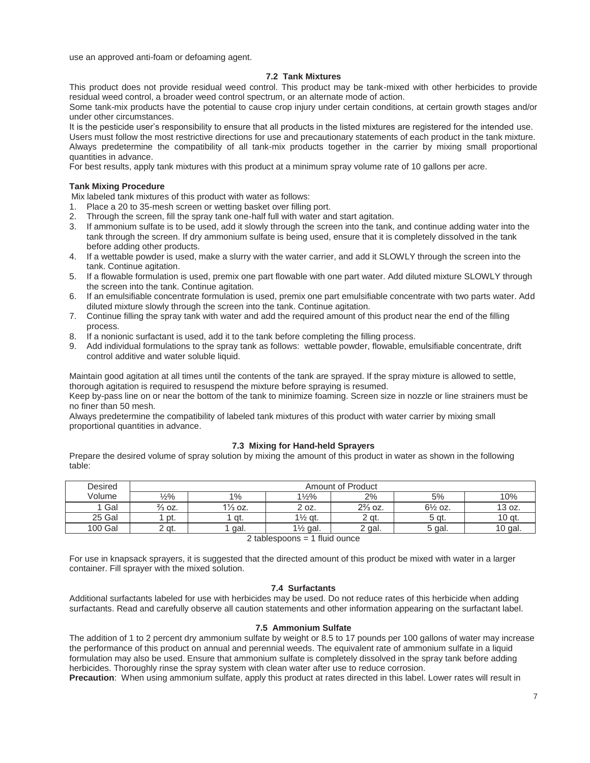use an approved anti-foam or defoaming agent.

## **7.2 Tank Mixtures**

This product does not provide residual weed control. This product may be tank-mixed with other herbicides to provide residual weed control, a broader weed control spectrum, or an alternate mode of action.

Some tank-mix products have the potential to cause crop injury under certain conditions, at certain growth stages and/or under other circumstances.

It is the pesticide user's responsibility to ensure that all products in the listed mixtures are registered for the intended use. Users must follow the most restrictive directions for use and precautionary statements of each product in the tank mixture. Always predetermine the compatibility of all tank-mix products together in the carrier by mixing small proportional quantities in advance.

For best results, apply tank mixtures with this product at a minimum spray volume rate of 10 gallons per acre.

#### **Tank Mixing Procedure**

Mix labeled tank mixtures of this product with water as follows:

- 1. Place a 20 to 35-mesh screen or wetting basket over filling port.<br>2. Through the screen, fill the spray tank one-half full with water an
- Through the screen, fill the spray tank one-half full with water and start agitation.
- 3. If ammonium sulfate is to be used, add it slowly through the screen into the tank, and continue adding water into the tank through the screen. If dry ammonium sulfate is being used, ensure that it is completely dissolved in the tank before adding other products.
- 4. If a wettable powder is used, make a slurry with the water carrier, and add it SLOWLY through the screen into the tank. Continue agitation.
- 5. If a flowable formulation is used, premix one part flowable with one part water. Add diluted mixture SLOWLY through the screen into the tank. Continue agitation.
- 6. If an emulsifiable concentrate formulation is used, premix one part emulsifiable concentrate with two parts water. Add diluted mixture slowly through the screen into the tank. Continue agitation.
- 7. Continue filling the spray tank with water and add the required amount of this product near the end of the filling process.
- 8. If a nonionic surfactant is used, add it to the tank before completing the filling process.
- 9. Add individual formulations to the spray tank as follows: wettable powder, flowable, emulsifiable concentrate, drift control additive and water soluble liquid.

Maintain good agitation at all times until the contents of the tank are sprayed. If the spray mixture is allowed to settle, thorough agitation is required to resuspend the mixture before spraying is resumed.

Keep by-pass line on or near the bottom of the tank to minimize foaming. Screen size in nozzle or line strainers must be no finer than 50 mesh.

Always predetermine the compatibility of labeled tank mixtures of this product with water carrier by mixing small proportional quantities in advance.

#### **7.3 Mixing for Hand-held Sprayers**

Prepare the desired volume of spray solution by mixing the amount of this product in water as shown in the following table:

| <b>Amount of Product</b> |                    |                      |                    |                    |           |
|--------------------------|--------------------|----------------------|--------------------|--------------------|-----------|
| 1⁄2%                     | 1%                 | $1\frac{1}{2}\%$     | 2%                 | 5%                 | 10%       |
| $\frac{2}{3}$ OZ.        | $1\frac{1}{3}$ oz. | 2 oz.                | $2\frac{2}{3}$ oz. | $6\frac{1}{2}$ oz. | 13 oz.    |
| pt.                      | ` qt.              | $1\frac{1}{2}$ gt.   | 2 at.              | 5 at.              | 10 gt.    |
| ?qt.                     | gal.               | 1 <sup>/2</sup> gal. | 2 gal.             | 5 gal.             | $10$ gal. |
|                          |                    |                      |                    |                    |           |

2 tablespoons = 1 fluid ounce

For use in knapsack sprayers, it is suggested that the directed amount of this product be mixed with water in a larger container. Fill sprayer with the mixed solution.

#### **7.4 Surfactants**

Additional surfactants labeled for use with herbicides may be used. Do not reduce rates of this herbicide when adding surfactants. Read and carefully observe all caution statements and other information appearing on the surfactant label.

#### **7.5 Ammonium Sulfate**

The addition of 1 to 2 percent dry ammonium sulfate by weight or 8.5 to 17 pounds per 100 gallons of water may increase the performance of this product on annual and perennial weeds. The equivalent rate of ammonium sulfate in a liquid formulation may also be used. Ensure that ammonium sulfate is completely dissolved in the spray tank before adding herbicides. Thoroughly rinse the spray system with clean water after use to reduce corrosion.

**Precaution**: When using ammonium sulfate, apply this product at rates directed in this label. Lower rates will result in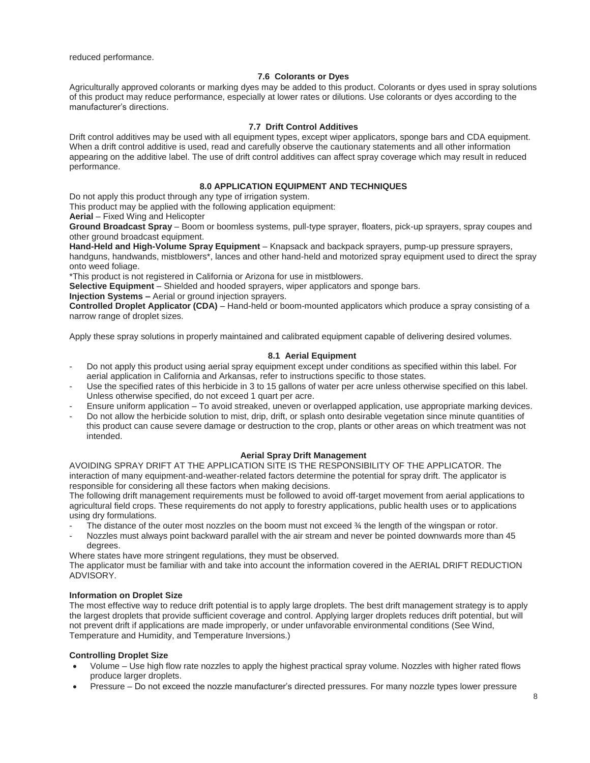reduced performance.

## **7.6 Colorants or Dyes**

Agriculturally approved colorants or marking dyes may be added to this product. Colorants or dyes used in spray solutions of this product may reduce performance, especially at lower rates or dilutions. Use colorants or dyes according to the manufacturer's directions.

## **7.7 Drift Control Additives**

Drift control additives may be used with all equipment types, except wiper applicators, sponge bars and CDA equipment. When a drift control additive is used, read and carefully observe the cautionary statements and all other information appearing on the additive label. The use of drift control additives can affect spray coverage which may result in reduced performance.

## **8.0 APPLICATION EQUIPMENT AND TECHNIQUES**

Do not apply this product through any type of irrigation system.

This product may be applied with the following application equipment:

**Aerial** – Fixed Wing and Helicopter

**Ground Broadcast Spray** – Boom or boomless systems, pull-type sprayer, floaters, pick-up sprayers, spray coupes and other ground broadcast equipment.

**Hand-Held and High-Volume Spray Equipment** – Knapsack and backpack sprayers, pump-up pressure sprayers, handguns, handwands, mistblowers\*, lances and other hand-held and motorized spray equipment used to direct the spray onto weed foliage.

\*This product is not registered in California or Arizona for use in mistblowers.

**Selective Equipment** – Shielded and hooded sprayers, wiper applicators and sponge bars.

**Injection Systems –** Aerial or ground injection sprayers.

**Controlled Droplet Applicator (CDA)** – Hand-held or boom-mounted applicators which produce a spray consisting of a narrow range of droplet sizes.

Apply these spray solutions in properly maintained and calibrated equipment capable of delivering desired volumes.

## **8.1 Aerial Equipment**

- Do not apply this product using aerial spray equipment except under conditions as specified within this label. For aerial application in California and Arkansas, refer to instructions specific to those states.
- Use the specified rates of this herbicide in 3 to 15 gallons of water per acre unless otherwise specified on this label. Unless otherwise specified, do not exceed 1 quart per acre.
- Ensure uniform application To avoid streaked, uneven or overlapped application, use appropriate marking devices. - Do not allow the herbicide solution to mist, drip, drift, or splash onto desirable vegetation since minute quantities of
- this product can cause severe damage or destruction to the crop, plants or other areas on which treatment was not intended.

## **Aerial Spray Drift Management**

AVOIDING SPRAY DRIFT AT THE APPLICATION SITE IS THE RESPONSIBILITY OF THE APPLICATOR. The interaction of many equipment-and-weather-related factors determine the potential for spray drift. The applicator is responsible for considering all these factors when making decisions.

The following drift management requirements must be followed to avoid off-target movement from aerial applications to agricultural field crops. These requirements do not apply to forestry applications, public health uses or to applications using dry formulations.

- The distance of the outer most nozzles on the boom must not exceed  $\frac{3}{4}$  the length of the wingspan or rotor.
- Nozzles must always point backward parallel with the air stream and never be pointed downwards more than 45 degrees.

Where states have more stringent regulations, they must be observed.

The applicator must be familiar with and take into account the information covered in the AERIAL DRIFT REDUCTION ADVISORY.

## **Information on Droplet Size**

The most effective way to reduce drift potential is to apply large droplets. The best drift management strategy is to apply the largest droplets that provide sufficient coverage and control. Applying larger droplets reduces drift potential, but will not prevent drift if applications are made improperly, or under unfavorable environmental conditions (See Wind, Temperature and Humidity, and Temperature Inversions.)

## **Controlling Droplet Size**

- x Volume Use high flow rate nozzles to apply the highest practical spray volume. Nozzles with higher rated flows produce larger droplets.
- x Pressure Do not exceed the nozzle manufacturer's directed pressures. For many nozzle types lower pressure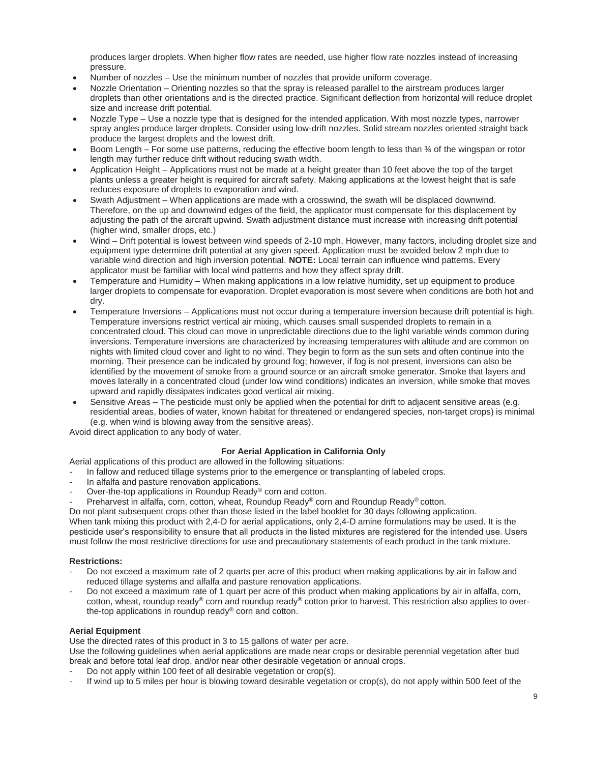produces larger droplets. When higher flow rates are needed, use higher flow rate nozzles instead of increasing pressure.

- Number of nozzles Use the minimum number of nozzles that provide uniform coverage.
- Nozzle Orientation Orienting nozzles so that the spray is released parallel to the airstream produces larger droplets than other orientations and is the directed practice. Significant deflection from horizontal will reduce droplet size and increase drift potential.
- Nozzle Type Use a nozzle type that is designed for the intended application. With most nozzle types, narrower spray angles produce larger droplets. Consider using low-drift nozzles. Solid stream nozzles oriented straight back produce the largest droplets and the lowest drift.
- Boom Length For some use patterns, reducing the effective boom length to less than  $\frac{3}{4}$  of the wingspan or rotor length may further reduce drift without reducing swath width.
- Application Height Applications must not be made at a height greater than 10 feet above the top of the target plants unless a greater height is required for aircraft safety. Making applications at the lowest height that is safe reduces exposure of droplets to evaporation and wind.
- Swath Adjustment When applications are made with a crosswind, the swath will be displaced downwind. Therefore, on the up and downwind edges of the field, the applicator must compensate for this displacement by adjusting the path of the aircraft upwind. Swath adjustment distance must increase with increasing drift potential (higher wind, smaller drops, etc.)
- Wind Drift potential is lowest between wind speeds of 2-10 mph. However, many factors, including droplet size and equipment type determine drift potential at any given speed. Application must be avoided below 2 mph due to variable wind direction and high inversion potential. **NOTE:** Local terrain can influence wind patterns. Every applicator must be familiar with local wind patterns and how they affect spray drift.
- Temperature and Humidity When making applications in a low relative humidity, set up equipment to produce larger droplets to compensate for evaporation. Droplet evaporation is most severe when conditions are both hot and dry.
- Temperature Inversions Applications must not occur during a temperature inversion because drift potential is high. Temperature inversions restrict vertical air mixing, which causes small suspended droplets to remain in a concentrated cloud. This cloud can move in unpredictable directions due to the light variable winds common during inversions. Temperature inversions are characterized by increasing temperatures with altitude and are common on nights with limited cloud cover and light to no wind. They begin to form as the sun sets and often continue into the morning. Their presence can be indicated by ground fog; however, if fog is not present, inversions can also be identified by the movement of smoke from a ground source or an aircraft smoke generator. Smoke that layers and moves laterally in a concentrated cloud (under low wind conditions) indicates an inversion, while smoke that moves upward and rapidly dissipates indicates good vertical air mixing.
- Sensitive Areas The pesticide must only be applied when the potential for drift to adjacent sensitive areas (e.g. residential areas, bodies of water, known habitat for threatened or endangered species, non-target crops) is minimal (e.g. when wind is blowing away from the sensitive areas).

Avoid direct application to any body of water.

## **For Aerial Application in California Only**

Aerial applications of this product are allowed in the following situations:

- In fallow and reduced tillage systems prior to the emergence or transplanting of labeled crops.
- In alfalfa and pasture renovation applications.
- Over-the-top applications in Roundup Ready® corn and cotton.
- Preharvest in alfalfa, corn, cotton, wheat, Roundup Ready® corn and Roundup Ready® cotton.

Do not plant subsequent crops other than those listed in the label booklet for 30 days following application.

When tank mixing this product with 2.4-D for aerial applications, only 2.4-D amine formulations may be used. It is the pesticide user's responsibility to ensure that all products in the listed mixtures are registered for the intended use. Users must follow the most restrictive directions for use and precautionary statements of each product in the tank mixture.

## **Restrictions:**

- Do not exceed a maximum rate of 2 quarts per acre of this product when making applications by air in fallow and reduced tillage systems and alfalfa and pasture renovation applications.
- Do not exceed a maximum rate of 1 quart per acre of this product when making applications by air in alfalfa, corn, cotton, wheat, roundup ready® corn and roundup ready® cotton prior to harvest. This restriction also applies to overthe-top applications in roundup ready® corn and cotton.

## **Aerial Equipment**

Use the directed rates of this product in 3 to 15 gallons of water per acre.

Use the following guidelines when aerial applications are made near crops or desirable perennial vegetation after bud break and before total leaf drop, and/or near other desirable vegetation or annual crops.

- Do not apply within 100 feet of all desirable vegetation or crop(s).
- If wind up to 5 miles per hour is blowing toward desirable vegetation or crop(s), do not apply within 500 feet of the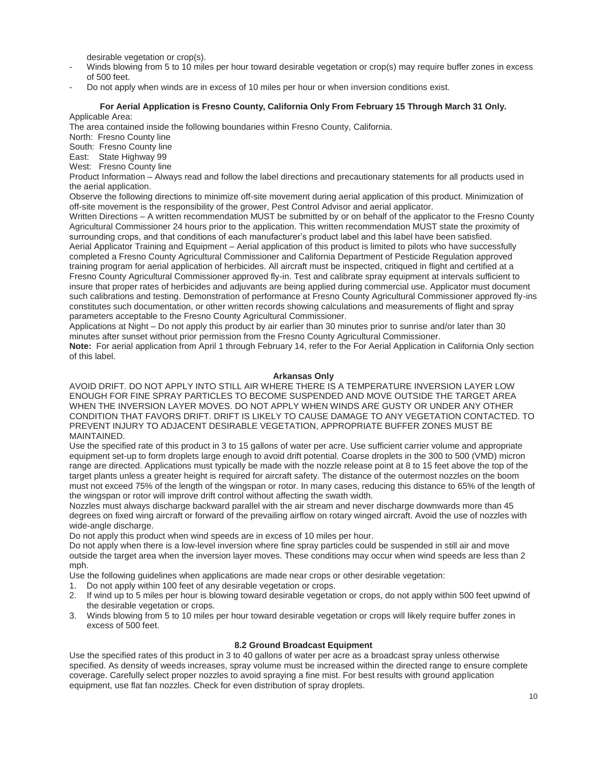desirable vegetation or crop(s).

- Winds blowing from 5 to 10 miles per hour toward desirable vegetation or crop(s) may require buffer zones in excess of 500 feet.
- Do not apply when winds are in excess of 10 miles per hour or when inversion conditions exist.

## **For Aerial Application is Fresno County, California Only From February 15 Through March 31 Only.**

Applicable Area:

The area contained inside the following boundaries within Fresno County, California.

North: Fresno County line

South: Fresno County line

East: State Highway 99

West: Fresno County line

Product Information – Always read and follow the label directions and precautionary statements for all products used in the aerial application.

Observe the following directions to minimize off-site movement during aerial application of this product. Minimization of off-site movement is the responsibility of the grower, Pest Control Advisor and aerial applicator.

Written Directions – A written recommendation MUST be submitted by or on behalf of the applicator to the Fresno County Agricultural Commissioner 24 hours prior to the application. This written recommendation MUST state the proximity of surrounding crops, and that conditions of each manufacturer's product label and this label have been satisfied. Aerial Applicator Training and Equipment – Aerial application of this product is limited to pilots who have successfully completed a Fresno County Agricultural Commissioner and California Department of Pesticide Regulation approved training program for aerial application of herbicides. All aircraft must be inspected, critiqued in flight and certified at a Fresno County Agricultural Commissioner approved fly-in. Test and calibrate spray equipment at intervals sufficient to insure that proper rates of herbicides and adjuvants are being applied during commercial use. Applicator must document such calibrations and testing. Demonstration of performance at Fresno County Agricultural Commissioner approved fly-ins constitutes such documentation, or other written records showing calculations and measurements of flight and spray parameters acceptable to the Fresno County Agricultural Commissioner.

Applications at Night – Do not apply this product by air earlier than 30 minutes prior to sunrise and/or later than 30 minutes after sunset without prior permission from the Fresno County Agricultural Commissioner.

**Note:** For aerial application from April 1 through February 14, refer to the For Aerial Application in California Only section of this label.

#### **Arkansas Only**

AVOID DRIFT. DO NOT APPLY INTO STILL AIR WHERE THERE IS A TEMPERATURE INVERSION LAYER LOW ENOUGH FOR FINE SPRAY PARTICLES TO BECOME SUSPENDED AND MOVE OUTSIDE THE TARGET AREA WHEN THE INVERSION LAYER MOVES. DO NOT APPLY WHEN WINDS ARE GUSTY OR UNDER ANY OTHER CONDITION THAT FAVORS DRIFT. DRIFT IS LIKELY TO CAUSE DAMAGE TO ANY VEGETATION CONTACTED. TO PREVENT INJURY TO ADJACENT DESIRABLE VEGETATION, APPROPRIATE BUFFER ZONES MUST BE MAINTAINED.

Use the specified rate of this product in 3 to 15 gallons of water per acre. Use sufficient carrier volume and appropriate equipment set-up to form droplets large enough to avoid drift potential. Coarse droplets in the 300 to 500 (VMD) micron range are directed. Applications must typically be made with the nozzle release point at 8 to 15 feet above the top of the target plants unless a greater height is required for aircraft safety. The distance of the outermost nozzles on the boom must not exceed 75% of the length of the wingspan or rotor. In many cases, reducing this distance to 65% of the length of the wingspan or rotor will improve drift control without affecting the swath width.

Nozzles must always discharge backward parallel with the air stream and never discharge downwards more than 45 degrees on fixed wing aircraft or forward of the prevailing airflow on rotary winged aircraft. Avoid the use of nozzles with wide-angle discharge.

Do not apply this product when wind speeds are in excess of 10 miles per hour.

Do not apply when there is a low-level inversion where fine spray particles could be suspended in still air and move outside the target area when the inversion layer moves. These conditions may occur when wind speeds are less than 2 mph.

Use the following guidelines when applications are made near crops or other desirable vegetation:

- 1. Do not apply within 100 feet of any desirable vegetation or crops.
- 2. If wind up to 5 miles per hour is blowing toward desirable vegetation or crops, do not apply within 500 feet upwind of the desirable vegetation or crops.
- 3. Winds blowing from 5 to 10 miles per hour toward desirable vegetation or crops will likely require buffer zones in excess of 500 feet.

## **8.2 Ground Broadcast Equipment**

Use the specified rates of this product in 3 to 40 gallons of water per acre as a broadcast spray unless otherwise specified. As density of weeds increases, spray volume must be increased within the directed range to ensure complete coverage. Carefully select proper nozzles to avoid spraying a fine mist. For best results with ground application equipment, use flat fan nozzles. Check for even distribution of spray droplets.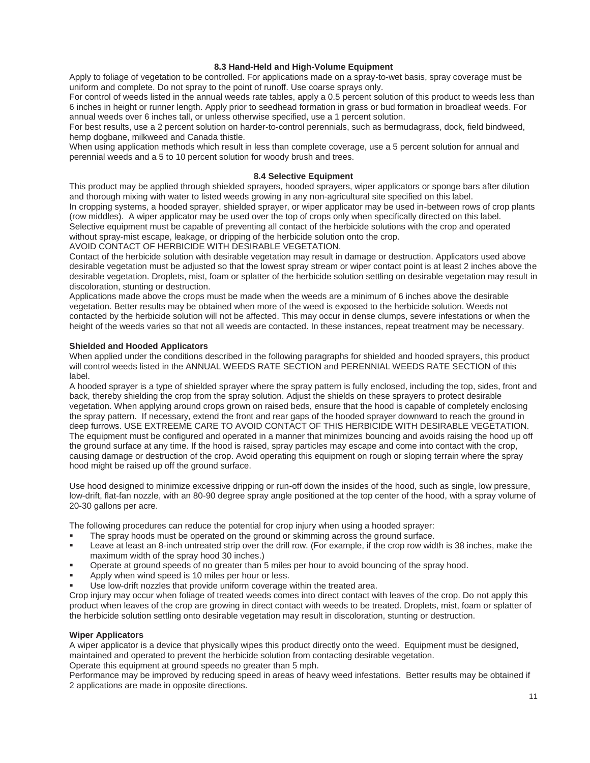## **8.3 Hand-Held and High-Volume Equipment**

Apply to foliage of vegetation to be controlled. For applications made on a spray-to-wet basis, spray coverage must be uniform and complete. Do not spray to the point of runoff. Use coarse sprays only.

For control of weeds listed in the annual weeds rate tables, apply a 0.5 percent solution of this product to weeds less than 6 inches in height or runner length. Apply prior to seedhead formation in grass or bud formation in broadleaf weeds. For annual weeds over 6 inches tall, or unless otherwise specified, use a 1 percent solution.

For best results, use a 2 percent solution on harder-to-control perennials, such as bermudagrass, dock, field bindweed, hemp dogbane, milkweed and Canada thistle.

When using application methods which result in less than complete coverage, use a 5 percent solution for annual and perennial weeds and a 5 to 10 percent solution for woody brush and trees.

## **8.4 Selective Equipment**

This product may be applied through shielded sprayers, hooded sprayers, wiper applicators or sponge bars after dilution and thorough mixing with water to listed weeds growing in any non-agricultural site specified on this label. In cropping systems, a hooded sprayer, shielded sprayer, or wiper applicator may be used in-between rows of crop plants (row middles). A wiper applicator may be used over the top of crops only when specifically directed on this label. Selective equipment must be capable of preventing all contact of the herbicide solutions with the crop and operated without spray-mist escape, leakage, or dripping of the herbicide solution onto the crop. AVOID CONTACT OF HERBICIDE WITH DESIRABLE VEGETATION.

Contact of the herbicide solution with desirable vegetation may result in damage or destruction. Applicators used above desirable vegetation must be adjusted so that the lowest spray stream or wiper contact point is at least 2 inches above the desirable vegetation. Droplets, mist, foam or splatter of the herbicide solution settling on desirable vegetation may result in discoloration, stunting or destruction.

Applications made above the crops must be made when the weeds are a minimum of 6 inches above the desirable vegetation. Better results may be obtained when more of the weed is exposed to the herbicide solution. Weeds not contacted by the herbicide solution will not be affected. This may occur in dense clumps, severe infestations or when the height of the weeds varies so that not all weeds are contacted. In these instances, repeat treatment may be necessary.

## **Shielded and Hooded Applicators**

When applied under the conditions described in the following paragraphs for shielded and hooded sprayers, this product will control weeds listed in the ANNUAL WEEDS RATE SECTION and PERENNIAL WEEDS RATE SECTION of this label.

A hooded sprayer is a type of shielded sprayer where the spray pattern is fully enclosed, including the top, sides, front and back, thereby shielding the crop from the spray solution. Adjust the shields on these sprayers to protect desirable vegetation. When applying around crops grown on raised beds, ensure that the hood is capable of completely enclosing the spray pattern. If necessary, extend the front and rear gaps of the hooded sprayer downward to reach the ground in deep furrows. USE EXTREEME CARE TO AVOID CONTACT OF THIS HERBICIDE WITH DESIRABLE VEGETATION. The equipment must be configured and operated in a manner that minimizes bouncing and avoids raising the hood up off the ground surface at any time. If the hood is raised, spray particles may escape and come into contact with the crop, causing damage or destruction of the crop. Avoid operating this equipment on rough or sloping terrain where the spray hood might be raised up off the ground surface.

Use hood designed to minimize excessive dripping or run-off down the insides of the hood, such as single, low pressure, low-drift, flat-fan nozzle, with an 80-90 degree spray angle positioned at the top center of the hood, with a spray volume of 20-30 gallons per acre.

The following procedures can reduce the potential for crop injury when using a hooded sprayer:

- The spray hoods must be operated on the ground or skimming across the ground surface.
- Leave at least an 8-inch untreated strip over the drill row. (For example, if the crop row width is 38 inches, make the maximum width of the spray hood 30 inches.)
- Operate at ground speeds of no greater than 5 miles per hour to avoid bouncing of the spray hood.
- Apply when wind speed is 10 miles per hour or less.
- Use low-drift nozzles that provide uniform coverage within the treated area.

Crop injury may occur when foliage of treated weeds comes into direct contact with leaves of the crop. Do not apply this product when leaves of the crop are growing in direct contact with weeds to be treated. Droplets, mist, foam or splatter of the herbicide solution settling onto desirable vegetation may result in discoloration, stunting or destruction.

## **Wiper Applicators**

A wiper applicator is a device that physically wipes this product directly onto the weed. Equipment must be designed, maintained and operated to prevent the herbicide solution from contacting desirable vegetation.

Operate this equipment at ground speeds no greater than 5 mph.

Performance may be improved by reducing speed in areas of heavy weed infestations. Better results may be obtained if 2 applications are made in opposite directions.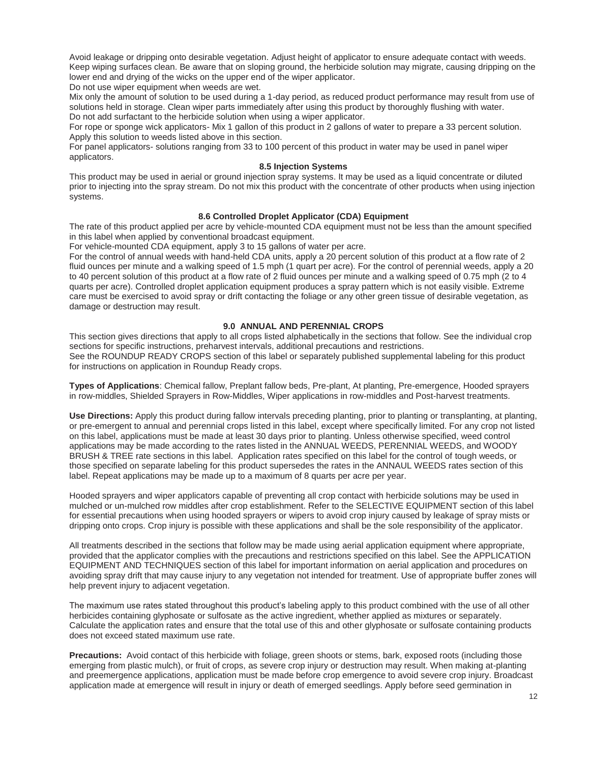Avoid leakage or dripping onto desirable vegetation. Adjust height of applicator to ensure adequate contact with weeds. Keep wiping surfaces clean. Be aware that on sloping ground, the herbicide solution may migrate, causing dripping on the lower end and drying of the wicks on the upper end of the wiper applicator. Do not use wiper equipment when weeds are wet.

Mix only the amount of solution to be used during a 1-day period, as reduced product performance may result from use of solutions held in storage. Clean wiper parts immediately after using this product by thoroughly flushing with water. Do not add surfactant to the herbicide solution when using a wiper applicator.

For rope or sponge wick applicators- Mix 1 gallon of this product in 2 gallons of water to prepare a 33 percent solution. Apply this solution to weeds listed above in this section.

For panel applicators- solutions ranging from 33 to 100 percent of this product in water may be used in panel wiper applicators.

## **8.5 Injection Systems**

This product may be used in aerial or ground injection spray systems. It may be used as a liquid concentrate or diluted prior to injecting into the spray stream. Do not mix this product with the concentrate of other products when using injection systems.

## **8.6 Controlled Droplet Applicator (CDA) Equipment**

The rate of this product applied per acre by vehicle-mounted CDA equipment must not be less than the amount specified in this label when applied by conventional broadcast equipment.

For vehicle-mounted CDA equipment, apply 3 to 15 gallons of water per acre.

For the control of annual weeds with hand-held CDA units, apply a 20 percent solution of this product at a flow rate of 2 fluid ounces per minute and a walking speed of 1.5 mph (1 quart per acre). For the control of perennial weeds, apply a 20 to 40 percent solution of this product at a flow rate of 2 fluid ounces per minute and a walking speed of 0.75 mph (2 to 4 quarts per acre). Controlled droplet application equipment produces a spray pattern which is not easily visible. Extreme care must be exercised to avoid spray or drift contacting the foliage or any other green tissue of desirable vegetation, as damage or destruction may result.

#### **9.0 ANNUAL AND PERENNIAL CROPS**

This section gives directions that apply to all crops listed alphabetically in the sections that follow. See the individual crop sections for specific instructions, preharvest intervals, additional precautions and restrictions. See the ROUNDUP READY CROPS section of this label or separately published supplemental labeling for this product for instructions on application in Roundup Ready crops.

**Types of Applications**: Chemical fallow, Preplant fallow beds, Pre-plant, At planting, Pre-emergence, Hooded sprayers in row-middles, Shielded Sprayers in Row-Middles, Wiper applications in row-middles and Post-harvest treatments.

**Use Directions:** Apply this product during fallow intervals preceding planting, prior to planting or transplanting, at planting, or pre-emergent to annual and perennial crops listed in this label, except where specifically limited. For any crop not listed on this label, applications must be made at least 30 days prior to planting. Unless otherwise specified, weed control applications may be made according to the rates listed in the ANNUAL WEEDS, PERENNIAL WEEDS, and WOODY BRUSH & TREE rate sections in this label. Application rates specified on this label for the control of tough weeds, or those specified on separate labeling for this product supersedes the rates in the ANNAUL WEEDS rates section of this label. Repeat applications may be made up to a maximum of 8 quarts per acre per year.

Hooded sprayers and wiper applicators capable of preventing all crop contact with herbicide solutions may be used in mulched or un-mulched row middles after crop establishment. Refer to the SELECTIVE EQUIPMENT section of this label for essential precautions when using hooded sprayers or wipers to avoid crop injury caused by leakage of spray mists or dripping onto crops. Crop injury is possible with these applications and shall be the sole responsibility of the applicator.

All treatments described in the sections that follow may be made using aerial application equipment where appropriate, provided that the applicator complies with the precautions and restrictions specified on this label. See the APPLICATION EQUIPMENT AND TECHNIQUES section of this label for important information on aerial application and procedures on avoiding spray drift that may cause injury to any vegetation not intended for treatment. Use of appropriate buffer zones will help prevent injury to adjacent vegetation.

The maximum use rates stated throughout this product's labeling apply to this product combined with the use of all other herbicides containing glyphosate or sulfosate as the active ingredient, whether applied as mixtures or separately. Calculate the application rates and ensure that the total use of this and other glyphosate or sulfosate containing products does not exceed stated maximum use rate.

**Precautions:** Avoid contact of this herbicide with foliage, green shoots or stems, bark, exposed roots (including those emerging from plastic mulch), or fruit of crops, as severe crop injury or destruction may result. When making at-planting and preemergence applications, application must be made before crop emergence to avoid severe crop injury. Broadcast application made at emergence will result in injury or death of emerged seedlings. Apply before seed germination in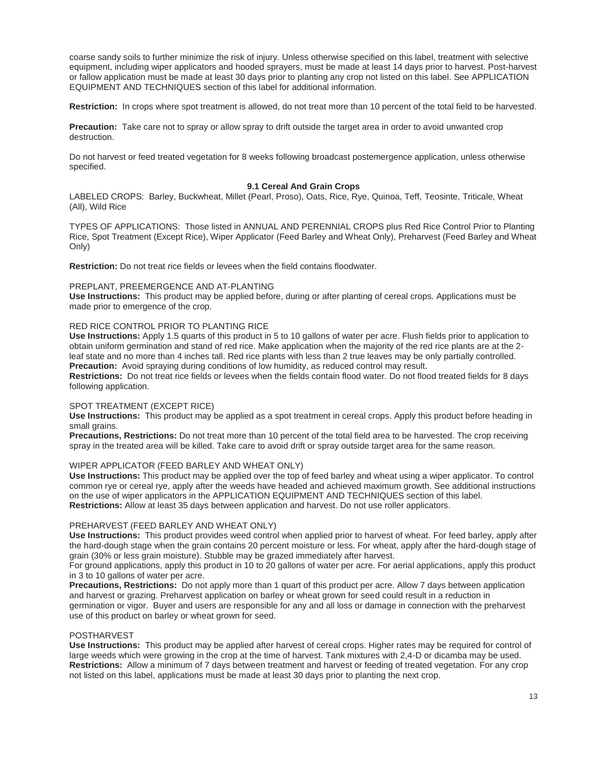coarse sandy soils to further minimize the risk of injury. Unless otherwise specified on this label, treatment with selective equipment, including wiper applicators and hooded sprayers, must be made at least 14 days prior to harvest. Post-harvest or fallow application must be made at least 30 days prior to planting any crop not listed on this label. See APPLICATION EQUIPMENT AND TECHNIQUES section of this label for additional information.

**Restriction:** In crops where spot treatment is allowed, do not treat more than 10 percent of the total field to be harvested.

**Precaution:** Take care not to spray or allow spray to drift outside the target area in order to avoid unwanted crop destruction.

Do not harvest or feed treated vegetation for 8 weeks following broadcast postemergence application, unless otherwise specified.

## **9.1 Cereal And Grain Crops**

LABELED CROPS: Barley, Buckwheat, Millet (Pearl, Proso), Oats, Rice, Rye, Quinoa, Teff, Teosinte, Triticale, Wheat (All), Wild Rice

TYPES OF APPLICATIONS: Those listed in ANNUAL AND PERENNIAL CROPS plus Red Rice Control Prior to Planting Rice, Spot Treatment (Except Rice), Wiper Applicator (Feed Barley and Wheat Only), Preharvest (Feed Barley and Wheat Only)

**Restriction:** Do not treat rice fields or levees when the field contains floodwater.

#### PREPLANT, PREEMERGENCE AND AT-PLANTING

**Use Instructions:** This product may be applied before, during or after planting of cereal crops. Applications must be made prior to emergence of the crop.

## RED RICE CONTROL PRIOR TO PLANTING RICE

**Use Instructions:** Apply 1.5 quarts of this product in 5 to 10 gallons of water per acre. Flush fields prior to application to obtain uniform germination and stand of red rice. Make application when the majority of the red rice plants are at the 2 leaf state and no more than 4 inches tall. Red rice plants with less than 2 true leaves may be only partially controlled. **Precaution:** Avoid spraying during conditions of low humidity, as reduced control may result.

**Restrictions:** Do not treat rice fields or levees when the fields contain flood water. Do not flood treated fields for 8 days following application.

#### SPOT TREATMENT (EXCEPT RICE)

**Use Instructions:** This product may be applied as a spot treatment in cereal crops. Apply this product before heading in small grains.

**Precautions, Restrictions:** Do not treat more than 10 percent of the total field area to be harvested. The crop receiving spray in the treated area will be killed. Take care to avoid drift or spray outside target area for the same reason.

## WIPER APPLICATOR (FEED BARLEY AND WHEAT ONLY)

**Use Instructions:** This product may be applied over the top of feed barley and wheat using a wiper applicator. To control common rye or cereal rye, apply after the weeds have headed and achieved maximum growth. See additional instructions on the use of wiper applicators in the APPLICATION EQUIPMENT AND TECHNIQUES section of this label. **Restrictions:** Allow at least 35 days between application and harvest. Do not use roller applicators.

#### PREHARVEST (FEED BARLEY AND WHEAT ONLY)

**Use Instructions:** This product provides weed control when applied prior to harvest of wheat. For feed barley, apply after the hard-dough stage when the grain contains 20 percent moisture or less. For wheat, apply after the hard-dough stage of grain (30% or less grain moisture). Stubble may be grazed immediately after harvest.

For ground applications, apply this product in 10 to 20 gallons of water per acre. For aerial applications, apply this product in 3 to 10 gallons of water per acre.

**Precautions, Restrictions:** Do not apply more than 1 quart of this product per acre. Allow 7 days between application and harvest or grazing. Preharvest application on barley or wheat grown for seed could result in a reduction in germination or vigor. Buyer and users are responsible for any and all loss or damage in connection with the preharvest use of this product on barley or wheat grown for seed.

#### POSTHARVEST

**Use Instructions:** This product may be applied after harvest of cereal crops. Higher rates may be required for control of large weeds which were growing in the crop at the time of harvest. Tank mixtures with 2,4-D or dicamba may be used. **Restrictions:** Allow a minimum of 7 days between treatment and harvest or feeding of treated vegetation. For any crop not listed on this label, applications must be made at least 30 days prior to planting the next crop.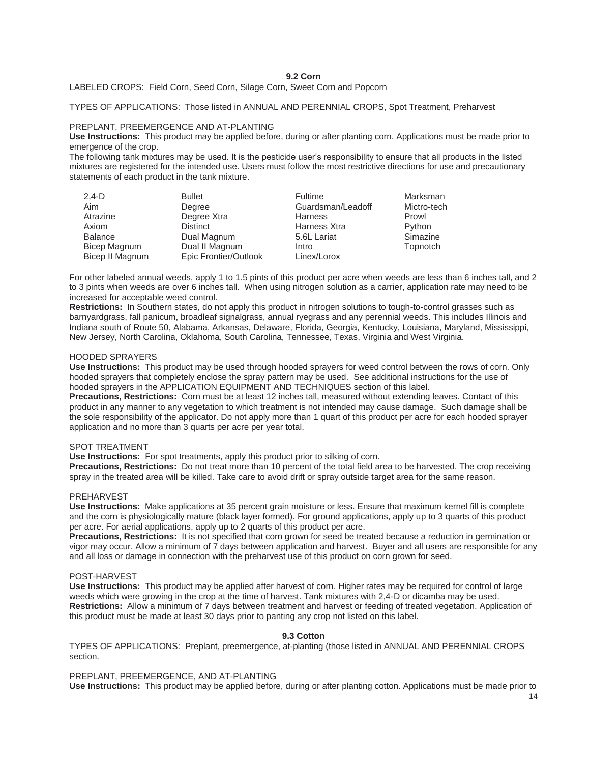#### **9.2 Corn**

#### LABELED CROPS: Field Corn, Seed Corn, Silage Corn, Sweet Corn and Popcorn

## TYPES OF APPLICATIONS: Those listed in ANNUAL AND PERENNIAL CROPS, Spot Treatment, Preharvest

#### PREPLANT, PREEMERGENCE AND AT-PLANTING

**Use Instructions:** This product may be applied before, during or after planting corn. Applications must be made prior to emergence of the crop.

The following tank mixtures may be used. It is the pesticide user's responsibility to ensure that all products in the listed mixtures are registered for the intended use. Users must follow the most restrictive directions for use and precautionary statements of each product in the tank mixture.

| $2,4-D$         | <b>Bullet</b>         | Fultime           | Marksman    |
|-----------------|-----------------------|-------------------|-------------|
| Aim             | Degree                | Guardsman/Leadoff | Mictro-tech |
| Atrazine        | Degree Xtra           | <b>Harness</b>    | Prowl       |
| Axiom           | <b>Distinct</b>       | Harness Xtra      | Python      |
| Balance         | Dual Magnum           | 5.6L Lariat       | Simazine    |
| Bicep Magnum    | Dual II Magnum        | Intro             | Topnotch    |
| Bicep II Magnum | Epic Frontier/Outlook | Linex/Lorox       |             |

For other labeled annual weeds, apply 1 to 1.5 pints of this product per acre when weeds are less than 6 inches tall, and 2 to 3 pints when weeds are over 6 inches tall. When using nitrogen solution as a carrier, application rate may need to be increased for acceptable weed control.

**Restrictions:** In Southern states, do not apply this product in nitrogen solutions to tough-to-control grasses such as barnyardgrass, fall panicum, broadleaf signalgrass, annual ryegrass and any perennial weeds. This includes Illinois and Indiana south of Route 50, Alabama, Arkansas, Delaware, Florida, Georgia, Kentucky, Louisiana, Maryland, Mississippi, New Jersey, North Carolina, Oklahoma, South Carolina, Tennessee, Texas, Virginia and West Virginia.

#### HOODED SPRAYERS

**Use Instructions:** This product may be used through hooded sprayers for weed control between the rows of corn. Only hooded sprayers that completely enclose the spray pattern may be used. See additional instructions for the use of hooded sprayers in the APPLICATION EQUIPMENT AND TECHNIQUES section of this label.

**Precautions, Restrictions:** Corn must be at least 12 inches tall, measured without extending leaves. Contact of this product in any manner to any vegetation to which treatment is not intended may cause damage. Such damage shall be the sole responsibility of the applicator. Do not apply more than 1 quart of this product per acre for each hooded sprayer application and no more than 3 quarts per acre per year total.

#### SPOT TREATMENT

**Use Instructions:** For spot treatments, apply this product prior to silking of corn.

**Precautions, Restrictions:** Do not treat more than 10 percent of the total field area to be harvested. The crop receiving spray in the treated area will be killed. Take care to avoid drift or spray outside target area for the same reason.

#### PREHARVEST

**Use Instructions:** Make applications at 35 percent grain moisture or less. Ensure that maximum kernel fill is complete and the corn is physiologically mature (black layer formed). For ground applications, apply up to 3 quarts of this product per acre. For aerial applications, apply up to 2 quarts of this product per acre.

**Precautions, Restrictions:** It is not specified that corn grown for seed be treated because a reduction in germination or vigor may occur. Allow a minimum of 7 days between application and harvest. Buyer and all users are responsible for any and all loss or damage in connection with the preharvest use of this product on corn grown for seed.

#### POST-HARVEST

**Use Instructions:** This product may be applied after harvest of corn. Higher rates may be required for control of large weeds which were growing in the crop at the time of harvest. Tank mixtures with 2,4-D or dicamba may be used. **Restrictions:** Allow a minimum of 7 days between treatment and harvest or feeding of treated vegetation. Application of this product must be made at least 30 days prior to panting any crop not listed on this label.

## **9.3 Cotton**

TYPES OF APPLICATIONS: Preplant, preemergence, at-planting (those listed in ANNUAL AND PERENNIAL CROPS section.

## PREPLANT, PREEMERGENCE, AND AT-PLANTING

**Use Instructions:** This product may be applied before, during or after planting cotton. Applications must be made prior to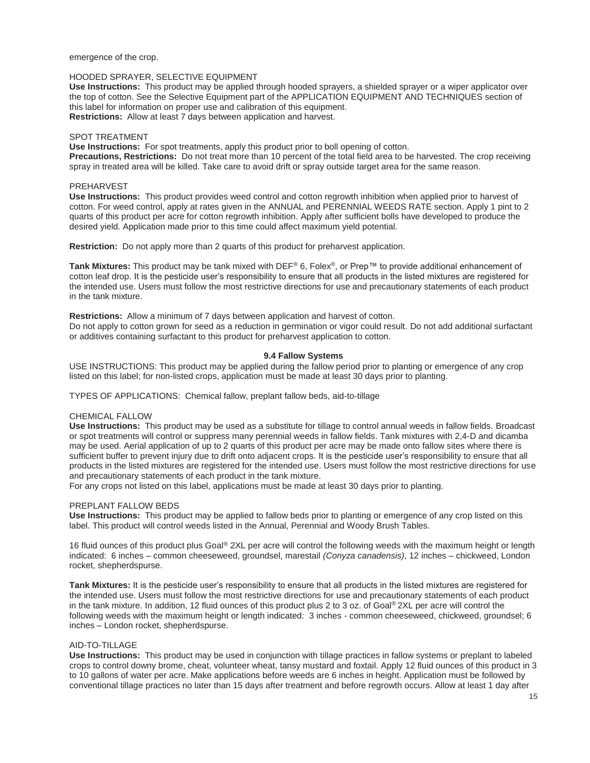emergence of the crop.

## HOODED SPRAYER, SELECTIVE EQUIPMENT

**Use Instructions:** This product may be applied through hooded sprayers, a shielded sprayer or a wiper applicator over the top of cotton. See the Selective Equipment part of the APPLICATION EQUIPMENT AND TECHNIQUES section of this label for information on proper use and calibration of this equipment. **Restrictions:** Allow at least 7 days between application and harvest.

#### SPOT TREATMENT

**Use Instructions:** For spot treatments, apply this product prior to boll opening of cotton. **Precautions, Restrictions:** Do not treat more than 10 percent of the total field area to be harvested. The crop receiving spray in treated area will be killed. Take care to avoid drift or spray outside target area for the same reason.

## PREHARVEST

**Use Instructions:** This product provides weed control and cotton regrowth inhibition when applied prior to harvest of cotton. For weed control, apply at rates given in the ANNUAL and PERENNIAL WEEDS RATE section. Apply 1 pint to 2 quarts of this product per acre for cotton regrowth inhibition. Apply after sufficient bolls have developed to produce the desired yield. Application made prior to this time could affect maximum yield potential.

**Restriction:** Do not apply more than 2 quarts of this product for preharvest application.

**Tank Mixtures:** This product may be tank mixed with DEF® 6, Folex®, or Prep™ to provide additional enhancement of cotton leaf drop. It is the pesticide user's responsibility to ensure that all products in the listed mixtures are registered for the intended use. Users must follow the most restrictive directions for use and precautionary statements of each product in the tank mixture.

#### **Restrictions:** Allow a minimum of 7 days between application and harvest of cotton.

Do not apply to cotton grown for seed as a reduction in germination or vigor could result. Do not add additional surfactant or additives containing surfactant to this product for preharvest application to cotton.

## **9.4 Fallow Systems**

USE INSTRUCTIONS: This product may be applied during the fallow period prior to planting or emergence of any crop listed on this label; for non-listed crops, application must be made at least 30 days prior to planting.

TYPES OF APPLICATIONS: Chemical fallow, preplant fallow beds, aid-to-tillage

## CHEMICAL FALLOW

**Use Instructions:** This product may be used as a substitute for tillage to control annual weeds in fallow fields. Broadcast or spot treatments will control or suppress many perennial weeds in fallow fields. Tank mixtures with 2,4-D and dicamba may be used. Aerial application of up to 2 quarts of this product per acre may be made onto fallow sites where there is sufficient buffer to prevent injury due to drift onto adjacent crops. It is the pesticide user's responsibility to ensure that all products in the listed mixtures are registered for the intended use. Users must follow the most restrictive directions for use and precautionary statements of each product in the tank mixture.

For any crops not listed on this label, applications must be made at least 30 days prior to planting.

## PREPLANT FALLOW BEDS

**Use Instructions:** This product may be applied to fallow beds prior to planting or emergence of any crop listed on this label. This product will control weeds listed in the Annual, Perennial and Woody Brush Tables.

16 fluid ounces of this product plus Goal® 2XL per acre will control the following weeds with the maximum height or length indicated: 6 inches – common cheeseweed, groundsel, marestail *(Conyza canadensis)*, 12 inches – chickweed, London rocket, shepherdspurse.

**Tank Mixtures:** It is the pesticide user's responsibility to ensure that all products in the listed mixtures are registered for the intended use. Users must follow the most restrictive directions for use and precautionary statements of each product in the tank mixture. In addition, 12 fluid ounces of this product plus 2 to 3 oz. of Goal® 2XL per acre will control the following weeds with the maximum height or length indicated: 3 inches - common cheeseweed, chickweed, groundsel; 6 inches – London rocket, shepherdspurse.

#### AID-TO-TILLAGE

**Use Instructions:** This product may be used in conjunction with tillage practices in fallow systems or preplant to labeled crops to control downy brome, cheat, volunteer wheat, tansy mustard and foxtail. Apply 12 fluid ounces of this product in 3 to 10 gallons of water per acre. Make applications before weeds are 6 inches in height. Application must be followed by conventional tillage practices no later than 15 days after treatment and before regrowth occurs. Allow at least 1 day after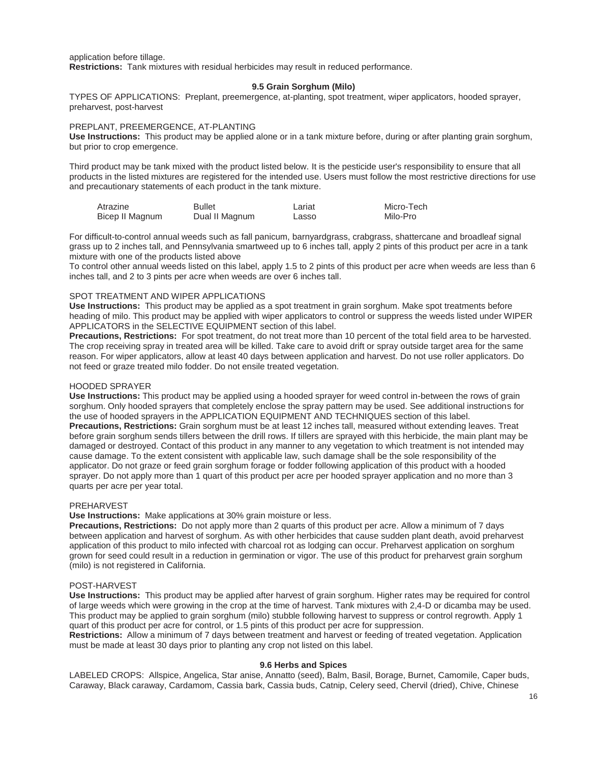application before tillage. **Restrictions:** Tank mixtures with residual herbicides may result in reduced performance.

## **9.5 Grain Sorghum (Milo)**

TYPES OF APPLICATIONS: Preplant, preemergence, at-planting, spot treatment, wiper applicators, hooded sprayer, preharvest, post-harvest

## PREPLANT, PREEMERGENCE, AT-PLANTING

**Use Instructions:** This product may be applied alone or in a tank mixture before, during or after planting grain sorghum, but prior to crop emergence.

Third product may be tank mixed with the product listed below. It is the pesticide user's responsibility to ensure that all products in the listed mixtures are registered for the intended use. Users must follow the most restrictive directions for use and precautionary statements of each product in the tank mixture.

| Atrazine        | <b>Bullet</b>  | Lariat | Micro-Tech |
|-----------------|----------------|--------|------------|
| Bicep II Magnum | Dual II Magnum | Lasso  | Milo-Pro   |

For difficult-to-control annual weeds such as fall panicum, barnyardgrass, crabgrass, shattercane and broadleaf signal grass up to 2 inches tall, and Pennsylvania smartweed up to 6 inches tall, apply 2 pints of this product per acre in a tank mixture with one of the products listed above

To control other annual weeds listed on this label, apply 1.5 to 2 pints of this product per acre when weeds are less than 6 inches tall, and 2 to 3 pints per acre when weeds are over 6 inches tall.

## SPOT TREATMENT AND WIPER APPLICATIONS

**Use Instructions:** This product may be applied as a spot treatment in grain sorghum. Make spot treatments before heading of milo. This product may be applied with wiper applicators to control or suppress the weeds listed under WIPER APPLICATORS in the SELECTIVE EQUIPMENT section of this label.

**Precautions, Restrictions:** For spot treatment, do not treat more than 10 percent of the total field area to be harvested. The crop receiving spray in treated area will be killed. Take care to avoid drift or spray outside target area for the same reason. For wiper applicators, allow at least 40 days between application and harvest. Do not use roller applicators. Do not feed or graze treated milo fodder. Do not ensile treated vegetation.

## HOODED SPRAYER

**Use Instructions:** This product may be applied using a hooded sprayer for weed control in-between the rows of grain sorghum. Only hooded sprayers that completely enclose the spray pattern may be used. See additional instructions for the use of hooded sprayers in the APPLICATION EQUIPMENT AND TECHNIQUES section of this label. **Precautions, Restrictions:** Grain sorghum must be at least 12 inches tall, measured without extending leaves. Treat before grain sorghum sends tillers between the drill rows. If tillers are sprayed with this herbicide, the main plant may be damaged or destroyed. Contact of this product in any manner to any vegetation to which treatment is not intended may cause damage. To the extent consistent with applicable law, such damage shall be the sole responsibility of the applicator. Do not graze or feed grain sorghum forage or fodder following application of this product with a hooded sprayer. Do not apply more than 1 quart of this product per acre per hooded sprayer application and no more than 3 quarts per acre per year total.

#### PREHARVEST

**Use Instructions:** Make applications at 30% grain moisture or less.

**Precautions, Restrictions:** Do not apply more than 2 quarts of this product per acre. Allow a minimum of 7 days between application and harvest of sorghum. As with other herbicides that cause sudden plant death, avoid preharvest application of this product to milo infected with charcoal rot as lodging can occur. Preharvest application on sorghum grown for seed could result in a reduction in germination or vigor. The use of this product for preharvest grain sorghum (milo) is not registered in California.

#### POST-HARVEST

**Use Instructions:** This product may be applied after harvest of grain sorghum. Higher rates may be required for control of large weeds which were growing in the crop at the time of harvest. Tank mixtures with 2,4-D or dicamba may be used. This product may be applied to grain sorghum (milo) stubble following harvest to suppress or control regrowth. Apply 1 quart of this product per acre for control, or 1.5 pints of this product per acre for suppression.

**Restrictions:** Allow a minimum of 7 days between treatment and harvest or feeding of treated vegetation. Application must be made at least 30 days prior to planting any crop not listed on this label.

#### **9.6 Herbs and Spices**

LABELED CROPS: Allspice, Angelica, Star anise, Annatto (seed), Balm, Basil, Borage, Burnet, Camomile, Caper buds, Caraway, Black caraway, Cardamom, Cassia bark, Cassia buds, Catnip, Celery seed, Chervil (dried), Chive, Chinese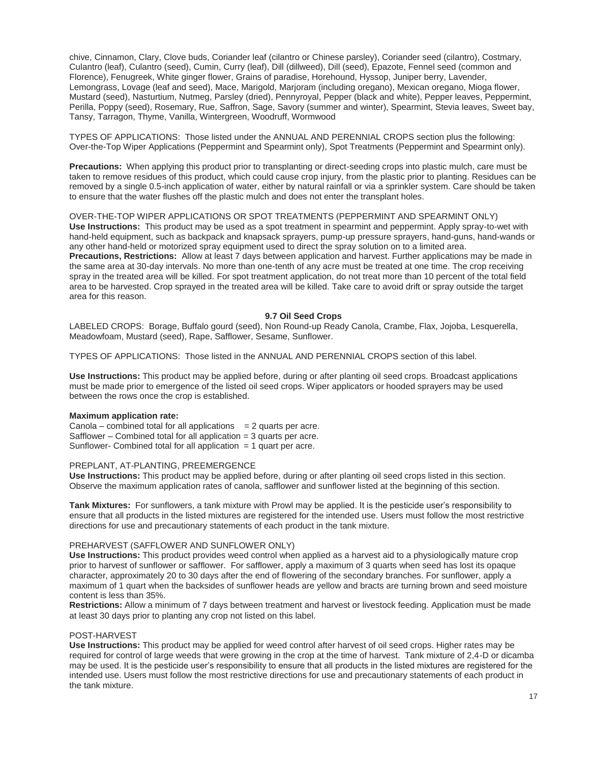chive, Cinnamon, Clary, Clove buds, Coriander leaf (cilantro or Chinese parsley), Coriander seed (cilantro), Costmary, Culantro (leaf), Culantro (seed), Cumin, Curry (leaf), Dill (dillweed), Dill (seed), Epazote, Fennel seed (common and Florence), Fenugreek, White ginger flower, Grains of paradise, Horehound, Hyssop, Juniper berry, Lavender, Lemongrass, Lovage (leaf and seed), Mace, Marigold, Marjoram (including oregano), Mexican oregano, Mioga flower, Mustard (seed), Nasturtium, Nutmeg, Parsley (dried), Pennyroyal, Pepper (black and white), Pepper leaves, Peppermint, Perilla, Poppy (seed), Rosemary, Rue, Saffron, Sage, Savory (summer and winter), Spearmint, Stevia leaves, Sweet bay, Tansy, Tarragon, Thyme, Vanilla, Wintergreen, Woodruff, Wormwood

TYPES OF APPLICATIONS: Those listed under the ANNUAL AND PERENNIAL CROPS section plus the following: Over-the-Top Wiper Applications (Peppermint and Spearmint only), Spot Treatments (Peppermint and Spearmint only).

**Precautions:** When applying this product prior to transplanting or direct-seeding crops into plastic mulch, care must be taken to remove residues of this product, which could cause crop injury, from the plastic prior to planting. Residues can be removed by a single 0.5-inch application of water, either by natural rainfall or via a sprinkler system. Care should be taken to ensure that the water flushes off the plastic mulch and does not enter the transplant holes.

OVER-THE-TOP WIPER APPLICATIONS OR SPOT TREATMENTS (PEPPERMINT AND SPEARMINT ONLY) **Use Instructions:** This product may be used as a spot treatment in spearmint and peppermint. Apply spray-to-wet with hand-held equipment, such as backpack and knapsack sprayers, pump-up pressure sprayers, hand-guns, hand-wands or any other hand-held or motorized spray equipment used to direct the spray solution on to a limited area. **Precautions, Restrictions:** Allow at least 7 days between application and harvest. Further applications may be made in the same area at 30-day intervals. No more than one-tenth of any acre must be treated at one time. The crop receiving spray in the treated area will be killed. For spot treatment application, do not treat more than 10 percent of the total field area to be harvested. Crop sprayed in the treated area will be killed. Take care to avoid drift or spray outside the target area for this reason.

#### **9.7 Oil Seed Crops**

LABELED CROPS: Borage, Buffalo gourd (seed), Non Round-up Ready Canola, Crambe, Flax, Jojoba, Lesquerella, Meadowfoam, Mustard (seed), Rape, Safflower, Sesame, Sunflower.

TYPES OF APPLICATIONS: Those listed in the ANNUAL AND PERENNIAL CROPS section of this label.

**Use Instructions:** This product may be applied before, during or after planting oil seed crops. Broadcast applications must be made prior to emergence of the listed oil seed crops. Wiper applicators or hooded sprayers may be used between the rows once the crop is established.

#### **Maximum application rate:**

Canola – combined total for all applications  $= 2$  quarts per acre. Safflower – Combined total for all application = 3 quarts per acre. Sunflower- Combined total for all application  $= 1$  quart per acre.

## PREPLANT, AT-PLANTING, PREEMERGENCE

**Use Instructions:** This product may be applied before, during or after planting oil seed crops listed in this section. Observe the maximum application rates of canola, safflower and sunflower listed at the beginning of this section.

**Tank Mixtures:** For sunflowers, a tank mixture with Prowl may be applied. It is the pesticide user's responsibility to ensure that all products in the listed mixtures are registered for the intended use. Users must follow the most restrictive directions for use and precautionary statements of each product in the tank mixture.

## PREHARVEST (SAFFLOWER AND SUNFLOWER ONLY)

**Use Instructions:** This product provides weed control when applied as a harvest aid to a physiologically mature crop prior to harvest of sunflower or safflower. For safflower, apply a maximum of 3 quarts when seed has lost its opaque character, approximately 20 to 30 days after the end of flowering of the secondary branches. For sunflower, apply a maximum of 1 quart when the backsides of sunflower heads are yellow and bracts are turning brown and seed moisture content is less than 35%.

**Restrictions:** Allow a minimum of 7 days between treatment and harvest or livestock feeding. Application must be made at least 30 days prior to planting any crop not listed on this label.

#### POST-HARVEST

**Use Instructions:** This product may be applied for weed control after harvest of oil seed crops. Higher rates may be required for control of large weeds that were growing in the crop at the time of harvest. Tank mixture of 2,4-D or dicamba may be used. It is the pesticide user's responsibility to ensure that all products in the listed mixtures are registered for the intended use. Users must follow the most restrictive directions for use and precautionary statements of each product in the tank mixture.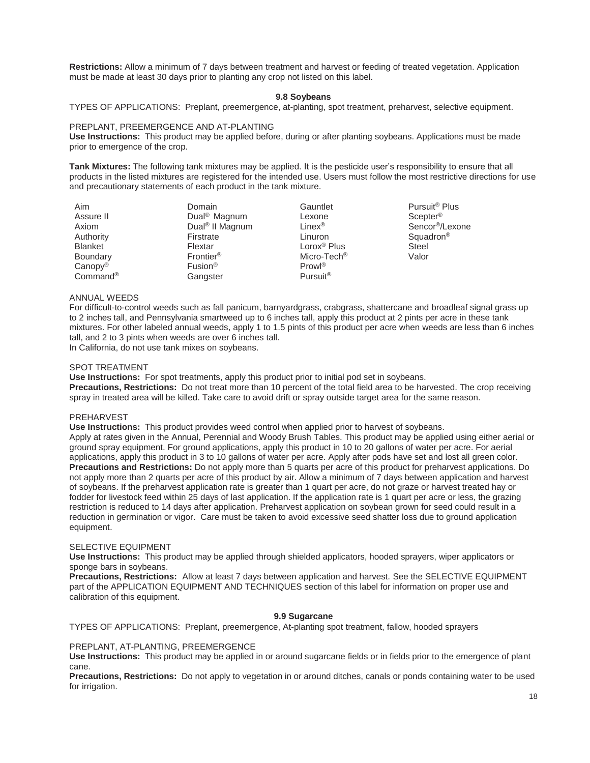**Restrictions:** Allow a minimum of 7 days between treatment and harvest or feeding of treated vegetation. Application must be made at least 30 days prior to planting any crop not listed on this label.

#### **9.8 Soybeans**

TYPES OF APPLICATIONS: Preplant, preemergence, at-planting, spot treatment, preharvest, selective equipment.

#### PREPLANT, PREEMERGENCE AND AT-PLANTING

**Use Instructions:** This product may be applied before, during or after planting soybeans. Applications must be made prior to emergence of the crop.

**Tank Mixtures:** The following tank mixtures may be applied. It is the pesticide user's responsibility to ensure that all products in the listed mixtures are registered for the intended use. Users must follow the most restrictive directions for use and precautionary statements of each product in the tank mixture.

| Aim                  | Domain                      | Gauntlet                | Pursuit <sup>®</sup> Plus   |
|----------------------|-----------------------------|-------------------------|-----------------------------|
| Assure II            | Dual <sup>®</sup> Magnum    | Lexone                  | Scepter <sup>®</sup>        |
| Axiom                | Dual <sup>®</sup> II Magnum | Linex <sup>®</sup>      | Sencor <sup>®</sup> /Lexone |
| Authority            | Firstrate                   | Linuron                 | Squadron <sup>®</sup>       |
| <b>Blanket</b>       | Flextar                     | Lorox <sup>®</sup> Plus | <b>Steel</b>                |
| Boundary             | Frontier <sup>®</sup>       | Micro-Tech <sup>®</sup> | Valor                       |
| $Canopy^{\circledR}$ | Fusion <sup>®</sup>         | Prow <sup>®</sup>       |                             |
| Common               | Gangster                    | Pursuit <sup>®</sup>    |                             |

#### ANNUAL WEEDS

For difficult-to-control weeds such as fall panicum, barnyardgrass, crabgrass, shattercane and broadleaf signal grass up to 2 inches tall, and Pennsylvania smartweed up to 6 inches tall, apply this product at 2 pints per acre in these tank mixtures. For other labeled annual weeds, apply 1 to 1.5 pints of this product per acre when weeds are less than 6 inches tall, and 2 to 3 pints when weeds are over 6 inches tall.

In California, do not use tank mixes on soybeans.

#### SPOT TREATMENT

**Use Instructions:** For spot treatments, apply this product prior to initial pod set in soybeans. **Precautions, Restrictions:** Do not treat more than 10 percent of the total field area to be harvested. The crop receiving spray in treated area will be killed. Take care to avoid drift or spray outside target area for the same reason.

#### PREHARVEST

**Use Instructions:** This product provides weed control when applied prior to harvest of soybeans. Apply at rates given in the Annual, Perennial and Woody Brush Tables. This product may be applied using either aerial or ground spray equipment. For ground applications, apply this product in 10 to 20 gallons of water per acre. For aerial applications, apply this product in 3 to 10 gallons of water per acre. Apply after pods have set and lost all green color. **Precautions and Restrictions:** Do not apply more than 5 quarts per acre of this product for preharvest applications. Do not apply more than 2 quarts per acre of this product by air. Allow a minimum of 7 days between application and harvest of soybeans. If the preharvest application rate is greater than 1 quart per acre, do not graze or harvest treated hay or fodder for livestock feed within 25 days of last application. If the application rate is 1 quart per acre or less, the grazing restriction is reduced to 14 days after application. Preharvest application on soybean grown for seed could result in a reduction in germination or vigor. Care must be taken to avoid excessive seed shatter loss due to ground application equipment.

#### SELECTIVE EQUIPMENT

**Use Instructions:** This product may be applied through shielded applicators, hooded sprayers, wiper applicators or sponge bars in soybeans.

**Precautions, Restrictions:** Allow at least 7 days between application and harvest. See the SELECTIVE EQUIPMENT part of the APPLICATION EQUIPMENT AND TECHNIQUES section of this label for information on proper use and calibration of this equipment.

## **9.9 Sugarcane**

TYPES OF APPLICATIONS: Preplant, preemergence, At-planting spot treatment, fallow, hooded sprayers

## PREPLANT, AT-PLANTING, PREEMERGENCE

**Use Instructions:** This product may be applied in or around sugarcane fields or in fields prior to the emergence of plant cane.

**Precautions, Restrictions:** Do not apply to vegetation in or around ditches, canals or ponds containing water to be used for irrigation.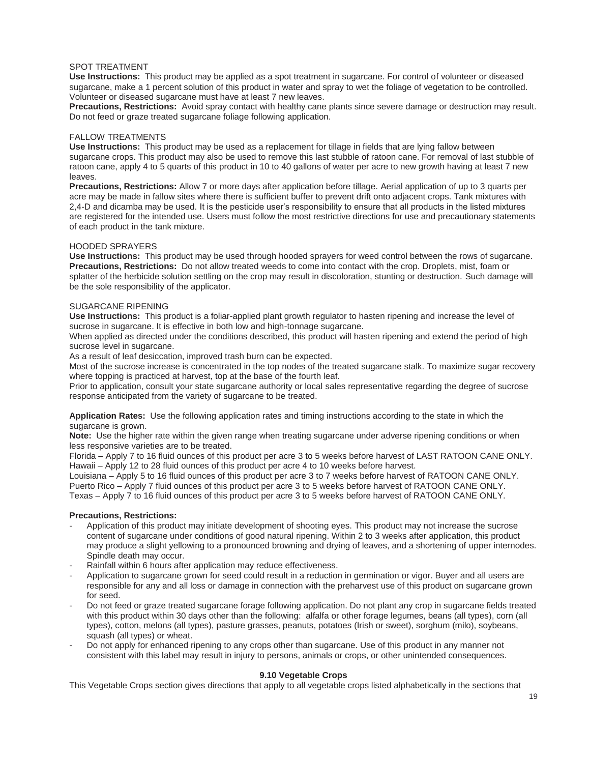## SPOT TREATMENT

**Use Instructions:** This product may be applied as a spot treatment in sugarcane. For control of volunteer or diseased sugarcane, make a 1 percent solution of this product in water and spray to wet the foliage of vegetation to be controlled. Volunteer or diseased sugarcane must have at least 7 new leaves.

**Precautions, Restrictions:** Avoid spray contact with healthy cane plants since severe damage or destruction may result. Do not feed or graze treated sugarcane foliage following application.

## FALLOW TREATMENTS

**Use Instructions:** This product may be used as a replacement for tillage in fields that are lying fallow between sugarcane crops. This product may also be used to remove this last stubble of ratoon cane. For removal of last stubble of ratoon cane, apply 4 to 5 quarts of this product in 10 to 40 gallons of water per acre to new growth having at least 7 new leaves.

**Precautions, Restrictions:** Allow 7 or more days after application before tillage. Aerial application of up to 3 quarts per acre may be made in fallow sites where there is sufficient buffer to prevent drift onto adjacent crops. Tank mixtures with 2,4-D and dicamba may be used. It is the pesticide user's responsibility to ensure that all products in the listed mixtures are registered for the intended use. Users must follow the most restrictive directions for use and precautionary statements of each product in the tank mixture.

## HOODED SPRAYERS

**Use Instructions:** This product may be used through hooded sprayers for weed control between the rows of sugarcane. **Precautions, Restrictions:** Do not allow treated weeds to come into contact with the crop. Droplets, mist, foam or splatter of the herbicide solution settling on the crop may result in discoloration, stunting or destruction. Such damage will be the sole responsibility of the applicator.

#### SUGARCANE RIPENING

**Use Instructions:** This product is a foliar-applied plant growth regulator to hasten ripening and increase the level of sucrose in sugarcane. It is effective in both low and high-tonnage sugarcane.

When applied as directed under the conditions described, this product will hasten ripening and extend the period of high sucrose level in sugarcane.

As a result of leaf desiccation, improved trash burn can be expected.

Most of the sucrose increase is concentrated in the top nodes of the treated sugarcane stalk. To maximize sugar recovery where topping is practiced at harvest, top at the base of the fourth leaf.

Prior to application, consult your state sugarcane authority or local sales representative regarding the degree of sucrose response anticipated from the variety of sugarcane to be treated.

**Application Rates:** Use the following application rates and timing instructions according to the state in which the sugarcane is grown.

**Note:** Use the higher rate within the given range when treating sugarcane under adverse ripening conditions or when less responsive varieties are to be treated.

Florida – Apply 7 to 16 fluid ounces of this product per acre 3 to 5 weeks before harvest of LAST RATOON CANE ONLY. Hawaii – Apply 12 to 28 fluid ounces of this product per acre 4 to 10 weeks before harvest.

Louisiana – Apply 5 to 16 fluid ounces of this product per acre 3 to 7 weeks before harvest of RATOON CANE ONLY. Puerto Rico – Apply 7 fluid ounces of this product per acre 3 to 5 weeks before harvest of RATOON CANE ONLY. Texas – Apply 7 to 16 fluid ounces of this product per acre 3 to 5 weeks before harvest of RATOON CANE ONLY.

## **Precautions, Restrictions:**

- Application of this product may initiate development of shooting eyes. This product may not increase the sucrose content of sugarcane under conditions of good natural ripening. Within 2 to 3 weeks after application, this product may produce a slight yellowing to a pronounced browning and drying of leaves, and a shortening of upper internodes. Spindle death may occur.
- Rainfall within 6 hours after application may reduce effectiveness.
- Application to sugarcane grown for seed could result in a reduction in germination or vigor. Buyer and all users are responsible for any and all loss or damage in connection with the preharvest use of this product on sugarcane grown for seed.
- Do not feed or graze treated sugarcane forage following application. Do not plant any crop in sugarcane fields treated with this product within 30 days other than the following: alfalfa or other forage legumes, beans (all types), corn (all types), cotton, melons (all types), pasture grasses, peanuts, potatoes (Irish or sweet), sorghum (milo), soybeans, squash (all types) or wheat.
- Do not apply for enhanced ripening to any crops other than sugarcane. Use of this product in any manner not consistent with this label may result in injury to persons, animals or crops, or other unintended consequences.

## **9.10 Vegetable Crops**

This Vegetable Crops section gives directions that apply to all vegetable crops listed alphabetically in the sections that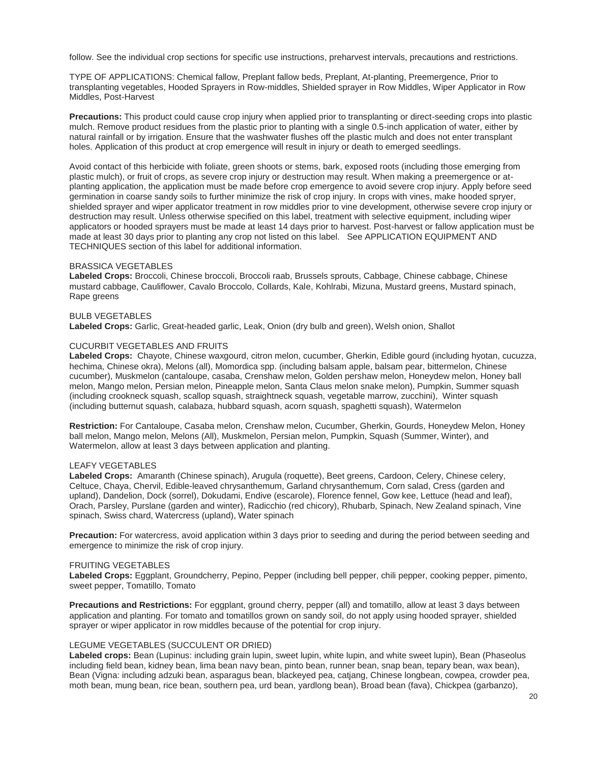follow. See the individual crop sections for specific use instructions, preharvest intervals, precautions and restrictions.

TYPE OF APPLICATIONS: Chemical fallow, Preplant fallow beds, Preplant, At-planting, Preemergence, Prior to transplanting vegetables, Hooded Sprayers in Row-middles, Shielded sprayer in Row Middles, Wiper Applicator in Row Middles, Post-Harvest

**Precautions:** This product could cause crop injury when applied prior to transplanting or direct-seeding crops into plastic mulch. Remove product residues from the plastic prior to planting with a single 0.5-inch application of water, either by natural rainfall or by irrigation. Ensure that the washwater flushes off the plastic mulch and does not enter transplant holes. Application of this product at crop emergence will result in injury or death to emerged seedlings.

Avoid contact of this herbicide with foliate, green shoots or stems, bark, exposed roots (including those emerging from plastic mulch), or fruit of crops, as severe crop injury or destruction may result. When making a preemergence or atplanting application, the application must be made before crop emergence to avoid severe crop injury. Apply before seed germination in coarse sandy soils to further minimize the risk of crop injury. In crops with vines, make hooded spryer, shielded sprayer and wiper applicator treatment in row middles prior to vine development, otherwise severe crop injury or destruction may result. Unless otherwise specified on this label, treatment with selective equipment, including wiper applicators or hooded sprayers must be made at least 14 days prior to harvest. Post-harvest or fallow application must be made at least 30 days prior to planting any crop not listed on this label. See APPLICATION EQUIPMENT AND TECHNIQUES section of this label for additional information.

#### BRASSICA VEGETABLES

**Labeled Crops:** Broccoli, Chinese broccoli, Broccoli raab, Brussels sprouts, Cabbage, Chinese cabbage, Chinese mustard cabbage, Cauliflower, Cavalo Broccolo, Collards, Kale, Kohlrabi, Mizuna, Mustard greens, Mustard spinach, Rape greens

#### BULB VEGETABLES

**Labeled Crops:** Garlic, Great-headed garlic, Leak, Onion (dry bulb and green), Welsh onion, Shallot

#### CUCURBIT VEGETABLES AND FRUITS

**Labeled Crops:** Chayote, Chinese waxgourd, citron melon, cucumber, Gherkin, Edible gourd (including hyotan, cucuzza, hechima, Chinese okra), Melons (all), Momordica spp. (including balsam apple, balsam pear, bittermelon, Chinese cucumber), Muskmelon (cantaloupe, casaba, Crenshaw melon, Golden pershaw melon, Honeydew melon, Honey ball melon, Mango melon, Persian melon, Pineapple melon, Santa Claus melon snake melon), Pumpkin, Summer squash (including crookneck squash, scallop squash, straightneck squash, vegetable marrow, zucchini), Winter squash (including butternut squash, calabaza, hubbard squash, acorn squash, spaghetti squash), Watermelon

**Restriction:** For Cantaloupe, Casaba melon, Crenshaw melon, Cucumber, Gherkin, Gourds, Honeydew Melon, Honey ball melon, Mango melon, Melons (All), Muskmelon, Persian melon, Pumpkin, Squash (Summer, Winter), and Watermelon, allow at least 3 days between application and planting.

## LEAFY VEGETABLES

**Labeled Crops:** Amaranth (Chinese spinach), Arugula (roquette), Beet greens, Cardoon, Celery, Chinese celery, Celtuce, Chaya, Chervil, Edible-leaved chrysanthemum, Garland chrysanthemum, Corn salad, Cress (garden and upland), Dandelion, Dock (sorrel), Dokudami, Endive (escarole), Florence fennel, Gow kee, Lettuce (head and leaf), Orach, Parsley, Purslane (garden and winter), Radicchio (red chicory), Rhubarb, Spinach, New Zealand spinach, Vine spinach, Swiss chard, Watercress (upland), Water spinach

**Precaution:** For watercress, avoid application within 3 days prior to seeding and during the period between seeding and emergence to minimize the risk of crop injury.

#### FRUITING VEGETABLES

**Labeled Crops:** Eggplant, Groundcherry, Pepino, Pepper (including bell pepper, chili pepper, cooking pepper, pimento, sweet pepper, Tomatillo, Tomato

**Precautions and Restrictions:** For eggplant, ground cherry, pepper (all) and tomatillo, allow at least 3 days between application and planting. For tomato and tomatillos grown on sandy soil, do not apply using hooded sprayer, shielded sprayer or wiper applicator in row middles because of the potential for crop injury.

#### LEGUME VEGETABLES (SUCCULENT OR DRIED)

**Labeled crops:** Bean (Lupinus: including grain lupin, sweet lupin, white lupin, and white sweet lupin), Bean (Phaseolus including field bean, kidney bean, lima bean navy bean, pinto bean, runner bean, snap bean, tepary bean, wax bean), Bean (Vigna: including adzuki bean, asparagus bean, blackeyed pea, catjang, Chinese longbean, cowpea, crowder pea, moth bean, mung bean, rice bean, southern pea, urd bean, yardlong bean), Broad bean (fava), Chickpea (garbanzo),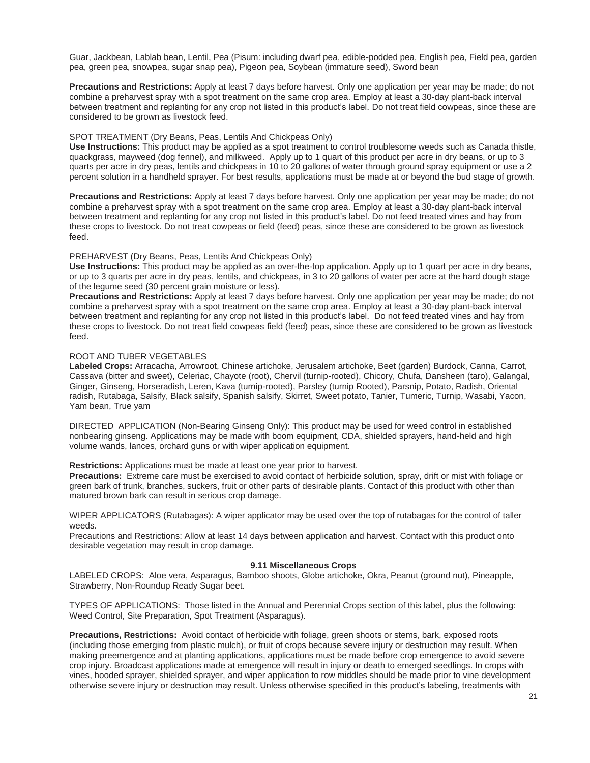Guar, Jackbean, Lablab bean, Lentil, Pea (Pisum: including dwarf pea, edible-podded pea, English pea, Field pea, garden pea, green pea, snowpea, sugar snap pea), Pigeon pea, Soybean (immature seed), Sword bean

**Precautions and Restrictions:** Apply at least 7 days before harvest. Only one application per year may be made; do not combine a preharvest spray with a spot treatment on the same crop area. Employ at least a 30-day plant-back interval between treatment and replanting for any crop not listed in this product's label. Do not treat field cowpeas, since these are considered to be grown as livestock feed.

## SPOT TREATMENT (Dry Beans, Peas, Lentils And Chickpeas Only)

**Use Instructions:** This product may be applied as a spot treatment to control troublesome weeds such as Canada thistle, quackgrass, mayweed (dog fennel), and milkweed. Apply up to 1 quart of this product per acre in dry beans, or up to 3 quarts per acre in dry peas, lentils and chickpeas in 10 to 20 gallons of water through ground spray equipment or use a 2 percent solution in a handheld sprayer. For best results, applications must be made at or beyond the bud stage of growth.

**Precautions and Restrictions:** Apply at least 7 days before harvest. Only one application per year may be made; do not combine a preharvest spray with a spot treatment on the same crop area. Employ at least a 30-day plant-back interval between treatment and replanting for any crop not listed in this product's label. Do not feed treated vines and hay from these crops to livestock. Do not treat cowpeas or field (feed) peas, since these are considered to be grown as livestock feed.

#### PREHARVEST (Dry Beans, Peas, Lentils And Chickpeas Only)

**Use Instructions:** This product may be applied as an over-the-top application. Apply up to 1 quart per acre in dry beans, or up to 3 quarts per acre in dry peas, lentils, and chickpeas, in 3 to 20 gallons of water per acre at the hard dough stage of the legume seed (30 percent grain moisture or less).

**Precautions and Restrictions:** Apply at least 7 days before harvest. Only one application per year may be made; do not combine a preharvest spray with a spot treatment on the same crop area. Employ at least a 30-day plant-back interval between treatment and replanting for any crop not listed in this product's label. Do not feed treated vines and hay from these crops to livestock. Do not treat field cowpeas field (feed) peas, since these are considered to be grown as livestock feed.

#### ROOT AND TUBER VEGETABLES

**Labeled Crops:** Arracacha, Arrowroot, Chinese artichoke, Jerusalem artichoke, Beet (garden) Burdock, Canna, Carrot, Cassava (bitter and sweet), Celeriac, Chayote (root), Chervil (turnip-rooted), Chicory, Chufa, Dansheen (taro), Galangal, Ginger, Ginseng, Horseradish, Leren, Kava (turnip-rooted), Parsley (turnip Rooted), Parsnip, Potato, Radish, Oriental radish, Rutabaga, Salsify, Black salsify, Spanish salsify, Skirret, Sweet potato, Tanier, Tumeric, Turnip, Wasabi, Yacon, Yam bean, True yam

DIRECTED APPLICATION (Non-Bearing Ginseng Only): This product may be used for weed control in established nonbearing ginseng. Applications may be made with boom equipment, CDA, shielded sprayers, hand-held and high volume wands, lances, orchard guns or with wiper application equipment.

**Restrictions:** Applications must be made at least one year prior to harvest.

**Precautions:** Extreme care must be exercised to avoid contact of herbicide solution, spray, drift or mist with foliage or green bark of trunk, branches, suckers, fruit or other parts of desirable plants. Contact of this product with other than matured brown bark can result in serious crop damage.

WIPER APPLICATORS (Rutabagas): A wiper applicator may be used over the top of rutabagas for the control of taller weeds.

Precautions and Restrictions: Allow at least 14 days between application and harvest. Contact with this product onto desirable vegetation may result in crop damage.

#### **9.11 Miscellaneous Crops**

LABELED CROPS:Aloe vera, Asparagus, Bamboo shoots, Globe artichoke, Okra, Peanut (ground nut), Pineapple, Strawberry, Non-Roundup Ready Sugar beet.

TYPES OF APPLICATIONS: Those listed in the Annual and Perennial Crops section of this label, plus the following: Weed Control, Site Preparation, Spot Treatment (Asparagus).

**Precautions, Restrictions:** Avoid contact of herbicide with foliage, green shoots or stems, bark, exposed roots (including those emerging from plastic mulch), or fruit of crops because severe injury or destruction may result. When making preemergence and at planting applications, applications must be made before crop emergence to avoid severe crop injury. Broadcast applications made at emergence will result in injury or death to emerged seedlings. In crops with vines, hooded sprayer, shielded sprayer, and wiper application to row middles should be made prior to vine development otherwise severe injury or destruction may result. Unless otherwise specified in this product's labeling, treatments with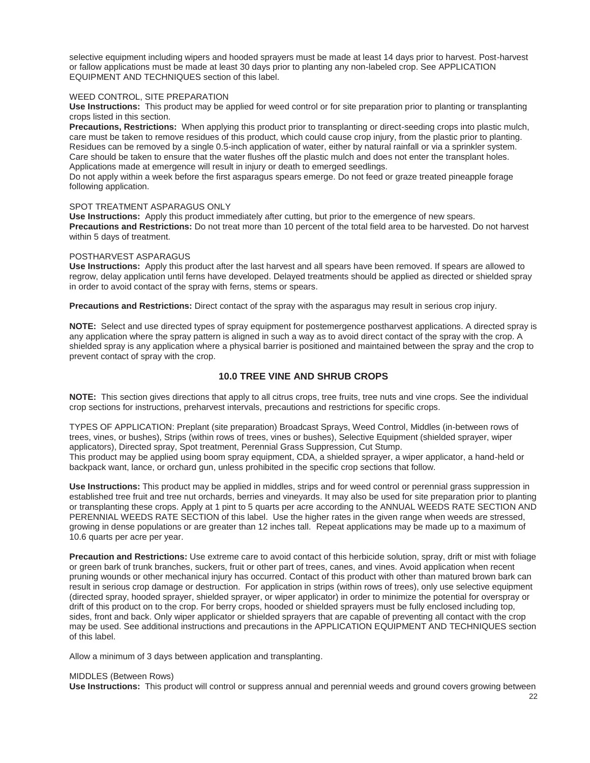selective equipment including wipers and hooded sprayers must be made at least 14 days prior to harvest. Post-harvest or fallow applications must be made at least 30 days prior to planting any non-labeled crop. See APPLICATION EQUIPMENT AND TECHNIQUES section of this label.

#### WEED CONTROL, SITE PREPARATION

**Use Instructions:** This product may be applied for weed control or for site preparation prior to planting or transplanting crops listed in this section.

**Precautions, Restrictions:** When applying this product prior to transplanting or direct-seeding crops into plastic mulch, care must be taken to remove residues of this product, which could cause crop injury, from the plastic prior to planting. Residues can be removed by a single 0.5-inch application of water, either by natural rainfall or via a sprinkler system. Care should be taken to ensure that the water flushes off the plastic mulch and does not enter the transplant holes. Applications made at emergence will result in injury or death to emerged seedlings.

Do not apply within a week before the first asparagus spears emerge. Do not feed or graze treated pineapple forage following application.

## SPOT TREATMENT ASPARAGUS ONLY

**Use Instructions:** Apply this product immediately after cutting, but prior to the emergence of new spears. **Precautions and Restrictions:** Do not treat more than 10 percent of the total field area to be harvested. Do not harvest within 5 days of treatment.

#### POSTHARVEST ASPARAGUS

**Use Instructions:** Apply this product after the last harvest and all spears have been removed. If spears are allowed to regrow, delay application until ferns have developed. Delayed treatments should be applied as directed or shielded spray in order to avoid contact of the spray with ferns, stems or spears.

**Precautions and Restrictions:** Direct contact of the spray with the asparagus may result in serious crop injury.

**NOTE:** Select and use directed types of spray equipment for postemergence postharvest applications. A directed spray is any application where the spray pattern is aligned in such a way as to avoid direct contact of the spray with the crop. A shielded spray is any application where a physical barrier is positioned and maintained between the spray and the crop to prevent contact of spray with the crop.

## **10.0 TREE VINE AND SHRUB CROPS**

**NOTE:** This section gives directions that apply to all citrus crops, tree fruits, tree nuts and vine crops. See the individual crop sections for instructions, preharvest intervals, precautions and restrictions for specific crops.

TYPES OF APPLICATION: Preplant (site preparation) Broadcast Sprays, Weed Control, Middles (in-between rows of trees, vines, or bushes), Strips (within rows of trees, vines or bushes), Selective Equipment (shielded sprayer, wiper applicators), Directed spray, Spot treatment, Perennial Grass Suppression, Cut Stump. This product may be applied using boom spray equipment, CDA, a shielded sprayer, a wiper applicator, a hand-held or backpack want, lance, or orchard gun, unless prohibited in the specific crop sections that follow.

**Use Instructions:** This product may be applied in middles, strips and for weed control or perennial grass suppression in established tree fruit and tree nut orchards, berries and vineyards. It may also be used for site preparation prior to planting or transplanting these crops. Apply at 1 pint to 5 quarts per acre according to the ANNUAL WEEDS RATE SECTION AND PERENNIAL WEEDS RATE SECTION of this label. Use the higher rates in the given range when weeds are stressed, growing in dense populations or are greater than 12 inches tall. Repeat applications may be made up to a maximum of 10.6 quarts per acre per year.

**Precaution and Restrictions:** Use extreme care to avoid contact of this herbicide solution, spray, drift or mist with foliage or green bark of trunk branches, suckers, fruit or other part of trees, canes, and vines. Avoid application when recent pruning wounds or other mechanical injury has occurred. Contact of this product with other than matured brown bark can result in serious crop damage or destruction. For application in strips (within rows of trees), only use selective equipment (directed spray, hooded sprayer, shielded sprayer, or wiper applicator) in order to minimize the potential for overspray or drift of this product on to the crop. For berry crops, hooded or shielded sprayers must be fully enclosed including top, sides, front and back. Only wiper applicator or shielded sprayers that are capable of preventing all contact with the crop may be used. See additional instructions and precautions in the APPLICATION EQUIPMENT AND TECHNIQUES section of this label.

Allow a minimum of 3 days between application and transplanting.

## MIDDLES (Between Rows)

**Use Instructions:** This product will control or suppress annual and perennial weeds and ground covers growing between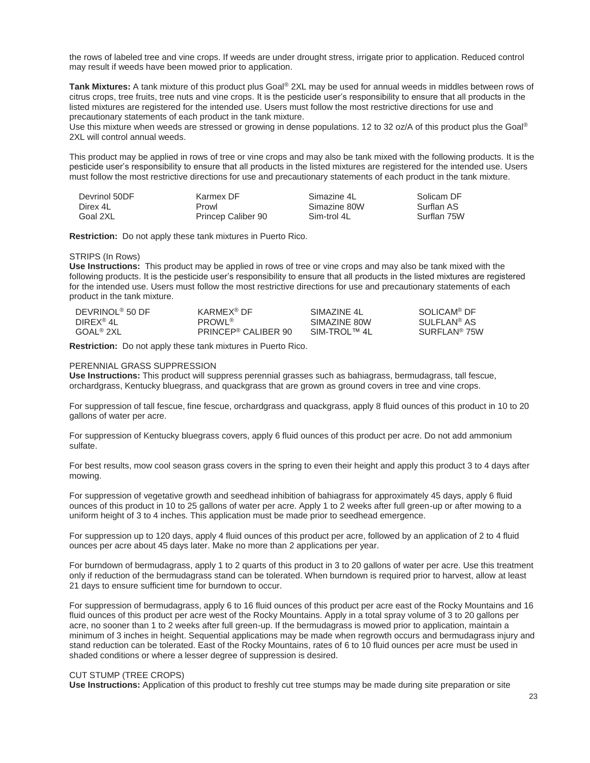the rows of labeled tree and vine crops. If weeds are under drought stress, irrigate prior to application. Reduced control may result if weeds have been mowed prior to application.

**Tank Mixtures:** A tank mixture of this product plus Goal® 2XL may be used for annual weeds in middles between rows of citrus crops, tree fruits, tree nuts and vine crops. It is the pesticide user's responsibility to ensure that all products in the listed mixtures are registered for the intended use. Users must follow the most restrictive directions for use and precautionary statements of each product in the tank mixture.

Use this mixture when weeds are stressed or growing in dense populations. 12 to 32 oz/A of this product plus the Goal® 2XL will control annual weeds.

This product may be applied in rows of tree or vine crops and may also be tank mixed with the following products. It is the pesticide user's responsibility to ensure that all products in the listed mixtures are registered for the intended use. Users must follow the most restrictive directions for use and precautionary statements of each product in the tank mixture.

| Devrinol 50DF | Karmex DF          | Simazine 4L  | Solicam DF  |
|---------------|--------------------|--------------|-------------|
| Direx 4L      | Prowl              | Simazine 80W | Surflan AS  |
| Goal 2XL      | Princep Caliber 90 | Sim-trol 4L  | Surflan 75W |

**Restriction:** Do not apply these tank mixtures in Puerto Rico.

#### STRIPS (In Rows)

**Use Instructions:** This product may be applied in rows of tree or vine crops and may also be tank mixed with the following products. It is the pesticide user's responsibility to ensure that all products in the listed mixtures are registered for the intended use. Users must follow the most restrictive directions for use and precautionary statements of each product in the tank mixture.

| DEVRINOL <sup>®</sup> 50 DF | KARMEX <sup>®</sup> DF          | SIMAZINE 4L     | SOLICAM <sup>®</sup> DF  |
|-----------------------------|---------------------------------|-----------------|--------------------------|
| DIREX® 4L                   | PROWL <sup>®</sup>              | SIMAZINE 80W    | SULFLAN <sup>®</sup> AS  |
| GOAL® 2XL                   | PRINCEP <sup>®</sup> CALIBER 90 | $SIM-TROI$ ™ 41 | SURFLAN <sup>®</sup> 75W |

**Restriction:** Do not apply these tank mixtures in Puerto Rico.

#### PERENNIAL GRASS SUPPRESSION

**Use Instructions:** This product will suppress perennial grasses such as bahiagrass, bermudagrass, tall fescue, orchardgrass, Kentucky bluegrass, and quackgrass that are grown as ground covers in tree and vine crops.

For suppression of tall fescue, fine fescue, orchardgrass and quackgrass, apply 8 fluid ounces of this product in 10 to 20 gallons of water per acre.

For suppression of Kentucky bluegrass covers, apply 6 fluid ounces of this product per acre. Do not add ammonium sulfate.

For best results, mow cool season grass covers in the spring to even their height and apply this product 3 to 4 days after mowing.

For suppression of vegetative growth and seedhead inhibition of bahiagrass for approximately 45 days, apply 6 fluid ounces of this product in 10 to 25 gallons of water per acre. Apply 1 to 2 weeks after full green-up or after mowing to a uniform height of 3 to 4 inches. This application must be made prior to seedhead emergence.

For suppression up to 120 days, apply 4 fluid ounces of this product per acre, followed by an application of 2 to 4 fluid ounces per acre about 45 days later. Make no more than 2 applications per year.

For burndown of bermudagrass, apply 1 to 2 quarts of this product in 3 to 20 gallons of water per acre. Use this treatment only if reduction of the bermudagrass stand can be tolerated. When burndown is required prior to harvest, allow at least 21 days to ensure sufficient time for burndown to occur.

For suppression of bermudagrass, apply 6 to 16 fluid ounces of this product per acre east of the Rocky Mountains and 16 fluid ounces of this product per acre west of the Rocky Mountains. Apply in a total spray volume of 3 to 20 gallons per acre, no sooner than 1 to 2 weeks after full green-up. If the bermudagrass is mowed prior to application, maintain a minimum of 3 inches in height. Sequential applications may be made when regrowth occurs and bermudagrass injury and stand reduction can be tolerated. East of the Rocky Mountains, rates of 6 to 10 fluid ounces per acre must be used in shaded conditions or where a lesser degree of suppression is desired.

#### CUT STUMP (TREE CROPS)

**Use Instructions:** Application of this product to freshly cut tree stumps may be made during site preparation or site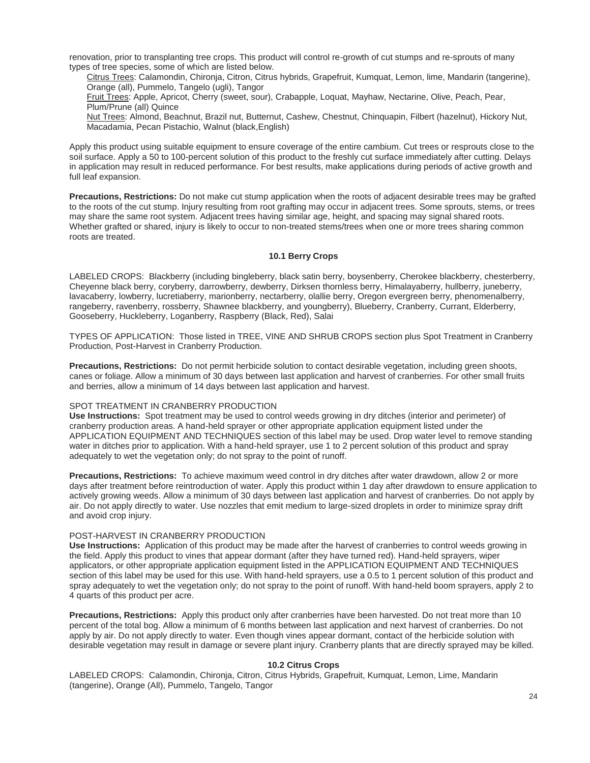renovation, prior to transplanting tree crops. This product will control re-growth of cut stumps and re-sprouts of many types of tree species, some of which are listed below.

 Citrus Trees: Calamondin, Chironja, Citron, Citrus hybrids, Grapefruit, Kumquat, Lemon, lime, Mandarin (tangerine), Orange (all), Pummelo, Tangelo (ugli), Tangor

 Fruit Trees: Apple, Apricot, Cherry (sweet, sour), Crabapple, Loquat, Mayhaw, Nectarine, Olive, Peach, Pear, Plum/Prune (all) Quince

 Nut Trees: Almond, Beachnut, Brazil nut, Butternut, Cashew, Chestnut, Chinquapin, Filbert (hazelnut), Hickory Nut, Macadamia, Pecan Pistachio, Walnut (black,English)

Apply this product using suitable equipment to ensure coverage of the entire cambium. Cut trees or resprouts close to the soil surface. Apply a 50 to 100-percent solution of this product to the freshly cut surface immediately after cutting. Delays in application may result in reduced performance. For best results, make applications during periods of active growth and full leaf expansion.

**Precautions, Restrictions:** Do not make cut stump application when the roots of adjacent desirable trees may be grafted to the roots of the cut stump. Injury resulting from root grafting may occur in adjacent trees. Some sprouts, stems, or trees may share the same root system. Adjacent trees having similar age, height, and spacing may signal shared roots. Whether grafted or shared, injury is likely to occur to non-treated stems/trees when one or more trees sharing common roots are treated.

#### **10.1 Berry Crops**

LABELED CROPS: Blackberry (including bingleberry, black satin berry, boysenberry, Cherokee blackberry, chesterberry, Cheyenne black berry, coryberry, darrowberry, dewberry, Dirksen thornless berry, Himalayaberry, hullberry, juneberry, lavacaberry, lowberry, lucretiaberry, marionberry, nectarberry, olallie berry, Oregon evergreen berry, phenomenalberry, rangeberry, ravenberry, rossberry, Shawnee blackberry, and youngberry), Blueberry, Cranberry, Currant, Elderberry, Gooseberry, Huckleberry, Loganberry, Raspberry (Black, Red), Salai

TYPES OF APPLICATION: Those listed in TREE, VINE AND SHRUB CROPS section plus Spot Treatment in Cranberry Production, Post-Harvest in Cranberry Production.

**Precautions, Restrictions:** Do not permit herbicide solution to contact desirable vegetation, including green shoots, canes or foliage. Allow a minimum of 30 days between last application and harvest of cranberries. For other small fruits and berries, allow a minimum of 14 days between last application and harvest.

#### SPOT TREATMENT IN CRANBERRY PRODUCTION

**Use Instructions:** Spot treatment may be used to control weeds growing in dry ditches (interior and perimeter) of cranberry production areas. A hand-held sprayer or other appropriate application equipment listed under the APPLICATION EQUIPMENT AND TECHNIQUES section of this label may be used. Drop water level to remove standing water in ditches prior to application. With a hand-held sprayer, use 1 to 2 percent solution of this product and spray adequately to wet the vegetation only; do not spray to the point of runoff.

**Precautions, Restrictions:** To achieve maximum weed control in dry ditches after water drawdown, allow 2 or more days after treatment before reintroduction of water. Apply this product within 1 day after drawdown to ensure application to actively growing weeds. Allow a minimum of 30 days between last application and harvest of cranberries. Do not apply by air. Do not apply directly to water. Use nozzles that emit medium to large-sized droplets in order to minimize spray drift and avoid crop injury.

## POST-HARVEST IN CRANBERRY PRODUCTION

**Use Instructions:** Application of this product may be made after the harvest of cranberries to control weeds growing in the field. Apply this product to vines that appear dormant (after they have turned red). Hand-held sprayers, wiper applicators, or other appropriate application equipment listed in the APPLICATION EQUIPMENT AND TECHNIQUES section of this label may be used for this use. With hand-held sprayers, use a 0.5 to 1 percent solution of this product and spray adequately to wet the vegetation only; do not spray to the point of runoff. With hand-held boom sprayers, apply 2 to 4 quarts of this product per acre.

**Precautions, Restrictions:** Apply this product only after cranberries have been harvested. Do not treat more than 10 percent of the total bog. Allow a minimum of 6 months between last application and next harvest of cranberries. Do not apply by air. Do not apply directly to water. Even though vines appear dormant, contact of the herbicide solution with desirable vegetation may result in damage or severe plant injury. Cranberry plants that are directly sprayed may be killed.

## **10.2 Citrus Crops**

LABELED CROPS: Calamondin, Chironja, Citron, Citrus Hybrids, Grapefruit, Kumquat, Lemon, Lime, Mandarin (tangerine), Orange (All), Pummelo, Tangelo, Tangor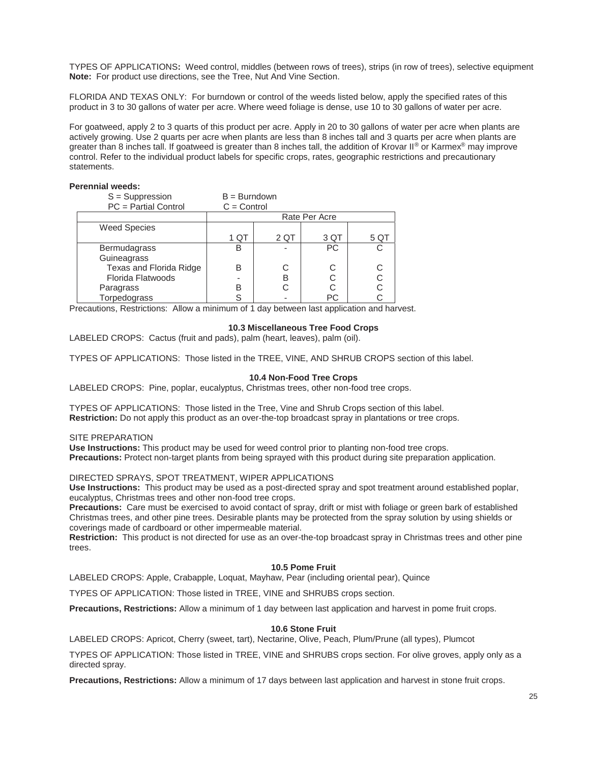TYPES OF APPLICATIONS**:** Weed control, middles (between rows of trees), strips (in row of trees), selective equipment **Note:** For product use directions, see the Tree, Nut And Vine Section.

FLORIDA AND TEXAS ONLY: For burndown or control of the weeds listed below, apply the specified rates of this product in 3 to 30 gallons of water per acre. Where weed foliage is dense, use 10 to 30 gallons of water per acre.

For goatweed, apply 2 to 3 quarts of this product per acre. Apply in 20 to 30 gallons of water per acre when plants are actively growing. Use 2 quarts per acre when plants are less than 8 inches tall and 3 quarts per acre when plants are greater than 8 inches tall. If goatweed is greater than 8 inches tall, the addition of Krovar II® or Karmex® may improve control. Refer to the individual product labels for specific crops, rates, geographic restrictions and precautionary statements.

## **Perennial weeds:**

| $S =$ Suppression       | $B = Burndown$ |      |               |      |
|-------------------------|----------------|------|---------------|------|
| PC = Partial Control    | $C =$ Control  |      |               |      |
|                         |                |      | Rate Per Acre |      |
| <b>Weed Species</b>     |                |      |               |      |
|                         | 1 QT           | 2 QT | 3 QT          | 5 QT |
| Bermudagrass            | B              |      | <b>PC</b>     |      |
| Guineagrass             |                |      |               |      |
| Texas and Florida Ridge | B              | C    | С             |      |
| Florida Flatwoods       |                | B    |               |      |
| Paragrass               | в              |      | С             |      |
| Torpedograss            | S              |      | PC            |      |

Precautions, Restrictions: Allow a minimum of 1 day between last application and harvest.

#### **10.3 Miscellaneous Tree Food Crops**

LABELED CROPS: Cactus (fruit and pads), palm (heart, leaves), palm (oil).

TYPES OF APPLICATIONS: Those listed in the TREE, VINE, AND SHRUB CROPS section of this label.

#### **10.4 Non-Food Tree Crops**

LABELED CROPS: Pine, poplar, eucalyptus, Christmas trees, other non-food tree crops.

TYPES OF APPLICATIONS: Those listed in the Tree, Vine and Shrub Crops section of this label. **Restriction:** Do not apply this product as an over-the-top broadcast spray in plantations or tree crops.

#### SITE PREPARATION

**Use Instructions:** This product may be used for weed control prior to planting non-food tree crops. **Precautions:** Protect non-target plants from being sprayed with this product during site preparation application.

DIRECTED SPRAYS, SPOT TREATMENT, WIPER APPLICATIONS

**Use Instructions:** This product may be used as a post-directed spray and spot treatment around established poplar, eucalyptus, Christmas trees and other non-food tree crops.

**Precautions:** Care must be exercised to avoid contact of spray, drift or mist with foliage or green bark of established Christmas trees, and other pine trees. Desirable plants may be protected from the spray solution by using shields or coverings made of cardboard or other impermeable material.

**Restriction:** This product is not directed for use as an over-the-top broadcast spray in Christmas trees and other pine trees.

#### **10.5 Pome Fruit**

LABELED CROPS: Apple, Crabapple, Loquat, Mayhaw, Pear (including oriental pear), Quince

TYPES OF APPLICATION: Those listed in TREE, VINE and SHRUBS crops section.

**Precautions, Restrictions:** Allow a minimum of 1 day between last application and harvest in pome fruit crops.

#### **10.6 Stone Fruit**

LABELED CROPS: Apricot, Cherry (sweet, tart), Nectarine, Olive, Peach, Plum/Prune (all types), Plumcot

TYPES OF APPLICATION: Those listed in TREE, VINE and SHRUBS crops section. For olive groves, apply only as a directed spray.

**Precautions, Restrictions:** Allow a minimum of 17 days between last application and harvest in stone fruit crops.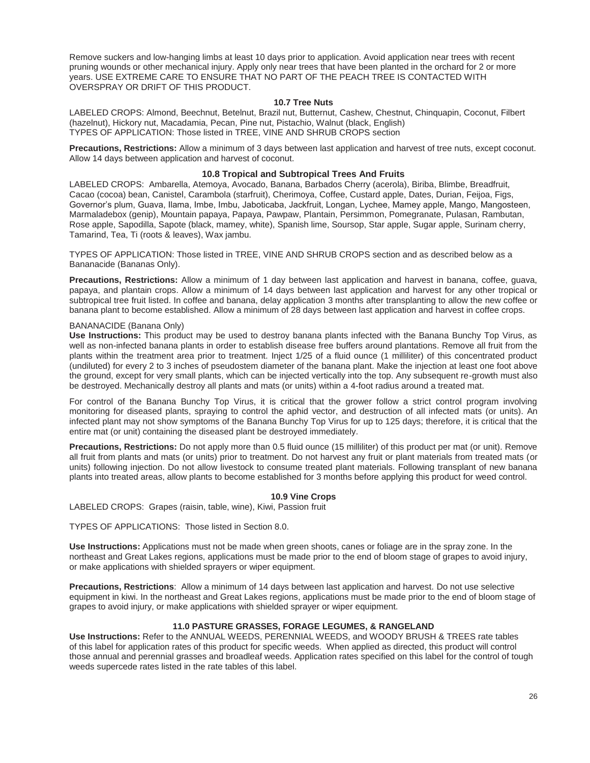Remove suckers and low-hanging limbs at least 10 days prior to application. Avoid application near trees with recent pruning wounds or other mechanical injury. Apply only near trees that have been planted in the orchard for 2 or more years. USE EXTREME CARE TO ENSURE THAT NO PART OF THE PEACH TREE IS CONTACTED WITH OVERSPRAY OR DRIFT OF THIS PRODUCT.

#### **10.7 Tree Nuts**

LABELED CROPS: Almond, Beechnut, Betelnut, Brazil nut, Butternut, Cashew, Chestnut, Chinquapin, Coconut, Filbert (hazelnut), Hickory nut, Macadamia, Pecan, Pine nut, Pistachio, Walnut (black, English) TYPES OF APPLICATION: Those listed in TREE, VINE AND SHRUB CROPS section

**Precautions, Restrictions:** Allow a minimum of 3 days between last application and harvest of tree nuts, except coconut. Allow 14 days between application and harvest of coconut.

#### **10.8 Tropical and Subtropical Trees And Fruits**

LABELED CROPS: Ambarella, Atemoya, Avocado, Banana, Barbados Cherry (acerola), Biriba, Blimbe, Breadfruit, Cacao (cocoa) bean, Canistel, Carambola (starfruit), Cherimoya, Coffee, Custard apple, Dates, Durian, Feijoa, Figs, Governor's plum, Guava, Ilama, Imbe, Imbu, Jaboticaba, Jackfruit, Longan, Lychee, Mamey apple, Mango, Mangosteen, Marmaladebox (genip), Mountain papaya, Papaya, Pawpaw, Plantain, Persimmon, Pomegranate, Pulasan, Rambutan, Rose apple, Sapodilla, Sapote (black, mamey, white), Spanish lime, Soursop, Star apple, Sugar apple, Surinam cherry, Tamarind, Tea, Ti (roots & leaves), Wax jambu.

TYPES OF APPLICATION: Those listed in TREE, VINE AND SHRUB CROPS section and as described below as a Bananacide (Bananas Only).

**Precautions, Restrictions:** Allow a minimum of 1 day between last application and harvest in banana, coffee, guava, papaya, and plantain crops. Allow a minimum of 14 days between last application and harvest for any other tropical or subtropical tree fruit listed. In coffee and banana, delay application 3 months after transplanting to allow the new coffee or banana plant to become established. Allow a minimum of 28 days between last application and harvest in coffee crops.

#### BANANACIDE (Banana Only)

**Use Instructions:** This product may be used to destroy banana plants infected with the Banana Bunchy Top Virus, as well as non-infected banana plants in order to establish disease free buffers around plantations. Remove all fruit from the plants within the treatment area prior to treatment. Inject 1/25 of a fluid ounce (1 milliliter) of this concentrated product (undiluted) for every 2 to 3 inches of pseudostem diameter of the banana plant. Make the injection at least one foot above the ground, except for very small plants, which can be injected vertically into the top. Any subsequent re-growth must also be destroyed. Mechanically destroy all plants and mats (or units) within a 4-foot radius around a treated mat.

For control of the Banana Bunchy Top Virus, it is critical that the grower follow a strict control program involving monitoring for diseased plants, spraying to control the aphid vector, and destruction of all infected mats (or units). An infected plant may not show symptoms of the Banana Bunchy Top Virus for up to 125 days; therefore, it is critical that the entire mat (or unit) containing the diseased plant be destroyed immediately.

**Precautions, Restrictions:** Do not apply more than 0.5 fluid ounce (15 milliliter) of this product per mat (or unit). Remove all fruit from plants and mats (or units) prior to treatment. Do not harvest any fruit or plant materials from treated mats (or units) following injection. Do not allow livestock to consume treated plant materials. Following transplant of new banana plants into treated areas, allow plants to become established for 3 months before applying this product for weed control.

#### **10.9 Vine Crops**

LABELED CROPS: Grapes (raisin, table, wine), Kiwi, Passion fruit

TYPES OF APPLICATIONS: Those listed in Section 8.0.

**Use Instructions:** Applications must not be made when green shoots, canes or foliage are in the spray zone. In the northeast and Great Lakes regions, applications must be made prior to the end of bloom stage of grapes to avoid injury, or make applications with shielded sprayers or wiper equipment.

**Precautions, Restrictions**: Allow a minimum of 14 days between last application and harvest. Do not use selective equipment in kiwi. In the northeast and Great Lakes regions, applications must be made prior to the end of bloom stage of grapes to avoid injury, or make applications with shielded sprayer or wiper equipment.

## **11.0 PASTURE GRASSES, FORAGE LEGUMES, & RANGELAND**

**Use Instructions:** Refer to the ANNUAL WEEDS, PERENNIAL WEEDS, and WOODY BRUSH & TREES rate tables of this label for application rates of this product for specific weeds. When applied as directed, this product will control those annual and perennial grasses and broadleaf weeds. Application rates specified on this label for the control of tough weeds supercede rates listed in the rate tables of this label.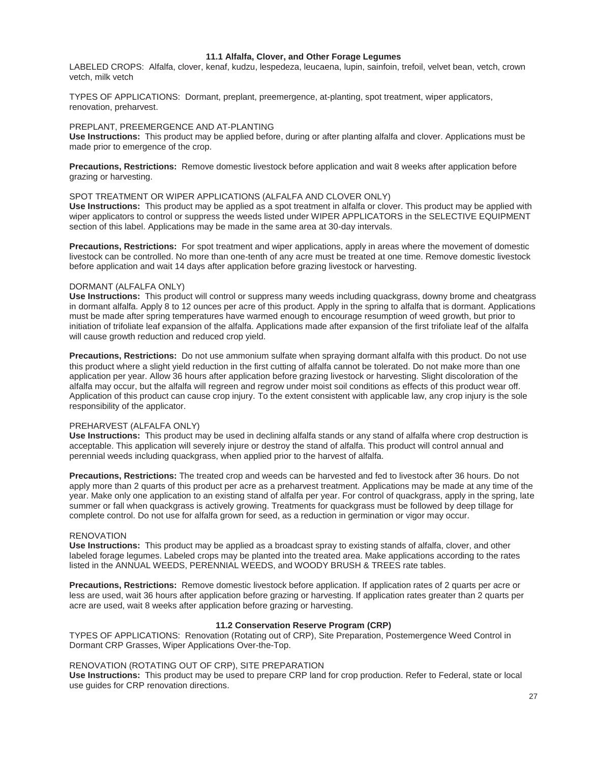#### **11.1 Alfalfa, Clover, and Other Forage Legumes**

LABELED CROPS: Alfalfa, clover, kenaf, kudzu, lespedeza, leucaena, lupin, sainfoin, trefoil, velvet bean, vetch, crown vetch, milk vetch

TYPES OF APPLICATIONS: Dormant, preplant, preemergence, at-planting, spot treatment, wiper applicators, renovation, preharvest.

#### PREPLANT, PREEMERGENCE AND AT-PLANTING

**Use Instructions:** This product may be applied before, during or after planting alfalfa and clover. Applications must be made prior to emergence of the crop.

**Precautions, Restrictions:** Remove domestic livestock before application and wait 8 weeks after application before grazing or harvesting.

#### SPOT TREATMENT OR WIPER APPLICATIONS (ALFALFA AND CLOVER ONLY)

**Use Instructions:** This product may be applied as a spot treatment in alfalfa or clover. This product may be applied with wiper applicators to control or suppress the weeds listed under WIPER APPLICATORS in the SELECTIVE EQUIPMENT section of this label. Applications may be made in the same area at 30-day intervals.

**Precautions, Restrictions:** For spot treatment and wiper applications, apply in areas where the movement of domestic livestock can be controlled. No more than one-tenth of any acre must be treated at one time. Remove domestic livestock before application and wait 14 days after application before grazing livestock or harvesting.

#### DORMANT (ALFALFA ONLY)

**Use Instructions:** This product will control or suppress many weeds including quackgrass, downy brome and cheatgrass in dormant alfalfa. Apply 8 to 12 ounces per acre of this product. Apply in the spring to alfalfa that is dormant. Applications must be made after spring temperatures have warmed enough to encourage resumption of weed growth, but prior to initiation of trifoliate leaf expansion of the alfalfa. Applications made after expansion of the first trifoliate leaf of the alfalfa will cause growth reduction and reduced crop yield.

**Precautions, Restrictions:** Do not use ammonium sulfate when spraying dormant alfalfa with this product. Do not use this product where a slight yield reduction in the first cutting of alfalfa cannot be tolerated. Do not make more than one application per year. Allow 36 hours after application before grazing livestock or harvesting. Slight discoloration of the alfalfa may occur, but the alfalfa will regreen and regrow under moist soil conditions as effects of this product wear off. Application of this product can cause crop injury. To the extent consistent with applicable law, any crop injury is the sole responsibility of the applicator.

#### PREHARVEST (ALFALFA ONLY)

**Use Instructions:** This product may be used in declining alfalfa stands or any stand of alfalfa where crop destruction is acceptable. This application will severely injure or destroy the stand of alfalfa. This product will control annual and perennial weeds including quackgrass, when applied prior to the harvest of alfalfa.

**Precautions, Restrictions:** The treated crop and weeds can be harvested and fed to livestock after 36 hours. Do not apply more than 2 quarts of this product per acre as a preharvest treatment. Applications may be made at any time of the year. Make only one application to an existing stand of alfalfa per year. For control of quackgrass, apply in the spring, late summer or fall when quackgrass is actively growing. Treatments for quackgrass must be followed by deep tillage for complete control. Do not use for alfalfa grown for seed, as a reduction in germination or vigor may occur.

## **RENOVATION**

**Use Instructions:** This product may be applied as a broadcast spray to existing stands of alfalfa, clover, and other labeled forage legumes. Labeled crops may be planted into the treated area. Make applications according to the rates listed in the ANNUAL WEEDS, PERENNIAL WEEDS, and WOODY BRUSH & TREES rate tables.

**Precautions, Restrictions:** Remove domestic livestock before application. If application rates of 2 quarts per acre or less are used, wait 36 hours after application before grazing or harvesting. If application rates greater than 2 quarts per acre are used, wait 8 weeks after application before grazing or harvesting.

#### **11.2 Conservation Reserve Program (CRP)**

TYPES OF APPLICATIONS: Renovation (Rotating out of CRP), Site Preparation, Postemergence Weed Control in Dormant CRP Grasses, Wiper Applications Over-the-Top.

#### RENOVATION (ROTATING OUT OF CRP), SITE PREPARATION

**Use Instructions:** This product may be used to prepare CRP land for crop production. Refer to Federal, state or local use guides for CRP renovation directions.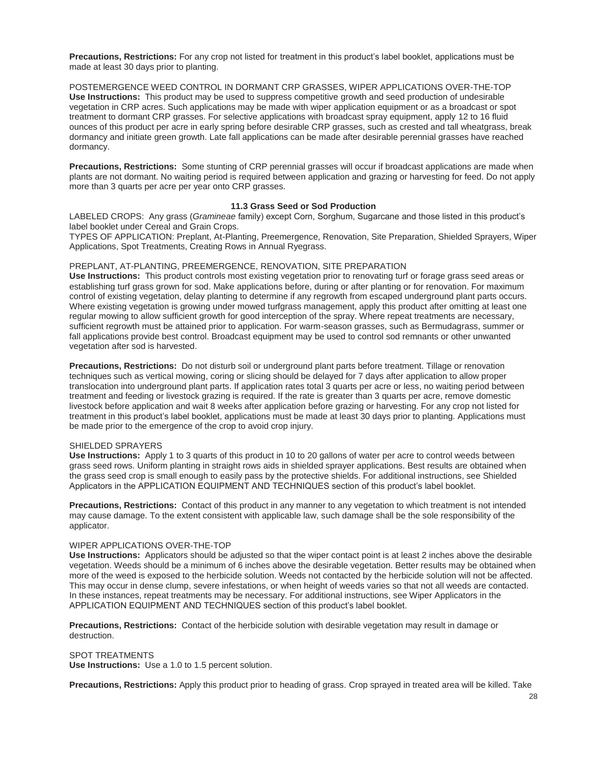**Precautions, Restrictions:** For any crop not listed for treatment in this product's label booklet, applications must be made at least 30 days prior to planting.

POSTEMERGENCE WEED CONTROL IN DORMANT CRP GRASSES, WIPER APPLICATIONS OVER-THE-TOP **Use Instructions:** This product may be used to suppress competitive growth and seed production of undesirable vegetation in CRP acres. Such applications may be made with wiper application equipment or as a broadcast or spot treatment to dormant CRP grasses. For selective applications with broadcast spray equipment, apply 12 to 16 fluid ounces of this product per acre in early spring before desirable CRP grasses, such as crested and tall wheatgrass, break dormancy and initiate green growth. Late fall applications can be made after desirable perennial grasses have reached dormancy.

**Precautions, Restrictions:** Some stunting of CRP perennial grasses will occur if broadcast applications are made when plants are not dormant. No waiting period is required between application and grazing or harvesting for feed. Do not apply more than 3 quarts per acre per year onto CRP grasses.

## **11.3 Grass Seed or Sod Production**

LABELED CROPS: Any grass (*Gramineae* family) except Corn, Sorghum, Sugarcane and those listed in this product's label booklet under Cereal and Grain Crops.

TYPES OF APPLICATION: Preplant, At-Planting, Preemergence, Renovation, Site Preparation, Shielded Sprayers, Wiper Applications, Spot Treatments, Creating Rows in Annual Ryegrass.

#### PREPLANT, AT-PLANTING, PREEMERGENCE, RENOVATION, SITE PREPARATION

**Use Instructions:** This product controls most existing vegetation prior to renovating turf or forage grass seed areas or establishing turf grass grown for sod. Make applications before, during or after planting or for renovation. For maximum control of existing vegetation, delay planting to determine if any regrowth from escaped underground plant parts occurs. Where existing vegetation is growing under mowed turfgrass management, apply this product after omitting at least one regular mowing to allow sufficient growth for good interception of the spray. Where repeat treatments are necessary, sufficient regrowth must be attained prior to application. For warm-season grasses, such as Bermudagrass, summer or fall applications provide best control. Broadcast equipment may be used to control sod remnants or other unwanted vegetation after sod is harvested.

**Precautions, Restrictions:** Do not disturb soil or underground plant parts before treatment. Tillage or renovation techniques such as vertical mowing, coring or slicing should be delayed for 7 days after application to allow proper translocation into underground plant parts. If application rates total 3 quarts per acre or less, no waiting period between treatment and feeding or livestock grazing is required. If the rate is greater than 3 quarts per acre, remove domestic livestock before application and wait 8 weeks after application before grazing or harvesting. For any crop not listed for treatment in this product's label booklet, applications must be made at least 30 days prior to planting. Applications must be made prior to the emergence of the crop to avoid crop injury.

#### SHIELDED SPRAYERS

**Use Instructions:** Apply 1 to 3 quarts of this product in 10 to 20 gallons of water per acre to control weeds between grass seed rows. Uniform planting in straight rows aids in shielded sprayer applications. Best results are obtained when the grass seed crop is small enough to easily pass by the protective shields. For additional instructions, see Shielded Applicators in the APPLICATION EQUIPMENT AND TECHNIQUES section of this product's label booklet.

**Precautions, Restrictions:** Contact of this product in any manner to any vegetation to which treatment is not intended may cause damage. To the extent consistent with applicable law, such damage shall be the sole responsibility of the applicator.

#### WIPER APPLICATIONS OVER-THE-TOP

**Use Instructions:** Applicators should be adjusted so that the wiper contact point is at least 2 inches above the desirable vegetation. Weeds should be a minimum of 6 inches above the desirable vegetation. Better results may be obtained when more of the weed is exposed to the herbicide solution. Weeds not contacted by the herbicide solution will not be affected. This may occur in dense clump, severe infestations, or when height of weeds varies so that not all weeds are contacted. In these instances, repeat treatments may be necessary. For additional instructions, see Wiper Applicators in the APPLICATION EQUIPMENT AND TECHNIQUES section of this product's label booklet.

**Precautions, Restrictions:** Contact of the herbicide solution with desirable vegetation may result in damage or destruction.

SPOT TREATMENTS **Use Instructions:** Use a 1.0 to 1.5 percent solution.

**Precautions, Restrictions:** Apply this product prior to heading of grass. Crop sprayed in treated area will be killed. Take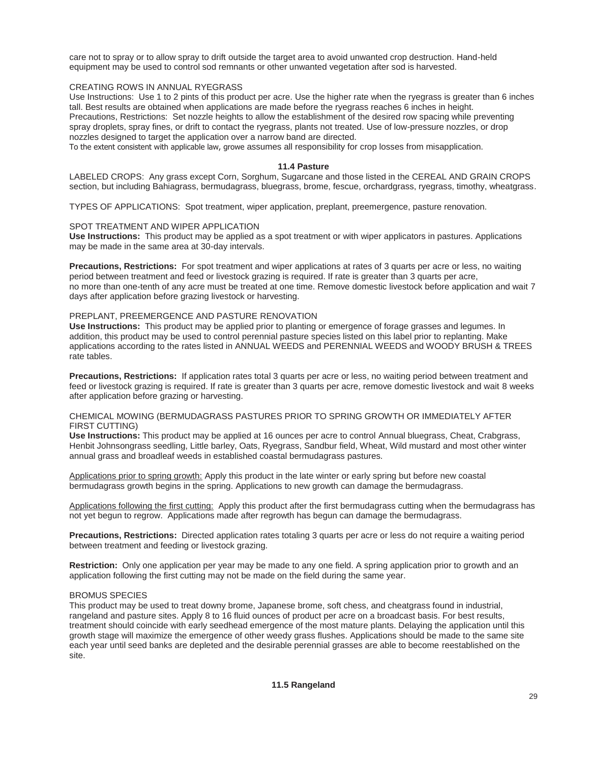care not to spray or to allow spray to drift outside the target area to avoid unwanted crop destruction. Hand-held equipment may be used to control sod remnants or other unwanted vegetation after sod is harvested.

## CREATING ROWS IN ANNUAL RYEGRASS

Use Instructions: Use 1 to 2 pints of this product per acre. Use the higher rate when the ryegrass is greater than 6 inches tall. Best results are obtained when applications are made before the ryegrass reaches 6 inches in height. Precautions, Restrictions: Set nozzle heights to allow the establishment of the desired row spacing while preventing spray droplets, spray fines, or drift to contact the ryegrass, plants not treated. Use of low-pressure nozzles, or drop nozzles designed to target the application over a narrow band are directed.

To the extent consistent with applicable law, growe assumes all responsibility for crop losses from misapplication.

## **11.4 Pasture**

LABELED CROPS: Any grass except Corn, Sorghum, Sugarcane and those listed in the CEREAL AND GRAIN CROPS section, but including Bahiagrass, bermudagrass, bluegrass, brome, fescue, orchardgrass, ryegrass, timothy, wheatgrass.

TYPES OF APPLICATIONS: Spot treatment, wiper application, preplant, preemergence, pasture renovation.

## SPOT TREATMENT AND WIPER APPLICATION

**Use Instructions:** This product may be applied as a spot treatment or with wiper applicators in pastures. Applications may be made in the same area at 30-day intervals.

**Precautions, Restrictions:** For spot treatment and wiper applications at rates of 3 quarts per acre or less, no waiting period between treatment and feed or livestock grazing is required. If rate is greater than 3 quarts per acre, no more than one-tenth of any acre must be treated at one time. Remove domestic livestock before application and wait 7 days after application before grazing livestock or harvesting.

## PREPLANT, PREEMERGENCE AND PASTURE RENOVATION

**Use Instructions:** This product may be applied prior to planting or emergence of forage grasses and legumes. In addition, this product may be used to control perennial pasture species listed on this label prior to replanting. Make applications according to the rates listed in ANNUAL WEEDS and PERENNIAL WEEDS and WOODY BRUSH & TREES rate tables.

**Precautions, Restrictions:** If application rates total 3 quarts per acre or less, no waiting period between treatment and feed or livestock grazing is required. If rate is greater than 3 quarts per acre, remove domestic livestock and wait 8 weeks after application before grazing or harvesting.

## CHEMICAL MOWING (BERMUDAGRASS PASTURES PRIOR TO SPRING GROWTH OR IMMEDIATELY AFTER FIRST CUTTING)

**Use Instructions:** This product may be applied at 16 ounces per acre to control Annual bluegrass, Cheat, Crabgrass, Henbit Johnsongrass seedling, Little barley, Oats, Ryegrass, Sandbur field, Wheat, Wild mustard and most other winter annual grass and broadleaf weeds in established coastal bermudagrass pastures.

Applications prior to spring growth: Apply this product in the late winter or early spring but before new coastal bermudagrass growth begins in the spring. Applications to new growth can damage the bermudagrass.

Applications following the first cutting: Apply this product after the first bermudagrass cutting when the bermudagrass has not yet begun to regrow. Applications made after regrowth has begun can damage the bermudagrass.

**Precautions, Restrictions:** Directed application rates totaling 3 quarts per acre or less do not require a waiting period between treatment and feeding or livestock grazing.

**Restriction:** Only one application per year may be made to any one field. A spring application prior to growth and an application following the first cutting may not be made on the field during the same year.

## BROMUS SPECIES

This product may be used to treat downy brome, Japanese brome, soft chess, and cheatgrass found in industrial, rangeland and pasture sites. Apply 8 to 16 fluid ounces of product per acre on a broadcast basis. For best results, treatment should coincide with early seedhead emergence of the most mature plants. Delaying the application until this growth stage will maximize the emergence of other weedy grass flushes. Applications should be made to the same site each year until seed banks are depleted and the desirable perennial grasses are able to become reestablished on the site.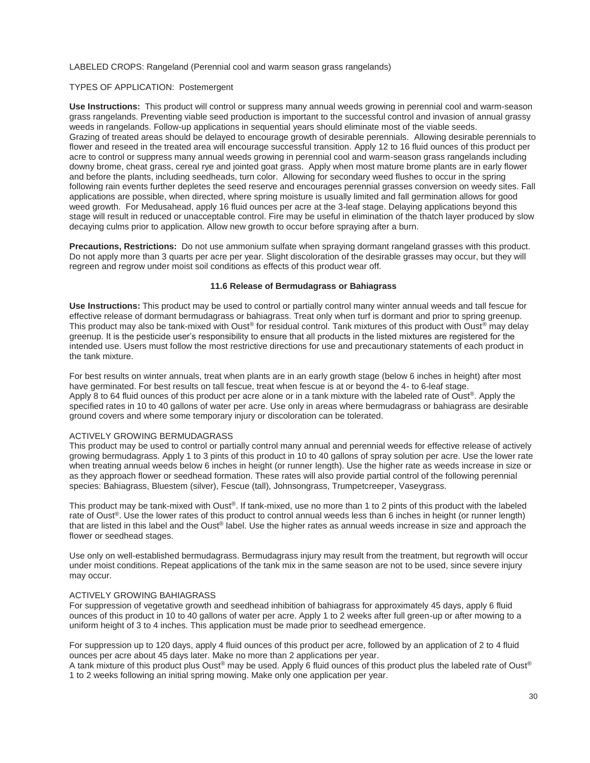#### LABELED CROPS: Rangeland (Perennial cool and warm season grass rangelands)

#### TYPES OF APPLICATION: Postemergent

**Use Instructions:** This product will control or suppress many annual weeds growing in perennial cool and warm-season grass rangelands. Preventing viable seed production is important to the successful control and invasion of annual grassy weeds in rangelands. Follow-up applications in sequential years should eliminate most of the viable seeds. Grazing of treated areas should be delayed to encourage growth of desirable perennials. Allowing desirable perennials to flower and reseed in the treated area will encourage successful transition. Apply 12 to 16 fluid ounces of this product per acre to control or suppress many annual weeds growing in perennial cool and warm-season grass rangelands including downy brome, cheat grass, cereal rye and jointed goat grass. Apply when most mature brome plants are in early flower and before the plants, including seedheads, turn color. Allowing for secondary weed flushes to occur in the spring following rain events further depletes the seed reserve and encourages perennial grasses conversion on weedy sites. Fall applications are possible, when directed, where spring moisture is usually limited and fall germination allows for good weed growth. For Medusahead, apply 16 fluid ounces per acre at the 3-leaf stage. Delaying applications beyond this stage will result in reduced or unacceptable control. Fire may be useful in elimination of the thatch layer produced by slow decaying culms prior to application. Allow new growth to occur before spraying after a burn.

**Precautions, Restrictions:** Do not use ammonium sulfate when spraying dormant rangeland grasses with this product. Do not apply more than 3 quarts per acre per year. Slight discoloration of the desirable grasses may occur, but they will regreen and regrow under moist soil conditions as effects of this product wear off.

## **11.6 Release of Bermudagrass or Bahiagrass**

**Use Instructions:** This product may be used to control or partially control many winter annual weeds and tall fescue for effective release of dormant bermudagrass or bahiagrass. Treat only when turf is dormant and prior to spring greenup. This product may also be tank-mixed with Oust® for residual control. Tank mixtures of this product with Oust® may delay greenup. It is the pesticide user's responsibility to ensure that all products in the listed mixtures are registered for the intended use. Users must follow the most restrictive directions for use and precautionary statements of each product in the tank mixture.

For best results on winter annuals, treat when plants are in an early growth stage (below 6 inches in height) after most have germinated. For best results on tall fescue, treat when fescue is at or beyond the 4- to 6-leaf stage. Apply 8 to 64 fluid ounces of this product per acre alone or in a tank mixture with the labeled rate of Oust®. Apply the specified rates in 10 to 40 gallons of water per acre. Use only in areas where bermudagrass or bahiagrass are desirable ground covers and where some temporary injury or discoloration can be tolerated.

## ACTIVELY GROWING BERMUDAGRASS

This product may be used to control or partially control many annual and perennial weeds for effective release of actively growing bermudagrass. Apply 1 to 3 pints of this product in 10 to 40 gallons of spray solution per acre. Use the lower rate when treating annual weeds below 6 inches in height (or runner length). Use the higher rate as weeds increase in size or as they approach flower or seedhead formation. These rates will also provide partial control of the following perennial species: Bahiagrass, Bluestem (silver), Fescue (tall), Johnsongrass, Trumpetcreeper, Vaseygrass.

This product may be tank-mixed with Oust®. If tank-mixed, use no more than 1 to 2 pints of this product with the labeled rate of Oust<sup>®</sup>. Use the lower rates of this product to control annual weeds less than 6 inches in height (or runner length) that are listed in this label and the Oust® label. Use the higher rates as annual weeds increase in size and approach the flower or seedhead stages.

Use only on well-established bermudagrass. Bermudagrass injury may result from the treatment, but regrowth will occur under moist conditions. Repeat applications of the tank mix in the same season are not to be used, since severe injury may occur.

#### ACTIVELY GROWING BAHIAGRASS

For suppression of vegetative growth and seedhead inhibition of bahiagrass for approximately 45 days, apply 6 fluid ounces of this product in 10 to 40 gallons of water per acre. Apply 1 to 2 weeks after full green-up or after mowing to a uniform height of 3 to 4 inches. This application must be made prior to seedhead emergence.

For suppression up to 120 days, apply 4 fluid ounces of this product per acre, followed by an application of 2 to 4 fluid ounces per acre about 45 days later. Make no more than 2 applications per year.

A tank mixture of this product plus Oust® may be used. Apply 6 fluid ounces of this product plus the labeled rate of Oust® 1 to 2 weeks following an initial spring mowing. Make only one application per year.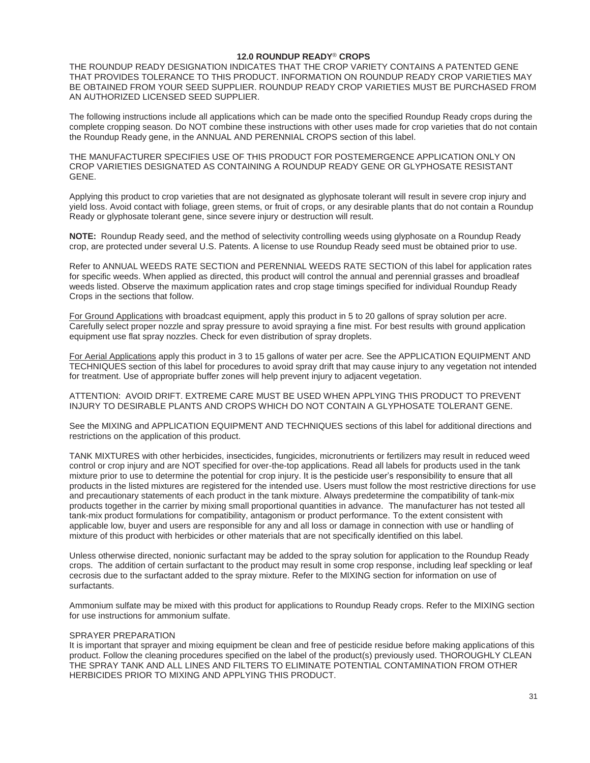## **12.0 ROUNDUP READY**® **CROPS**

THE ROUNDUP READY DESIGNATION INDICATES THAT THE CROP VARIETY CONTAINS A PATENTED GENE THAT PROVIDES TOLERANCE TO THIS PRODUCT. INFORMATION ON ROUNDUP READY CROP VARIETIES MAY BE OBTAINED FROM YOUR SEED SUPPLIER. ROUNDUP READY CROP VARIETIES MUST BE PURCHASED FROM AN AUTHORIZED LICENSED SEED SUPPLIER.

The following instructions include all applications which can be made onto the specified Roundup Ready crops during the complete cropping season. Do NOT combine these instructions with other uses made for crop varieties that do not contain the Roundup Ready gene, in the ANNUAL AND PERENNIAL CROPS section of this label.

THE MANUFACTURER SPECIFIES USE OF THIS PRODUCT FOR POSTEMERGENCE APPLICATION ONLY ON CROP VARIETIES DESIGNATED AS CONTAINING A ROUNDUP READY GENE OR GLYPHOSATE RESISTANT GENE.

Applying this product to crop varieties that are not designated as glyphosate tolerant will result in severe crop injury and yield loss. Avoid contact with foliage, green stems, or fruit of crops, or any desirable plants that do not contain a Roundup Ready or glyphosate tolerant gene, since severe injury or destruction will result.

**NOTE:** Roundup Ready seed, and the method of selectivity controlling weeds using glyphosate on a Roundup Ready crop, are protected under several U.S. Patents. A license to use Roundup Ready seed must be obtained prior to use.

Refer to ANNUAL WEEDS RATE SECTION and PERENNIAL WEEDS RATE SECTION of this label for application rates for specific weeds. When applied as directed, this product will control the annual and perennial grasses and broadleaf weeds listed. Observe the maximum application rates and crop stage timings specified for individual Roundup Ready Crops in the sections that follow.

For Ground Applications with broadcast equipment, apply this product in 5 to 20 gallons of spray solution per acre. Carefully select proper nozzle and spray pressure to avoid spraying a fine mist. For best results with ground application equipment use flat spray nozzles. Check for even distribution of spray droplets.

For Aerial Applications apply this product in 3 to 15 gallons of water per acre. See the APPLICATION EQUIPMENT AND TECHNIQUES section of this label for procedures to avoid spray drift that may cause injury to any vegetation not intended for treatment. Use of appropriate buffer zones will help prevent injury to adjacent vegetation.

ATTENTION: AVOID DRIFT. EXTREME CARE MUST BE USED WHEN APPLYING THIS PRODUCT TO PREVENT INJURY TO DESIRABLE PLANTS AND CROPS WHICH DO NOT CONTAIN A GLYPHOSATE TOLERANT GENE.

See the MIXING and APPLICATION EQUIPMENT AND TECHNIQUES sections of this label for additional directions and restrictions on the application of this product.

TANK MIXTURES with other herbicides, insecticides, fungicides, micronutrients or fertilizers may result in reduced weed control or crop injury and are NOT specified for over-the-top applications. Read all labels for products used in the tank mixture prior to use to determine the potential for crop injury. It is the pesticide user's responsibility to ensure that all products in the listed mixtures are registered for the intended use. Users must follow the most restrictive directions for use and precautionary statements of each product in the tank mixture. Always predetermine the compatibility of tank-mix products together in the carrier by mixing small proportional quantities in advance. The manufacturer has not tested all tank-mix product formulations for compatibility, antagonism or product performance. To the extent consistent with applicable low, buyer and users are responsible for any and all loss or damage in connection with use or handling of mixture of this product with herbicides or other materials that are not specifically identified on this label.

Unless otherwise directed, nonionic surfactant may be added to the spray solution for application to the Roundup Ready crops. The addition of certain surfactant to the product may result in some crop response, including leaf speckling or leaf cecrosis due to the surfactant added to the spray mixture. Refer to the MIXING section for information on use of surfactants.

Ammonium sulfate may be mixed with this product for applications to Roundup Ready crops. Refer to the MIXING section for use instructions for ammonium sulfate.

#### SPRAYER PREPARATION

It is important that sprayer and mixing equipment be clean and free of pesticide residue before making applications of this product. Follow the cleaning procedures specified on the label of the product(s) previously used. THOROUGHLY CLEAN THE SPRAY TANK AND ALL LINES AND FILTERS TO ELIMINATE POTENTIAL CONTAMINATION FROM OTHER HERBICIDES PRIOR TO MIXING AND APPLYING THIS PRODUCT.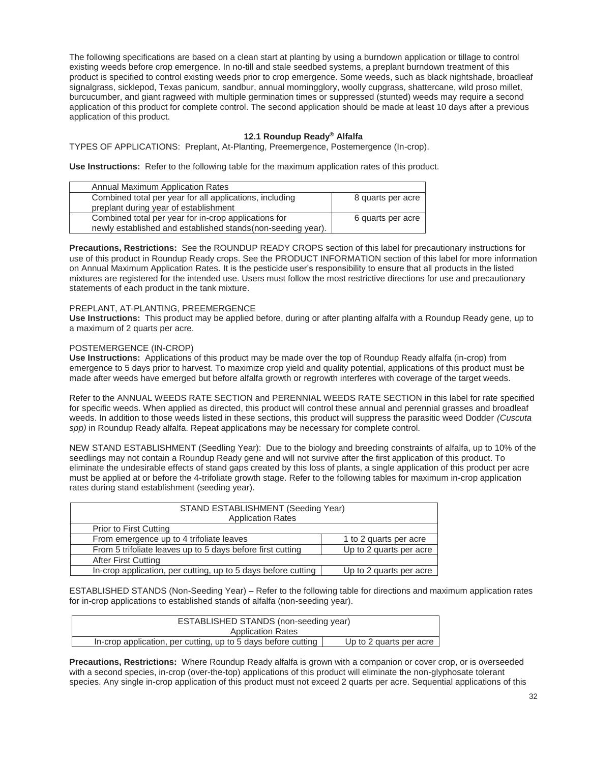The following specifications are based on a clean start at planting by using a burndown application or tillage to control existing weeds before crop emergence. In no-till and stale seedbed systems, a preplant burndown treatment of this product is specified to control existing weeds prior to crop emergence. Some weeds, such as black nightshade, broadleaf signalgrass, sicklepod, Texas panicum, sandbur, annual morningglory, woolly cupgrass, shattercane, wild proso millet, burcucumber, and giant ragweed with multiple germination times or suppressed (stunted) weeds may require a second application of this product for complete control. The second application should be made at least 10 days after a previous application of this product.

## **12.1 Roundup Ready® Alfalfa**

TYPES OF APPLICATIONS: Preplant, At-Planting, Preemergence, Postemergence (In-crop).

**Use Instructions:** Refer to the following table for the maximum application rates of this product.

| Annual Maximum Application Rates                                                                                     |                   |
|----------------------------------------------------------------------------------------------------------------------|-------------------|
| Combined total per year for all applications, including<br>preplant during year of establishment                     | 8 quarts per acre |
| Combined total per year for in-crop applications for<br>newly established and established stands (non-seeding year). | 6 quarts per acre |

**Precautions, Restrictions:** See the ROUNDUP READY CROPS section of this label for precautionary instructions for use of this product in Roundup Ready crops. See the PRODUCT INFORMATION section of this label for more information on Annual Maximum Application Rates. It is the pesticide user's responsibility to ensure that all products in the listed mixtures are registered for the intended use. Users must follow the most restrictive directions for use and precautionary statements of each product in the tank mixture.

## PREPLANT, AT-PLANTING, PREEMERGENCE

**Use Instructions:** This product may be applied before, during or after planting alfalfa with a Roundup Ready gene, up to a maximum of 2 quarts per acre.

#### POSTEMERGENCE (IN-CROP)

**Use Instructions:** Applications of this product may be made over the top of Roundup Ready alfalfa (in-crop) from emergence to 5 days prior to harvest. To maximize crop yield and quality potential, applications of this product must be made after weeds have emerged but before alfalfa growth or regrowth interferes with coverage of the target weeds.

Refer to the ANNUAL WEEDS RATE SECTION and PERENNIAL WEEDS RATE SECTION in this label for rate specified for specific weeds. When applied as directed, this product will control these annual and perennial grasses and broadleaf weeds. In addition to those weeds listed in these sections, this product will suppress the parasitic weed Dodder *(Cuscuta spp)* in Roundup Ready alfalfa. Repeat applications may be necessary for complete control.

NEW STAND ESTABLISHMENT (Seedling Year): Due to the biology and breeding constraints of alfalfa, up to 10% of the seedlings may not contain a Roundup Ready gene and will not survive after the first application of this product. To eliminate the undesirable effects of stand gaps created by this loss of plants, a single application of this product per acre must be applied at or before the 4-trifoliate growth stage. Refer to the following tables for maximum in-crop application rates during stand establishment (seeding year).

| STAND ESTABLISHMENT (Seeding Year)                            |                         |  |
|---------------------------------------------------------------|-------------------------|--|
| <b>Application Rates</b>                                      |                         |  |
| Prior to First Cutting                                        |                         |  |
| From emergence up to 4 trifoliate leaves                      | 1 to 2 quarts per acre  |  |
| From 5 trifoliate leaves up to 5 days before first cutting    | Up to 2 quarts per acre |  |
| After First Cutting                                           |                         |  |
| In-crop application, per cutting, up to 5 days before cutting | Up to 2 quarts per acre |  |

ESTABLISHED STANDS (Non-Seeding Year) – Refer to the following table for directions and maximum application rates for in-crop applications to established stands of alfalfa (non-seeding year).

| ESTABLISHED STANDS (non-seeding year)                         |                         |  |
|---------------------------------------------------------------|-------------------------|--|
| <b>Application Rates</b>                                      |                         |  |
| In-crop application, per cutting, up to 5 days before cutting | Up to 2 quarts per acre |  |

**Precautions, Restrictions:** Where Roundup Ready alfalfa is grown with a companion or cover crop, or is overseeded with a second species, in-crop (over-the-top) applications of this product will eliminate the non-glyphosate tolerant species. Any single in-crop application of this product must not exceed 2 quarts per acre. Sequential applications of this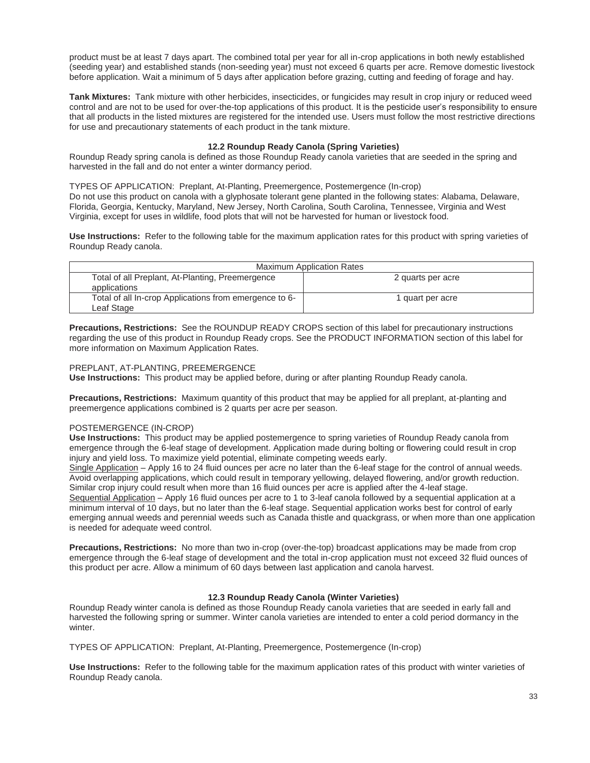product must be at least 7 days apart. The combined total per year for all in-crop applications in both newly established (seeding year) and established stands (non-seeding year) must not exceed 6 quarts per acre. Remove domestic livestock before application. Wait a minimum of 5 days after application before grazing, cutting and feeding of forage and hay.

**Tank Mixtures:** Tank mixture with other herbicides, insecticides, or fungicides may result in crop injury or reduced weed control and are not to be used for over-the-top applications of this product. It is the pesticide user's responsibility to ensure that all products in the listed mixtures are registered for the intended use. Users must follow the most restrictive directions for use and precautionary statements of each product in the tank mixture.

## **12.2 Roundup Ready Canola (Spring Varieties)**

Roundup Ready spring canola is defined as those Roundup Ready canola varieties that are seeded in the spring and harvested in the fall and do not enter a winter dormancy period.

TYPES OF APPLICATION: Preplant, At-Planting, Preemergence, Postemergence (In-crop) Do not use this product on canola with a glyphosate tolerant gene planted in the following states: Alabama, Delaware, Florida, Georgia, Kentucky, Maryland, New Jersey, North Carolina, South Carolina, Tennessee, Virginia and West Virginia, except for uses in wildlife, food plots that will not be harvested for human or livestock food.

**Use Instructions:** Refer to the following table for the maximum application rates for this product with spring varieties of Roundup Ready canola.

| <b>Maximum Application Rates</b>                       |                   |
|--------------------------------------------------------|-------------------|
| Total of all Preplant, At-Planting, Preemergence       | 2 quarts per acre |
| applications                                           |                   |
| Total of all In-crop Applications from emergence to 6- | I quart per acre  |
| Leaf Stage                                             |                   |

**Precautions, Restrictions:** See the ROUNDUP READY CROPS section of this label for precautionary instructions regarding the use of this product in Roundup Ready crops. See the PRODUCT INFORMATION section of this label for more information on Maximum Application Rates.

## PREPLANT, AT-PLANTING, PREEMERGENCE

**Use Instructions:** This product may be applied before, during or after planting Roundup Ready canola.

**Precautions, Restrictions:** Maximum quantity of this product that may be applied for all preplant, at-planting and preemergence applications combined is 2 quarts per acre per season.

## POSTEMERGENCE (IN-CROP)

**Use Instructions:** This product may be applied postemergence to spring varieties of Roundup Ready canola from emergence through the 6-leaf stage of development. Application made during bolting or flowering could result in crop injury and yield loss. To maximize yield potential, eliminate competing weeds early.

Single Application – Apply 16 to 24 fluid ounces per acre no later than the 6-leaf stage for the control of annual weeds. Avoid overlapping applications, which could result in temporary yellowing, delayed flowering, and/or growth reduction. Similar crop injury could result when more than 16 fluid ounces per acre is applied after the 4-leaf stage.

Sequential Application – Apply 16 fluid ounces per acre to 1 to 3-leaf canola followed by a sequential application at a minimum interval of 10 days, but no later than the 6-leaf stage. Sequential application works best for control of early emerging annual weeds and perennial weeds such as Canada thistle and quackgrass, or when more than one application is needed for adequate weed control.

**Precautions, Restrictions:** No more than two in-crop (over-the-top) broadcast applications may be made from crop emergence through the 6-leaf stage of development and the total in-crop application must not exceed 32 fluid ounces of this product per acre. Allow a minimum of 60 days between last application and canola harvest.

## **12.3 Roundup Ready Canola (Winter Varieties)**

Roundup Ready winter canola is defined as those Roundup Ready canola varieties that are seeded in early fall and harvested the following spring or summer. Winter canola varieties are intended to enter a cold period dormancy in the winter.

TYPES OF APPLICATION: Preplant, At-Planting, Preemergence, Postemergence (In-crop)

**Use Instructions:** Refer to the following table for the maximum application rates of this product with winter varieties of Roundup Ready canola.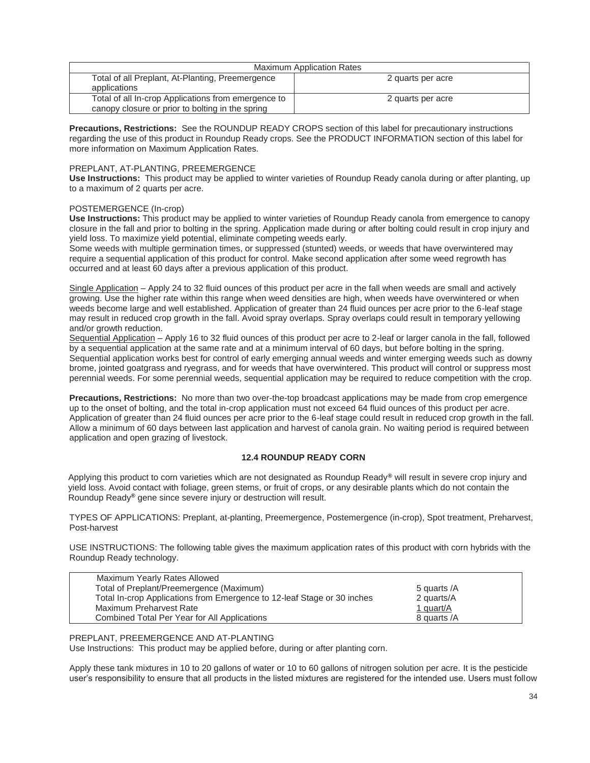| <b>Maximum Application Rates</b>                    |                   |
|-----------------------------------------------------|-------------------|
| Total of all Preplant, At-Planting, Preemergence    | 2 quarts per acre |
| applications                                        |                   |
| Total of all In-crop Applications from emergence to | 2 quarts per acre |
| canopy closure or prior to bolting in the spring    |                   |

**Precautions, Restrictions:** See the ROUNDUP READY CROPS section of this label for precautionary instructions regarding the use of this product in Roundup Ready crops. See the PRODUCT INFORMATION section of this label for more information on Maximum Application Rates.

## PREPLANT, AT-PLANTING, PREEMERGENCE

**Use Instructions:** This product may be applied to winter varieties of Roundup Ready canola during or after planting, up to a maximum of 2 quarts per acre.

## POSTEMERGENCE (In-crop)

**Use Instructions:** This product may be applied to winter varieties of Roundup Ready canola from emergence to canopy closure in the fall and prior to bolting in the spring. Application made during or after bolting could result in crop injury and yield loss. To maximize yield potential, eliminate competing weeds early.

Some weeds with multiple germination times, or suppressed (stunted) weeds, or weeds that have overwintered may require a sequential application of this product for control. Make second application after some weed regrowth has occurred and at least 60 days after a previous application of this product.

Single Application – Apply 24 to 32 fluid ounces of this product per acre in the fall when weeds are small and actively growing. Use the higher rate within this range when weed densities are high, when weeds have overwintered or when weeds become large and well established. Application of greater than 24 fluid ounces per acre prior to the 6-leaf stage may result in reduced crop growth in the fall. Avoid spray overlaps. Spray overlaps could result in temporary yellowing and/or growth reduction.

Sequential Application – Apply 16 to 32 fluid ounces of this product per acre to 2-leaf or larger canola in the fall, followed by a sequential application at the same rate and at a minimum interval of 60 days, but before bolting in the spring. Sequential application works best for control of early emerging annual weeds and winter emerging weeds such as downy brome, jointed goatgrass and ryegrass, and for weeds that have overwintered. This product will control or suppress most perennial weeds. For some perennial weeds, sequential application may be required to reduce competition with the crop.

**Precautions, Restrictions:** No more than two over-the-top broadcast applications may be made from crop emergence up to the onset of bolting, and the total in-crop application must not exceed 64 fluid ounces of this product per acre. Application of greater than 24 fluid ounces per acre prior to the 6-leaf stage could result in reduced crop growth in the fall. Allow a minimum of 60 days between last application and harvest of canola grain. No waiting period is required between application and open grazing of livestock.

## **12.4 ROUNDUP READY CORN**

 Applying this product to corn varieties which are not designated as Roundup Ready**®** will result in severe crop injury and yield loss. Avoid contact with foliage, green stems, or fruit of crops, or any desirable plants which do not contain the Roundup Ready**®** gene since severe injury or destruction will result.

TYPES OF APPLICATIONS: Preplant, at-planting, Preemergence, Postemergence (in-crop), Spot treatment, Preharvest, Post-harvest

USE INSTRUCTIONS: The following table gives the maximum application rates of this product with corn hybrids with the Roundup Ready technology.

| Maximum Yearly Rates Allowed                                            |              |
|-------------------------------------------------------------------------|--------------|
| Total of Preplant/Preemergence (Maximum)                                | 5 quarts /A  |
| Total In-crop Applications from Emergence to 12-leaf Stage or 30 inches | 2 quarts/A   |
| Maximum Preharvest Rate                                                 | 1 quart/A    |
| Combined Total Per Year for All Applications                            | 8 quarts / A |

## PREPLANT, PREEMERGENCE AND AT-PLANTING

Use Instructions: This product may be applied before, during or after planting corn.

Apply these tank mixtures in 10 to 20 gallons of water or 10 to 60 gallons of nitrogen solution per acre. It is the pesticide user's responsibility to ensure that all products in the listed mixtures are registered for the intended use. Users must follow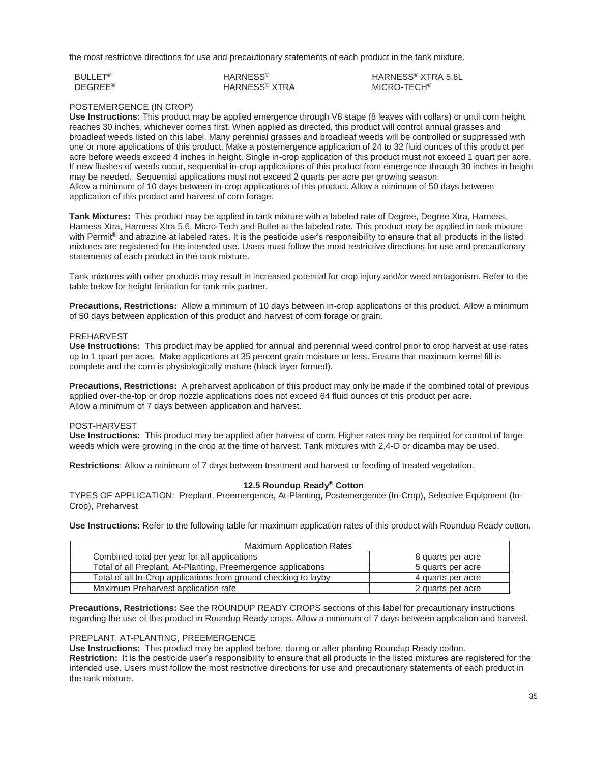the most restrictive directions for use and precautionary statements of each product in the tank mixture.

| BULLET <sup>®</sup> | <b>HARNESS<sup>®</sup></b> |
|---------------------|----------------------------|
| DEGREE <sup>®</sup> | HARNESS <sup>®</sup> XTRA  |

HARNESS® XTRA 5.6L MICRO-TECH®

## POSTEMERGENCE (IN CROP)

**Use Instructions:** This product may be applied emergence through V8 stage (8 leaves with collars) or until corn height reaches 30 inches, whichever comes first. When applied as directed, this product will control annual grasses and broadleaf weeds listed on this label. Many perennial grasses and broadleaf weeds will be controlled or suppressed with one or more applications of this product. Make a postemergence application of 24 to 32 fluid ounces of this product per acre before weeds exceed 4 inches in height. Single in-crop application of this product must not exceed 1 quart per acre. If new flushes of weeds occur, sequential in-crop applications of this product from emergence through 30 inches in height may be needed. Sequential applications must not exceed 2 quarts per acre per growing season. Allow a minimum of 10 days between in-crop applications of this product. Allow a minimum of 50 days between application of this product and harvest of corn forage.

**Tank Mixtures:** This product may be applied in tank mixture with a labeled rate of Degree, Degree Xtra, Harness, Harness Xtra, Harness Xtra 5.6, Micro-Tech and Bullet at the labeled rate. This product may be applied in tank mixture with Permit<sup>®</sup> and atrazine at labeled rates. It is the pesticide user's responsibility to ensure that all products in the listed mixtures are registered for the intended use. Users must follow the most restrictive directions for use and precautionary statements of each product in the tank mixture.

Tank mixtures with other products may result in increased potential for crop injury and/or weed antagonism. Refer to the table below for height limitation for tank mix partner.

**Precautions, Restrictions:** Allow a minimum of 10 days between in-crop applications of this product. Allow a minimum of 50 days between application of this product and harvest of corn forage or grain.

## PREHARVEST

**Use Instructions:** This product may be applied for annual and perennial weed control prior to crop harvest at use rates up to 1 quart per acre. Make applications at 35 percent grain moisture or less. Ensure that maximum kernel fill is complete and the corn is physiologically mature (black layer formed).

**Precautions, Restrictions:** A preharvest application of this product may only be made if the combined total of previous applied over-the-top or drop nozzle applications does not exceed 64 fluid ounces of this product per acre. Allow a minimum of 7 days between application and harvest.

## POST-HARVEST

**Use Instructions:** This product may be applied after harvest of corn. Higher rates may be required for control of large weeds which were growing in the crop at the time of harvest. Tank mixtures with 2,4-D or dicamba may be used.

**Restrictions**: Allow a minimum of 7 days between treatment and harvest or feeding of treated vegetation.

## **12.5 Roundup Ready® Cotton**

TYPES OF APPLICATION: Preplant, Preemergence, At-Planting, Postemergence (In-Crop), Selective Equipment (In-Crop), Preharvest

**Use Instructions:** Refer to the following table for maximum application rates of this product with Roundup Ready cotton.

| <b>Maximum Application Rates</b>                                |                   |  |
|-----------------------------------------------------------------|-------------------|--|
| Combined total per year for all applications                    | 8 quarts per acre |  |
| Total of all Preplant, At-Planting, Preemergence applications   | 5 quarts per acre |  |
| Total of all In-Crop applications from ground checking to layby | 4 quarts per acre |  |
| Maximum Preharvest application rate                             | 2 quarts per acre |  |

**Precautions, Restrictions:** See the ROUNDUP READY CROPS sections of this label for precautionary instructions regarding the use of this product in Roundup Ready crops. Allow a minimum of 7 days between application and harvest.

## PREPLANT, AT-PLANTING, PREEMERGENCE

**Use Instructions:** This product may be applied before, during or after planting Roundup Ready cotton.

**Restriction:** It is the pesticide user's responsibility to ensure that all products in the listed mixtures are registered for the intended use. Users must follow the most restrictive directions for use and precautionary statements of each product in the tank mixture.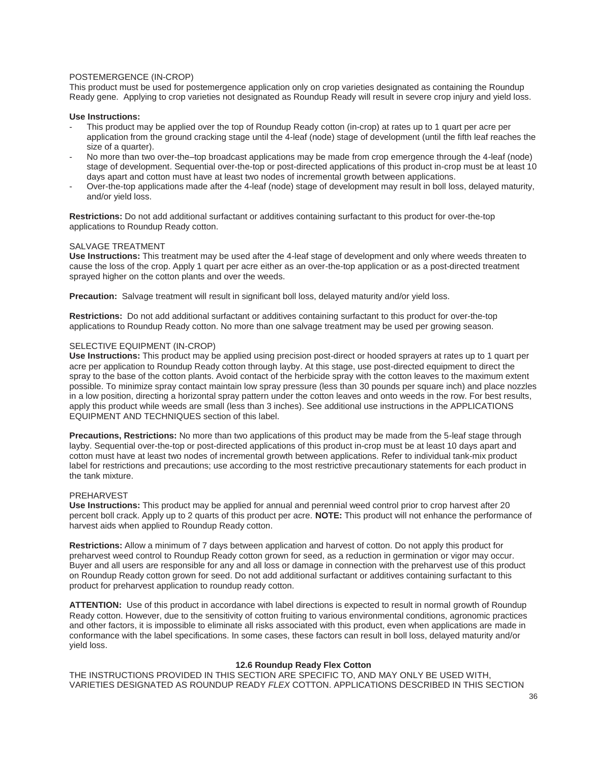## POSTEMERGENCE (IN-CROP)

This product must be used for postemergence application only on crop varieties designated as containing the Roundup Ready gene. Applying to crop varieties not designated as Roundup Ready will result in severe crop injury and yield loss.

#### **Use Instructions:**

- This product may be applied over the top of Roundup Ready cotton (in-crop) at rates up to 1 quart per acre per application from the ground cracking stage until the 4-leaf (node) stage of development (until the fifth leaf reaches the size of a quarter).
- No more than two over-the–top broadcast applications may be made from crop emergence through the 4-leaf (node) stage of development. Sequential over-the-top or post-directed applications of this product in-crop must be at least 10 days apart and cotton must have at least two nodes of incremental growth between applications.
- Over-the-top applications made after the 4-leaf (node) stage of development may result in boll loss, delayed maturity, and/or yield loss.

**Restrictions:** Do not add additional surfactant or additives containing surfactant to this product for over-the-top applications to Roundup Ready cotton.

#### SALVAGE TREATMENT

**Use Instructions:** This treatment may be used after the 4-leaf stage of development and only where weeds threaten to cause the loss of the crop. Apply 1 quart per acre either as an over-the-top application or as a post-directed treatment sprayed higher on the cotton plants and over the weeds.

Precaution: Salvage treatment will result in significant boll loss, delayed maturity and/or yield loss.

**Restrictions:** Do not add additional surfactant or additives containing surfactant to this product for over-the-top applications to Roundup Ready cotton. No more than one salvage treatment may be used per growing season.

#### SELECTIVE EQUIPMENT (IN-CROP)

**Use Instructions:** This product may be applied using precision post-direct or hooded sprayers at rates up to 1 quart per acre per application to Roundup Ready cotton through layby. At this stage, use post-directed equipment to direct the spray to the base of the cotton plants. Avoid contact of the herbicide spray with the cotton leaves to the maximum extent possible. To minimize spray contact maintain low spray pressure (less than 30 pounds per square inch) and place nozzles in a low position, directing a horizontal spray pattern under the cotton leaves and onto weeds in the row. For best results, apply this product while weeds are small (less than 3 inches). See additional use instructions in the APPLICATIONS EQUIPMENT AND TECHNIQUES section of this label.

**Precautions, Restrictions:** No more than two applications of this product may be made from the 5-leaf stage through layby. Sequential over-the-top or post-directed applications of this product in-crop must be at least 10 days apart and cotton must have at least two nodes of incremental growth between applications. Refer to individual tank-mix product label for restrictions and precautions; use according to the most restrictive precautionary statements for each product in the tank mixture.

#### PREHARVEST

**Use Instructions:** This product may be applied for annual and perennial weed control prior to crop harvest after 20 percent boll crack. Apply up to 2 quarts of this product per acre. **NOTE:** This product will not enhance the performance of harvest aids when applied to Roundup Ready cotton.

**Restrictions:** Allow a minimum of 7 days between application and harvest of cotton. Do not apply this product for preharvest weed control to Roundup Ready cotton grown for seed, as a reduction in germination or vigor may occur. Buyer and all users are responsible for any and all loss or damage in connection with the preharvest use of this product on Roundup Ready cotton grown for seed. Do not add additional surfactant or additives containing surfactant to this product for preharvest application to roundup ready cotton.

**ATTENTION:** Use of this product in accordance with label directions is expected to result in normal growth of Roundup Ready cotton. However, due to the sensitivity of cotton fruiting to various environmental conditions, agronomic practices and other factors, it is impossible to eliminate all risks associated with this product, even when applications are made in conformance with the label specifications. In some cases, these factors can result in boll loss, delayed maturity and/or yield loss.

#### **12.6 Roundup Ready Flex Cotton**

THE INSTRUCTIONS PROVIDED IN THIS SECTION ARE SPECIFIC TO, AND MAY ONLY BE USED WITH, VARIETIES DESIGNATED AS ROUNDUP READY *FLEX* COTTON. APPLICATIONS DESCRIBED IN THIS SECTION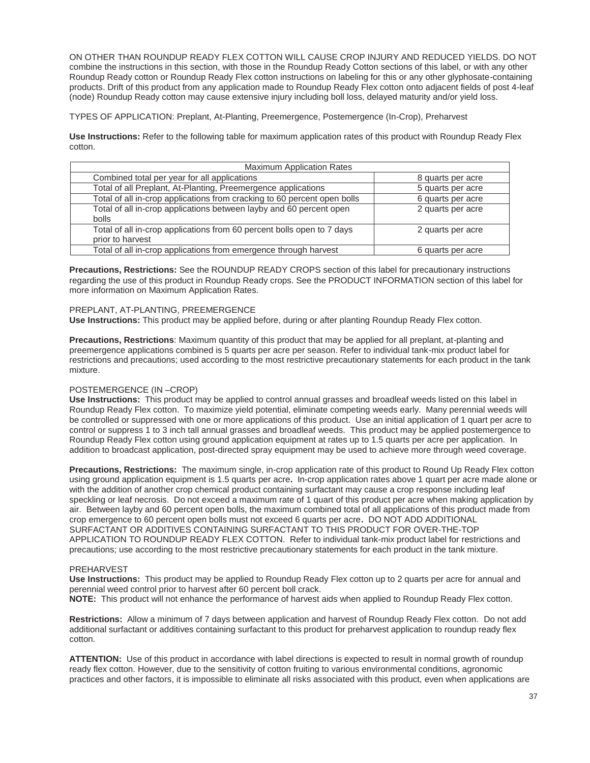ON OTHER THAN ROUNDUP READY FLEX COTTON WILL CAUSE CROP INJURY AND REDUCED YIELDS. DO NOT combine the instructions in this section, with those in the Roundup Ready Cotton sections of this label, or with any other Roundup Ready cotton or Roundup Ready Flex cotton instructions on labeling for this or any other glyphosate-containing products. Drift of this product from any application made to Roundup Ready Flex cotton onto adjacent fields of post 4-leaf (node) Roundup Ready cotton may cause extensive injury including boll loss, delayed maturity and/or yield loss.

TYPES OF APPLICATION: Preplant, At-Planting, Preemergence, Postemergence (In-Crop), Preharvest

**Use Instructions:** Refer to the following table for maximum application rates of this product with Roundup Ready Flex cotton.

| <b>Maximum Application Rates</b>                                         |                   |  |
|--------------------------------------------------------------------------|-------------------|--|
| Combined total per year for all applications                             | 8 quarts per acre |  |
| Total of all Preplant, At-Planting, Preemergence applications            | 5 quarts per acre |  |
| Total of all in-crop applications from cracking to 60 percent open bolls | 6 quarts per acre |  |
| Total of all in-crop applications between layby and 60 percent open      | 2 quarts per acre |  |
| bolls                                                                    |                   |  |
| Total of all in-crop applications from 60 percent bolls open to 7 days   | 2 quarts per acre |  |
| prior to harvest                                                         |                   |  |
| Total of all in-crop applications from emergence through harvest         | 6 quarts per acre |  |

**Precautions, Restrictions:** See the ROUNDUP READY CROPS section of this label for precautionary instructions regarding the use of this product in Roundup Ready crops. See the PRODUCT INFORMATION section of this label for more information on Maximum Application Rates.

## PREPLANT, AT-PLANTING, PREEMERGENCE

**Use Instructions:** This product may be applied before, during or after planting Roundup Ready Flex cotton.

**Precautions, Restrictions**: Maximum quantity of this product that may be applied for all preplant, at-planting and preemergence applications combined is 5 quarts per acre per season. Refer to individual tank-mix product label for restrictions and precautions; used according to the most restrictive precautionary statements for each product in the tank mixture.

## POSTEMERGENCE (IN –CROP)

**Use Instructions:** This product may be applied to control annual grasses and broadleaf weeds listed on this label in Roundup Ready Flex cotton. To maximize yield potential, eliminate competing weeds early. Many perennial weeds will be controlled or suppressed with one or more applications of this product. Use an initial application of 1 quart per acre to control or suppress 1 to 3 inch tall annual grasses and broadleaf weeds. This product may be applied postemergence to Roundup Ready Flex cotton using ground application equipment at rates up to 1.5 quarts per acre per application. In addition to broadcast application, post-directed spray equipment may be used to achieve more through weed coverage.

**Precautions, Restrictions:** The maximum single, in-crop application rate of this product to Round Up Ready Flex cotton using ground application equipment is 1.5 quarts per acre**.** In-crop application rates above 1 quart per acre made alone or with the addition of another crop chemical product containing surfactant may cause a crop response including leaf speckling or leaf necrosis. Do not exceed a maximum rate of 1 quart of this product per acre when making application by air. Between layby and 60 percent open bolls, the maximum combined total of all applications of this product made from crop emergence to 60 percent open bolls must not exceed 6 quarts per acre**.** DO NOT ADD ADDITIONAL SURFACTANT OR ADDITIVES CONTAINING SURFACTANT TO THIS PRODUCT FOR OVER-THE-TOP APPLICATION TO ROUNDUP READY FLEX COTTON. Refer to individual tank-mix product label for restrictions and precautions; use according to the most restrictive precautionary statements for each product in the tank mixture.

## PREHARVEST

**Use Instructions:** This product may be applied to Roundup Ready Flex cotton up to 2 quarts per acre for annual and perennial weed control prior to harvest after 60 percent boll crack. **NOTE:** This product will not enhance the performance of harvest aids when applied to Roundup Ready Flex cotton.

**Restrictions:** Allow a minimum of 7 days between application and harvest of Roundup Ready Flex cotton. Do not add

additional surfactant or additives containing surfactant to this product for preharvest application to roundup ready flex cotton.

**ATTENTION:** Use of this product in accordance with label directions is expected to result in normal growth of roundup ready flex cotton. However, due to the sensitivity of cotton fruiting to various environmental conditions, agronomic practices and other factors, it is impossible to eliminate all risks associated with this product, even when applications are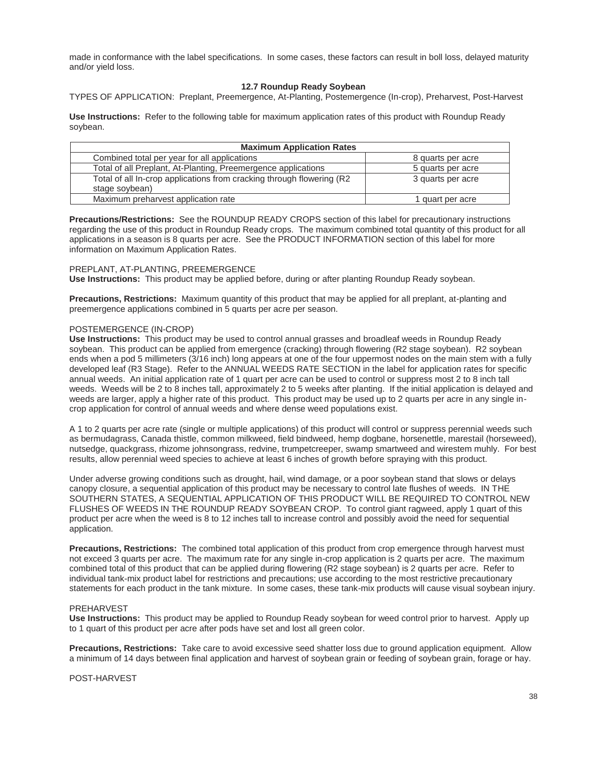made in conformance with the label specifications. In some cases, these factors can result in boll loss, delayed maturity and/or yield loss.

## **12.7 Roundup Ready Soybean**

TYPES OF APPLICATION: Preplant, Preemergence, At-Planting, Postemergence (In-crop), Preharvest, Post-Harvest

**Use Instructions:** Refer to the following table for maximum application rates of this product with Roundup Ready soybean.

| <b>Maximum Application Rates</b>                                      |                   |
|-----------------------------------------------------------------------|-------------------|
| Combined total per year for all applications                          | 8 quarts per acre |
| Total of all Preplant, At-Planting, Preemergence applications         | 5 quarts per acre |
| Total of all In-crop applications from cracking through flowering (R2 | 3 quarts per acre |
| stage soybean)                                                        |                   |
| Maximum preharvest application rate                                   | I quart per acre  |

**Precautions/Restrictions:** See the ROUNDUP READY CROPS section of this label for precautionary instructions regarding the use of this product in Roundup Ready crops. The maximum combined total quantity of this product for all applications in a season is 8 quarts per acre. See the PRODUCT INFORMATION section of this label for more information on Maximum Application Rates.

#### PREPLANT, AT-PLANTING, PREEMERGENCE

**Use Instructions:** This product may be applied before, during or after planting Roundup Ready soybean.

**Precautions, Restrictions:** Maximum quantity of this product that may be applied for all preplant, at-planting and preemergence applications combined in 5 quarts per acre per season.

## POSTEMERGENCE (IN-CROP)

**Use Instructions:** This product may be used to control annual grasses and broadleaf weeds in Roundup Ready soybean. This product can be applied from emergence (cracking) through flowering (R2 stage soybean). R2 soybean ends when a pod 5 millimeters (3/16 inch) long appears at one of the four uppermost nodes on the main stem with a fully developed leaf (R3 Stage). Refer to the ANNUAL WEEDS RATE SECTION in the label for application rates for specific annual weeds. An initial application rate of 1 quart per acre can be used to control or suppress most 2 to 8 inch tall weeds. Weeds will be 2 to 8 inches tall, approximately 2 to 5 weeks after planting. If the initial application is delayed and weeds are larger, apply a higher rate of this product. This product may be used up to 2 quarts per acre in any single incrop application for control of annual weeds and where dense weed populations exist.

A 1 to 2 quarts per acre rate (single or multiple applications) of this product will control or suppress perennial weeds such as bermudagrass, Canada thistle, common milkweed, field bindweed, hemp dogbane, horsenettle, marestail (horseweed), nutsedge, quackgrass, rhizome johnsongrass, redvine, trumpetcreeper, swamp smartweed and wirestem muhly. For best results, allow perennial weed species to achieve at least 6 inches of growth before spraying with this product.

Under adverse growing conditions such as drought, hail, wind damage, or a poor soybean stand that slows or delays canopy closure, a sequential application of this product may be necessary to control late flushes of weeds. IN THE SOUTHERN STATES, A SEQUENTIAL APPLICATION OF THIS PRODUCT WILL BE REQUIRED TO CONTROL NEW FLUSHES OF WEEDS IN THE ROUNDUP READY SOYBEAN CROP. To control giant ragweed, apply 1 quart of this product per acre when the weed is 8 to 12 inches tall to increase control and possibly avoid the need for sequential application.

**Precautions, Restrictions:** The combined total application of this product from crop emergence through harvest must not exceed 3 quarts per acre. The maximum rate for any single in-crop application is 2 quarts per acre. The maximum combined total of this product that can be applied during flowering (R2 stage soybean) is 2 quarts per acre. Refer to individual tank-mix product label for restrictions and precautions; use according to the most restrictive precautionary statements for each product in the tank mixture. In some cases, these tank-mix products will cause visual soybean injury.

#### PREHARVEST

**Use Instructions:** This product may be applied to Roundup Ready soybean for weed control prior to harvest. Apply up to 1 quart of this product per acre after pods have set and lost all green color.

**Precautions, Restrictions:** Take care to avoid excessive seed shatter loss due to ground application equipment. Allow a minimum of 14 days between final application and harvest of soybean grain or feeding of soybean grain, forage or hay.

POST-HARVEST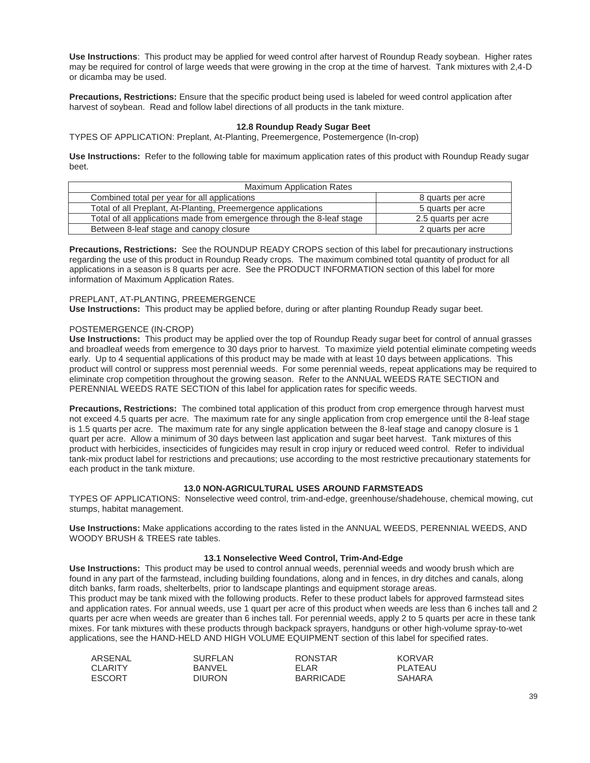**Use Instructions**: This product may be applied for weed control after harvest of Roundup Ready soybean. Higher rates may be required for control of large weeds that were growing in the crop at the time of harvest. Tank mixtures with 2,4-D or dicamba may be used.

**Precautions, Restrictions:** Ensure that the specific product being used is labeled for weed control application after harvest of soybean. Read and follow label directions of all products in the tank mixture.

## **12.8 Roundup Ready Sugar Beet**

TYPES OF APPLICATION: Preplant, At-Planting, Preemergence, Postemergence (In-crop)

**Use Instructions:** Refer to the following table for maximum application rates of this product with Roundup Ready sugar beet.

| <b>Maximum Application Rates</b>                                       |                     |  |
|------------------------------------------------------------------------|---------------------|--|
| Combined total per year for all applications                           | 8 quarts per acre   |  |
| Total of all Preplant, At-Planting, Preemergence applications          | 5 quarts per acre   |  |
| Total of all applications made from emergence through the 8-leaf stage | 2.5 quarts per acre |  |
| Between 8-leaf stage and canopy closure                                | 2 quarts per acre   |  |

**Precautions, Restrictions:** See the ROUNDUP READY CROPS section of this label for precautionary instructions regarding the use of this product in Roundup Ready crops. The maximum combined total quantity of product for all applications in a season is 8 quarts per acre. See the PRODUCT INFORMATION section of this label for more information of Maximum Application Rates.

#### PREPLANT, AT-PLANTING, PREEMERGENCE

**Use Instructions:** This product may be applied before, during or after planting Roundup Ready sugar beet.

## POSTEMERGENCE (IN-CROP)

**Use Instructions:** This product may be applied over the top of Roundup Ready sugar beet for control of annual grasses and broadleaf weeds from emergence to 30 days prior to harvest. To maximize yield potential eliminate competing weeds early. Up to 4 sequential applications of this product may be made with at least 10 days between applications. This product will control or suppress most perennial weeds. For some perennial weeds, repeat applications may be required to eliminate crop competition throughout the growing season. Refer to the ANNUAL WEEDS RATE SECTION and PERENNIAL WEEDS RATE SECTION of this label for application rates for specific weeds.

**Precautions, Restrictions:** The combined total application of this product from crop emergence through harvest must not exceed 4.5 quarts per acre. The maximum rate for any single application from crop emergence until the 8-leaf stage is 1.5 quarts per acre. The maximum rate for any single application between the 8-leaf stage and canopy closure is 1 quart per acre. Allow a minimum of 30 days between last application and sugar beet harvest. Tank mixtures of this product with herbicides, insecticides of fungicides may result in crop injury or reduced weed control. Refer to individual tank-mix product label for restrictions and precautions; use according to the most restrictive precautionary statements for each product in the tank mixture.

## **13.0 NON-AGRICULTURAL USES AROUND FARMSTEADS**

TYPES OF APPLICATIONS: Nonselective weed control, trim-and-edge, greenhouse/shadehouse, chemical mowing, cut stumps, habitat management.

**Use Instructions:** Make applications according to the rates listed in the ANNUAL WEEDS, PERENNIAL WEEDS, AND WOODY BRUSH & TREES rate tables.

#### **13.1 Nonselective Weed Control, Trim-And-Edge**

**Use Instructions:** This product may be used to control annual weeds, perennial weeds and woody brush which are found in any part of the farmstead, including building foundations, along and in fences, in dry ditches and canals, along ditch banks, farm roads, shelterbelts, prior to landscape plantings and equipment storage areas. This product may be tank mixed with the following products. Refer to these product labels for approved farmstead sites and application rates. For annual weeds, use 1 quart per acre of this product when weeds are less than 6 inches tall and 2 quarts per acre when weeds are greater than 6 inches tall. For perennial weeds, apply 2 to 5 quarts per acre in these tank mixes. For tank mixtures with these products through backpack sprayers, handguns or other high-volume spray-to-wet applications, see the HAND-HELD AND HIGH VOLUME EQUIPMENT section of this label for specified rates.

| ARSENAL        | <b>SURFLAN</b> | <b>RONSTAR</b> | KORVAR  |
|----------------|----------------|----------------|---------|
| <b>CLARITY</b> | BANVEL         | FI AR          | PLATEAU |
| <b>ESCORT</b>  | <b>DIURON</b>  | BARRICADE      | SAHARA  |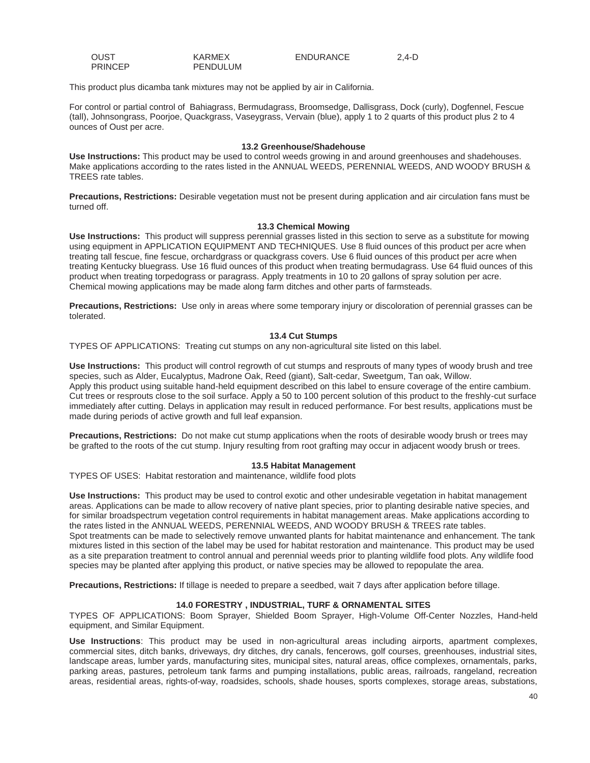| <b>OUST</b>    | <b>KARMEX</b>   | ENDURANCE | $2,4-D$ |
|----------------|-----------------|-----------|---------|
| <b>PRINCEP</b> | <b>PENDULUM</b> |           |         |

This product plus dicamba tank mixtures may not be applied by air in California.

For control or partial control of Bahiagrass, Bermudagrass, Broomsedge, Dallisgrass, Dock (curly), Dogfennel, Fescue (tall), Johnsongrass, Poorjoe, Quackgrass, Vaseygrass, Vervain (blue), apply 1 to 2 quarts of this product plus 2 to 4 ounces of Oust per acre.

#### **13.2 Greenhouse/Shadehouse**

**Use Instructions:** This product may be used to control weeds growing in and around greenhouses and shadehouses. Make applications according to the rates listed in the ANNUAL WEEDS, PERENNIAL WEEDS, AND WOODY BRUSH & TREES rate tables.

**Precautions, Restrictions:** Desirable vegetation must not be present during application and air circulation fans must be turned off.

#### **13.3 Chemical Mowing**

**Use Instructions:** This product will suppress perennial grasses listed in this section to serve as a substitute for mowing using equipment in APPLICATION EQUIPMENT AND TECHNIQUES. Use 8 fluid ounces of this product per acre when treating tall fescue, fine fescue, orchardgrass or quackgrass covers. Use 6 fluid ounces of this product per acre when treating Kentucky bluegrass. Use 16 fluid ounces of this product when treating bermudagrass. Use 64 fluid ounces of this product when treating torpedograss or paragrass. Apply treatments in 10 to 20 gallons of spray solution per acre. Chemical mowing applications may be made along farm ditches and other parts of farmsteads.

**Precautions, Restrictions:** Use only in areas where some temporary injury or discoloration of perennial grasses can be tolerated.

#### **13.4 Cut Stumps**

TYPES OF APPLICATIONS: Treating cut stumps on any non-agricultural site listed on this label.

**Use Instructions:** This product will control regrowth of cut stumps and resprouts of many types of woody brush and tree species, such as Alder, Eucalyptus, Madrone Oak, Reed (giant), Salt-cedar, Sweetgum, Tan oak, Willow. Apply this product using suitable hand-held equipment described on this label to ensure coverage of the entire cambium. Cut trees or resprouts close to the soil surface. Apply a 50 to 100 percent solution of this product to the freshly-cut surface immediately after cutting. Delays in application may result in reduced performance. For best results, applications must be made during periods of active growth and full leaf expansion.

**Precautions, Restrictions:** Do not make cut stump applications when the roots of desirable woody brush or trees may be grafted to the roots of the cut stump. Injury resulting from root grafting may occur in adjacent woody brush or trees.

## **13.5 Habitat Management**

TYPES OF USES: Habitat restoration and maintenance, wildlife food plots

**Use Instructions:** This product may be used to control exotic and other undesirable vegetation in habitat management areas. Applications can be made to allow recovery of native plant species, prior to planting desirable native species, and for similar broadspectrum vegetation control requirements in habitat management areas. Make applications according to the rates listed in the ANNUAL WEEDS, PERENNIAL WEEDS, AND WOODY BRUSH & TREES rate tables. Spot treatments can be made to selectively remove unwanted plants for habitat maintenance and enhancement. The tank mixtures listed in this section of the label may be used for habitat restoration and maintenance. This product may be used as a site preparation treatment to control annual and perennial weeds prior to planting wildlife food plots. Any wildlife food species may be planted after applying this product, or native species may be allowed to repopulate the area.

**Precautions, Restrictions:** If tillage is needed to prepare a seedbed, wait 7 days after application before tillage.

## **14.0 FORESTRY , INDUSTRIAL, TURF & ORNAMENTAL SITES**

TYPES OF APPLICATIONS: Boom Sprayer, Shielded Boom Sprayer, High-Volume Off-Center Nozzles, Hand-held equipment, and Similar Equipment.

**Use Instructions**: This product may be used in non-agricultural areas including airports, apartment complexes, commercial sites, ditch banks, driveways, dry ditches, dry canals, fencerows, golf courses, greenhouses, industrial sites, landscape areas, lumber yards, manufacturing sites, municipal sites, natural areas, office complexes, ornamentals, parks, parking areas, pastures, petroleum tank farms and pumping installations, public areas, railroads, rangeland, recreation areas, residential areas, rights-of-way, roadsides, schools, shade houses, sports complexes, storage areas, substations,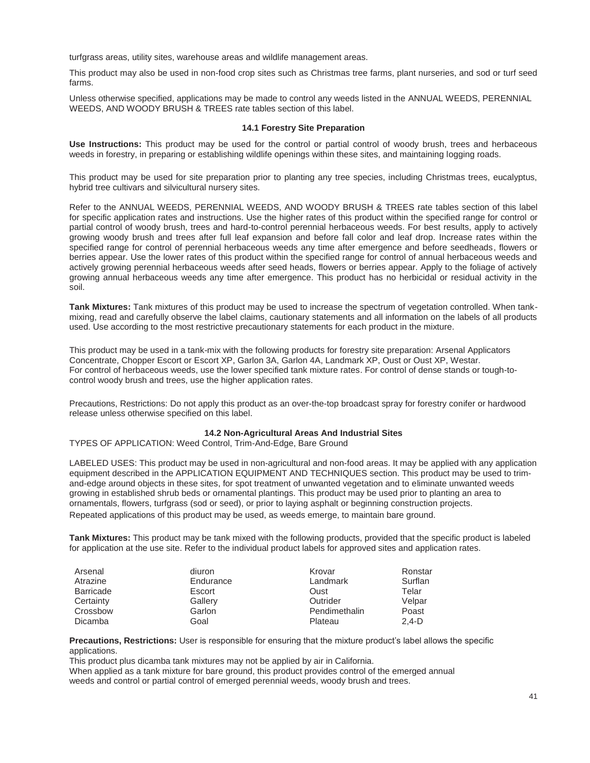turfgrass areas, utility sites, warehouse areas and wildlife management areas.

This product may also be used in non-food crop sites such as Christmas tree farms, plant nurseries, and sod or turf seed farms.

Unless otherwise specified, applications may be made to control any weeds listed in the ANNUAL WEEDS, PERENNIAL WEEDS, AND WOODY BRUSH & TREES rate tables section of this label.

#### **14.1 Forestry Site Preparation**

**Use Instructions:** This product may be used for the control or partial control of woody brush, trees and herbaceous weeds in forestry, in preparing or establishing wildlife openings within these sites, and maintaining logging roads.

This product may be used for site preparation prior to planting any tree species, including Christmas trees, eucalyptus, hybrid tree cultivars and silvicultural nursery sites.

Refer to the ANNUAL WEEDS, PERENNIAL WEEDS, AND WOODY BRUSH & TREES rate tables section of this label for specific application rates and instructions. Use the higher rates of this product within the specified range for control or partial control of woody brush, trees and hard-to-control perennial herbaceous weeds. For best results, apply to actively growing woody brush and trees after full leaf expansion and before fall color and leaf drop. Increase rates within the specified range for control of perennial herbaceous weeds any time after emergence and before seedheads, flowers or berries appear. Use the lower rates of this product within the specified range for control of annual herbaceous weeds and actively growing perennial herbaceous weeds after seed heads, flowers or berries appear. Apply to the foliage of actively growing annual herbaceous weeds any time after emergence. This product has no herbicidal or residual activity in the soil.

**Tank Mixtures:** Tank mixtures of this product may be used to increase the spectrum of vegetation controlled. When tankmixing, read and carefully observe the label claims, cautionary statements and all information on the labels of all products used. Use according to the most restrictive precautionary statements for each product in the mixture.

This product may be used in a tank-mix with the following products for forestry site preparation: Arsenal Applicators Concentrate, Chopper Escort or Escort XP, Garlon 3A, Garlon 4A, Landmark XP, Oust or Oust XP, Westar. For control of herbaceous weeds, use the lower specified tank mixture rates. For control of dense stands or tough-tocontrol woody brush and trees, use the higher application rates.

Precautions, Restrictions: Do not apply this product as an over-the-top broadcast spray for forestry conifer or hardwood release unless otherwise specified on this label.

#### **14.2 Non-Agricultural Areas And Industrial Sites**

TYPES OF APPLICATION: Weed Control, Trim-And-Edge, Bare Ground

LABELED USES: This product may be used in non-agricultural and non-food areas. It may be applied with any application equipment described in the APPLICATION EQUIPMENT AND TECHNIQUES section. This product may be used to trimand-edge around objects in these sites, for spot treatment of unwanted vegetation and to eliminate unwanted weeds growing in established shrub beds or ornamental plantings. This product may be used prior to planting an area to ornamentals, flowers, turfgrass (sod or seed), or prior to laying asphalt or beginning construction projects. Repeated applications of this product may be used, as weeds emerge, to maintain bare ground.

**Tank Mixtures:** This product may be tank mixed with the following products, provided that the specific product is labeled for application at the use site. Refer to the individual product labels for approved sites and application rates.

| Arsenal   | diuron    | Krovar        | Ronstar |
|-----------|-----------|---------------|---------|
| Atrazine  | Endurance | Landmark      | Surflan |
| Barricade | Escort    | Oust          | Telar   |
| Certainty | Gallery   | Outrider      | Velpar  |
| Crossbow  | Garlon    | Pendimethalin | Poast   |
| Dicamba   | Goal      | Plateau       | $2.4-D$ |

**Precautions, Restrictions:** User is responsible for ensuring that the mixture product's label allows the specific applications.

This product plus dicamba tank mixtures may not be applied by air in California.

When applied as a tank mixture for bare ground, this product provides control of the emerged annual weeds and control or partial control of emerged perennial weeds, woody brush and trees.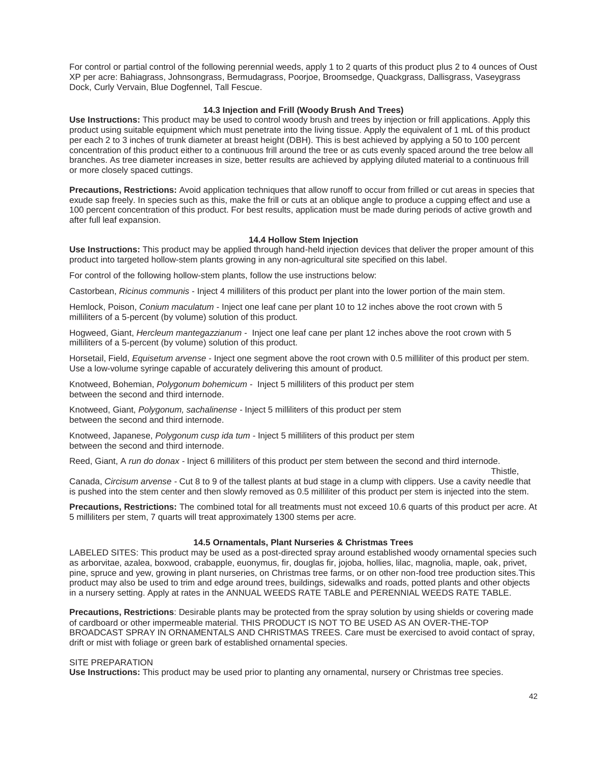For control or partial control of the following perennial weeds, apply 1 to 2 quarts of this product plus 2 to 4 ounces of Oust XP per acre: Bahiagrass, Johnsongrass, Bermudagrass, Poorjoe, Broomsedge, Quackgrass, Dallisgrass, Vaseygrass Dock, Curly Vervain, Blue Dogfennel, Tall Fescue.

## **14.3 Injection and Frill (Woody Brush And Trees)**

**Use Instructions:** This product may be used to control woody brush and trees by injection or frill applications. Apply this product using suitable equipment which must penetrate into the living tissue. Apply the equivalent of 1 mL of this product per each 2 to 3 inches of trunk diameter at breast height (DBH). This is best achieved by applying a 50 to 100 percent concentration of this product either to a continuous frill around the tree or as cuts evenly spaced around the tree below all branches. As tree diameter increases in size, better results are achieved by applying diluted material to a continuous frill or more closely spaced cuttings.

**Precautions, Restrictions:** Avoid application techniques that allow runoff to occur from frilled or cut areas in species that exude sap freely. In species such as this, make the frill or cuts at an oblique angle to produce a cupping effect and use a 100 percent concentration of this product. For best results, application must be made during periods of active growth and after full leaf expansion.

#### **14.4 Hollow Stem Injection**

**Use Instructions:** This product may be applied through hand-held injection devices that deliver the proper amount of this product into targeted hollow-stem plants growing in any non-agricultural site specified on this label.

For control of the following hollow-stem plants, follow the use instructions below:

Castorbean, *Ricinus communis* - Inject 4 milliliters of this product per plant into the lower portion of the main stem.

Hemlock, Poison, *Conium maculatum -* Inject one leaf cane per plant 10 to 12 inches above the root crown with 5 milliliters of a 5-percent (by volume) solution of this product.

Hogweed, Giant, *Hercleum mantegazzianum -* Inject one leaf cane per plant 12 inches above the root crown with 5 milliliters of a 5-percent (by volume) solution of this product.

Horsetail, Field, *Equisetum arvense -* Inject one segment above the root crown with 0.5 milliliter of this product per stem. Use a low-volume syringe capable of accurately delivering this amount of product.

Knotweed, Bohemian, *Polygonum bohemicum -* Inject 5 milliliters of this product per stem between the second and third internode.

Knotweed, Giant, *Polygonum, sachalinense -* Inject 5 milliliters of this product per stem between the second and third internode.

Knotweed, Japanese, *Polygonum cusp ida tum -* Inject 5 milliliters of this product per stem between the second and third internode.

Reed, Giant, A *run do donax -* Inject 6 milliliters of this product per stem between the second and third internode.

Thistle, the contract of the contract of the contract of the contract of the contract of the contract of the contract of the contract of the contract of the contract of the contract of the contract of the contract of the c Canada, *Circisum arvense -* Cut 8 to 9 of the tallest plants at bud stage in a clump with clippers. Use a cavity needle that is pushed into the stem center and then slowly removed as 0.5 milliliter of this product per stem is injected into the stem.

**Precautions, Restrictions:** The combined total for all treatments must not exceed 10.6 quarts of this product per acre. At 5 milliliters per stem, 7 quarts will treat approximately 1300 stems per acre.

#### **14.5 Ornamentals, Plant Nurseries & Christmas Trees**

LABELED SITES: This product may be used as a post-directed spray around established woody ornamental species such as arborvitae, azalea, boxwood, crabapple, euonymus, fir, douglas fir, jojoba, hollies, lilac, magnolia, maple, oak, privet, pine, spruce and yew, growing in plant nurseries, on Christmas tree farms, or on other non-food tree production sites.This product may also be used to trim and edge around trees, buildings, sidewalks and roads, potted plants and other objects in a nursery setting. Apply at rates in the ANNUAL WEEDS RATE TABLE and PERENNIAL WEEDS RATE TABLE.

**Precautions, Restrictions**: Desirable plants may be protected from the spray solution by using shields or covering made of cardboard or other impermeable material. THIS PRODUCT IS NOT TO BE USED AS AN OVER-THE-TOP BROADCAST SPRAY IN ORNAMENTALS AND CHRISTMAS TREES. Care must be exercised to avoid contact of spray, drift or mist with foliage or green bark of established ornamental species.

#### SITE PREPARATION

**Use Instructions:** This product may be used prior to planting any ornamental, nursery or Christmas tree species.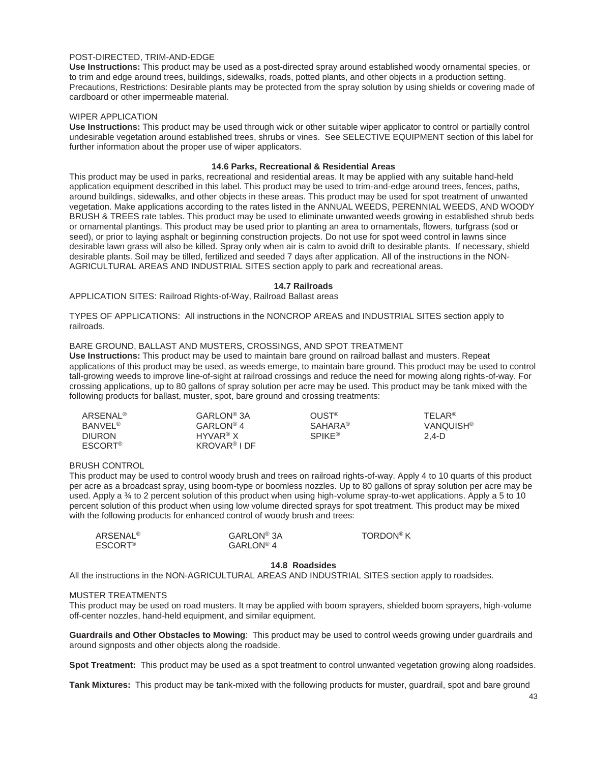#### POST-DIRECTED, TRIM-AND-EDGE

**Use Instructions:** This product may be used as a post-directed spray around established woody ornamental species, or to trim and edge around trees, buildings, sidewalks, roads, potted plants, and other objects in a production setting. Precautions, Restrictions: Desirable plants may be protected from the spray solution by using shields or covering made of cardboard or other impermeable material.

#### WIPER APPLICATION

**Use Instructions:** This product may be used through wick or other suitable wiper applicator to control or partially control undesirable vegetation around established trees, shrubs or vines. See SELECTIVE EQUIPMENT section of this label for further information about the proper use of wiper applicators.

#### **14.6 Parks, Recreational & Residential Areas**

This product may be used in parks, recreational and residential areas. It may be applied with any suitable hand-held application equipment described in this label. This product may be used to trim-and-edge around trees, fences, paths, around buildings, sidewalks, and other objects in these areas. This product may be used for spot treatment of unwanted vegetation. Make applications according to the rates listed in the ANNUAL WEEDS, PERENNIAL WEEDS, AND WOODY BRUSH & TREES rate tables. This product may be used to eliminate unwanted weeds growing in established shrub beds or ornamental plantings. This product may be used prior to planting an area to ornamentals, flowers, turfgrass (sod or seed), or prior to laying asphalt or beginning construction projects. Do not use for spot weed control in lawns since desirable lawn grass will also be killed. Spray only when air is calm to avoid drift to desirable plants. If necessary, shield desirable plants. Soil may be tilled, fertilized and seeded 7 days after application. All of the instructions in the NON-AGRICULTURAL AREAS AND INDUSTRIAL SITES section apply to park and recreational areas.

## **14.7 Railroads**

APPLICATION SITES: Railroad Rights-of-Way, Railroad Ballast areas

TYPES OF APPLICATIONS: All instructions in the NONCROP AREAS and INDUSTRIAL SITES section apply to railroads.

#### BARE GROUND, BALLAST AND MUSTERS, CROSSINGS, AND SPOT TREATMENT

**Use Instructions:** This product may be used to maintain bare ground on railroad ballast and musters. Repeat applications of this product may be used, as weeds emerge, to maintain bare ground. This product may be used to control tall-growing weeds to improve line-of-sight at railroad crossings and reduce the need for mowing along rights-of-way. For crossing applications, up to 80 gallons of spray solution per acre may be used. This product may be tank mixed with the following products for ballast, muster, spot, bare ground and crossing treatments:

| <b>ARSENAL<sup>®</sup></b> | GARLON <sup>®</sup> 3A   | <b>OUST<sup>®</sup></b>  | TFI AR <sup>®</sup> |
|----------------------------|--------------------------|--------------------------|---------------------|
| <b>BANVEL<sup>®</sup></b>  | GARLON <sup>®</sup> 4    | <b>SAHARA®</b>           | <b>VANQUISH®</b>    |
| <b>DIURON</b>              | $HYVAR^{\circledR}X$     | <b>SPIKE<sup>®</sup></b> | 2.4-D               |
| <b>ESCORT®</b>             | KROVAR <sup>®</sup> I DF |                          |                     |

## BRUSH CONTROL

This product may be used to control woody brush and trees on railroad rights-of-way. Apply 4 to 10 quarts of this product per acre as a broadcast spray, using boom-type or boomless nozzles. Up to 80 gallons of spray solution per acre may be used. Apply a ¾ to 2 percent solution of this product when using high-volume spray-to-wet applications. Apply a 5 to 10 percent solution of this product when using low volume directed sprays for spot treatment. This product may be mixed with the following products for enhanced control of woody brush and trees:

| ARSENAL®                  | GARLON <sup>®</sup> 3A | TORDON <sup>®</sup> K |
|---------------------------|------------------------|-----------------------|
| <b>ESCORT<sup>®</sup></b> | $GARLON^{\circledR}$ 4 |                       |

#### **14.8 Roadsides**

All the instructions in the NON-AGRICULTURAL AREAS AND INDUSTRIAL SITES section apply to roadsides.

#### MUSTER TREATMENTS

This product may be used on road musters. It may be applied with boom sprayers, shielded boom sprayers, high-volume off-center nozzles, hand-held equipment, and similar equipment.

**Guardrails and Other Obstacles to Mowing**: This product may be used to control weeds growing under guardrails and around signposts and other objects along the roadside.

**Spot Treatment:** This product may be used as a spot treatment to control unwanted vegetation growing along roadsides.

**Tank Mixtures:** This product may be tank-mixed with the following products for muster, guardrail, spot and bare ground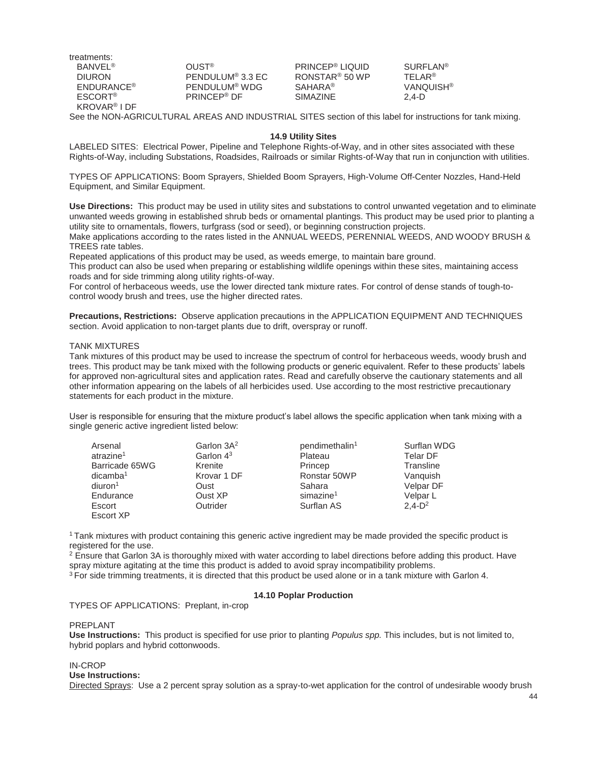treatments: BANVEL® DIURON ENDURANCE® ESCORT® KROVAR® I DF

OUST® PENDULUM® 3.3 EC PENDULUM® WDG PRINCEP® DF

PRINCEP® LIQUID RONSTAR® 50 WP SAHARA® SIMAZINE

SURFLAN® TELAR® **VANQUISH<sup>®</sup>** 2,4-D

See the NON-AGRICULTURAL AREAS AND INDUSTRIAL SITES section of this label for instructions for tank mixing.

#### **14.9 Utility Sites**

LABELED SITES: Electrical Power, Pipeline and Telephone Rights-of-Way, and in other sites associated with these Rights-of-Way, including Substations, Roadsides, Railroads or similar Rights-of-Way that run in conjunction with utilities.

TYPES OF APPLICATIONS: Boom Sprayers, Shielded Boom Sprayers, High-Volume Off-Center Nozzles, Hand-Held Equipment, and Similar Equipment.

**Use Directions:** This product may be used in utility sites and substations to control unwanted vegetation and to eliminate unwanted weeds growing in established shrub beds or ornamental plantings. This product may be used prior to planting a utility site to ornamentals, flowers, turfgrass (sod or seed), or beginning construction projects.

Make applications according to the rates listed in the ANNUAL WEEDS, PERENNIAL WEEDS, AND WOODY BRUSH & TREES rate tables.

Repeated applications of this product may be used, as weeds emerge, to maintain bare ground.

This product can also be used when preparing or establishing wildlife openings within these sites, maintaining access roads and for side trimming along utility rights-of-way.

For control of herbaceous weeds, use the lower directed tank mixture rates. For control of dense stands of tough-tocontrol woody brush and trees, use the higher directed rates.

**Precautions, Restrictions:** Observe application precautions in the APPLICATION EQUIPMENT AND TECHNIQUES section. Avoid application to non-target plants due to drift, overspray or runoff.

#### TANK MIXTURES

Tank mixtures of this product may be used to increase the spectrum of control for herbaceous weeds, woody brush and trees. This product may be tank mixed with the following products or generic equivalent. Refer to these products' labels for approved non-agricultural sites and application rates. Read and carefully observe the cautionary statements and all other information appearing on the labels of all herbicides used. Use according to the most restrictive precautionary statements for each product in the mixture.

User is responsible for ensuring that the mixture product's label allows the specific application when tank mixing with a single generic active ingredient listed below:

| Arsenal               | Garlon 3A <sup>2</sup> | pendimethalin <sup>1</sup> | Surflan WDG      |
|-----------------------|------------------------|----------------------------|------------------|
| atrazine <sup>1</sup> | Garlon $4^3$           | Plateau                    | <b>Telar DF</b>  |
| Barricade 65WG        | Krenite                | Princep                    | Transline        |
| dicamba <sup>1</sup>  | Krovar 1 DF            | Ronstar 50WP               | Vanguish         |
| diuron <sup>1</sup>   | Oust                   | Sahara                     | <b>Velpar DF</b> |
| Endurance             | Oust XP                | simazine <sup>1</sup>      | Velpar L         |
| Escort                | Outrider               | Surflan AS                 | $2.4-D^2$        |
| Escort XP             |                        |                            |                  |

1 Tank mixtures with product containing this generic active ingredient may be made provided the specific product is registered for the use.

 $2$  Ensure that Garlon 3A is thoroughly mixed with water according to label directions before adding this product. Have spray mixture agitating at the time this product is added to avoid spray incompatibility problems.

 $3$  For side trimming treatments, it is directed that this product be used alone or in a tank mixture with Garlon 4.

## **14.10 Poplar Production**

TYPES OF APPLICATIONS: Preplant, in-crop

#### PREPLANT

**Use Instructions:** This product is specified for use prior to planting *Populus spp.* This includes, but is not limited to, hybrid poplars and hybrid cottonwoods.

## IN-CROP

**Use Instructions:** 

Directed Sprays: Use a 2 percent spray solution as a spray-to-wet application for the control of undesirable woody brush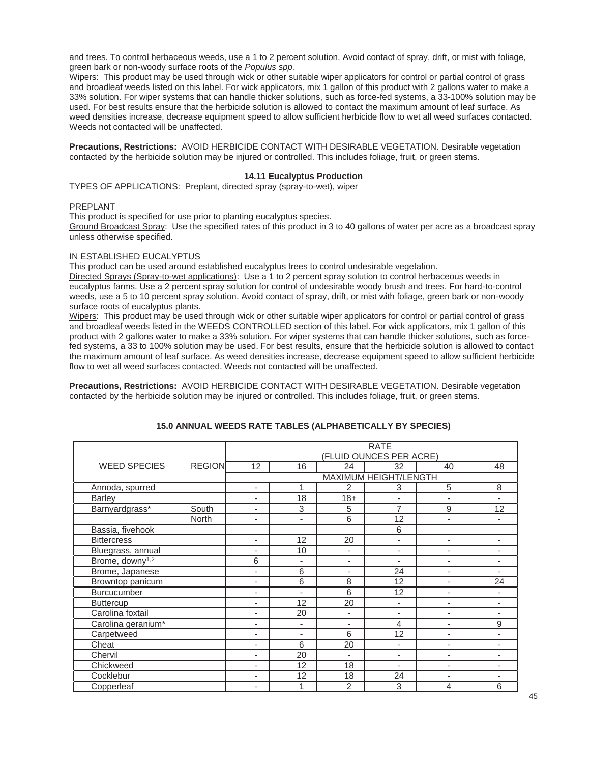and trees. To control herbaceous weeds, use a 1 to 2 percent solution. Avoid contact of spray, drift, or mist with foliage, green bark or non-woody surface roots of the *Populus spp.*

Wipers: This product may be used through wick or other suitable wiper applicators for control or partial control of grass and broadleaf weeds listed on this label. For wick applicators, mix 1 gallon of this product with 2 gallons water to make a 33% solution. For wiper systems that can handle thicker solutions, such as force-fed systems, a 33-100% solution may be used. For best results ensure that the herbicide solution is allowed to contact the maximum amount of leaf surface. As weed densities increase, decrease equipment speed to allow sufficient herbicide flow to wet all weed surfaces contacted. Weeds not contacted will be unaffected.

**Precautions, Restrictions:** AVOID HERBICIDE CONTACT WITH DESIRABLE VEGETATION. Desirable vegetation contacted by the herbicide solution may be injured or controlled. This includes foliage, fruit, or green stems.

#### **14.11 Eucalyptus Production**

TYPES OF APPLICATIONS: Preplant, directed spray (spray-to-wet), wiper

#### PREPLANT

This product is specified for use prior to planting eucalyptus species.

Ground Broadcast Spray: Use the specified rates of this product in 3 to 40 gallons of water per acre as a broadcast spray unless otherwise specified.

#### IN ESTABLISHED EUCALYPTUS

This product can be used around established eucalyptus trees to control undesirable vegetation.

Directed Sprays (Spray-to-wet applications): Use a 1 to 2 percent spray solution to control herbaceous weeds in eucalyptus farms. Use a 2 percent spray solution for control of undesirable woody brush and trees. For hard-to-control weeds, use a 5 to 10 percent spray solution. Avoid contact of spray, drift, or mist with foliage, green bark or non-woody surface roots of eucalyptus plants.

Wipers: This product may be used through wick or other suitable wiper applicators for control or partial control of grass and broadleaf weeds listed in the WEEDS CONTROLLED section of this label. For wick applicators, mix 1 gallon of this product with 2 gallons water to make a 33% solution. For wiper systems that can handle thicker solutions, such as forcefed systems, a 33 to 100% solution may be used. For best results, ensure that the herbicide solution is allowed to contact the maximum amount of leaf surface. As weed densities increase, decrease equipment speed to allow sufficient herbicide flow to wet all weed surfaces contacted. Weeds not contacted will be unaffected.

**Precautions, Restrictions:** AVOID HERBICIDE CONTACT WITH DESIRABLE VEGETATION. Desirable vegetation contacted by the herbicide solution may be injured or controlled. This includes foliage, fruit, or green stems.

|                             |               |                          |                          |                          | <b>RATE</b><br>(FLUID OUNCES PER ACRE) |                          |    |
|-----------------------------|---------------|--------------------------|--------------------------|--------------------------|----------------------------------------|--------------------------|----|
| <b>WEED SPECIES</b>         | <b>REGION</b> | 12                       | 16                       | 24                       | 32                                     | 40                       | 48 |
|                             |               |                          |                          |                          | MAXIMUM HEIGHT/LENGTH                  |                          |    |
| Annoda, spurred             |               | ٠                        | 1                        | 2                        | 3                                      | 5                        | 8  |
| <b>Barley</b>               |               | ٠                        | 18                       | $18 +$                   | $\blacksquare$                         | ä,                       | ٠  |
| Barnyardgrass*              | South         | ۰                        | 3                        | 5                        | 7                                      | 9                        | 12 |
|                             | <b>North</b>  | ۰                        | $\overline{\phantom{a}}$ | 6                        | 12                                     | ۰                        |    |
| Bassia, fivehook            |               |                          |                          |                          | 6                                      |                          |    |
| <b>Bittercress</b>          |               | $\overline{\phantom{a}}$ | 12                       | 20                       | $\blacksquare$                         | $\overline{\phantom{0}}$ | ٠  |
| Bluegrass, annual           |               | ٠                        | 10                       | ÷,                       | $\overline{\phantom{a}}$               | -                        | ۰  |
| Brome, downy <sup>1,2</sup> |               | 6                        | ٠                        | ٠                        | $\blacksquare$                         | -                        | ٠  |
| Brome, Japanese             |               | ٠                        | 6                        | ٠                        | 24                                     | -                        | ٠  |
| Browntop panicum            |               | ۰                        | 6                        | 8                        | 12                                     | -                        | 24 |
| Burcucumber                 |               | ٠                        | $\blacksquare$           | 6                        | 12                                     | -                        |    |
| <b>Buttercup</b>            |               | ٠                        | 12                       | 20                       | $\blacksquare$                         | -                        | ٠  |
| Carolina foxtail            |               | ۰                        | 20                       | $\overline{\phantom{a}}$ | ٠                                      | -                        | ٠  |
| Carolina geranium*          |               | ٠                        | ٠                        | ٠                        | 4                                      | -                        | 9  |
| Carpetweed                  |               | ٠                        | ٠                        | 6                        | 12                                     | -                        | ٠  |
| Cheat                       |               | ٠                        | 6                        | 20                       | $\overline{a}$                         | $\overline{a}$           | ٠  |
| Chervil                     |               | ۰                        | 20                       | ÷                        | $\overline{\phantom{a}}$               | $\overline{a}$           | ٠  |
| Chickweed                   |               |                          | 12                       | 18                       |                                        |                          |    |
| Cocklebur                   |               |                          | 12                       | 18                       | 24                                     | $\overline{a}$           |    |
| Copperleaf                  |               |                          | 1                        | $\overline{2}$           | 3                                      | 4                        | 6  |

## **15.0 ANNUAL WEEDS RATE TABLES (ALPHABETICALLY BY SPECIES)**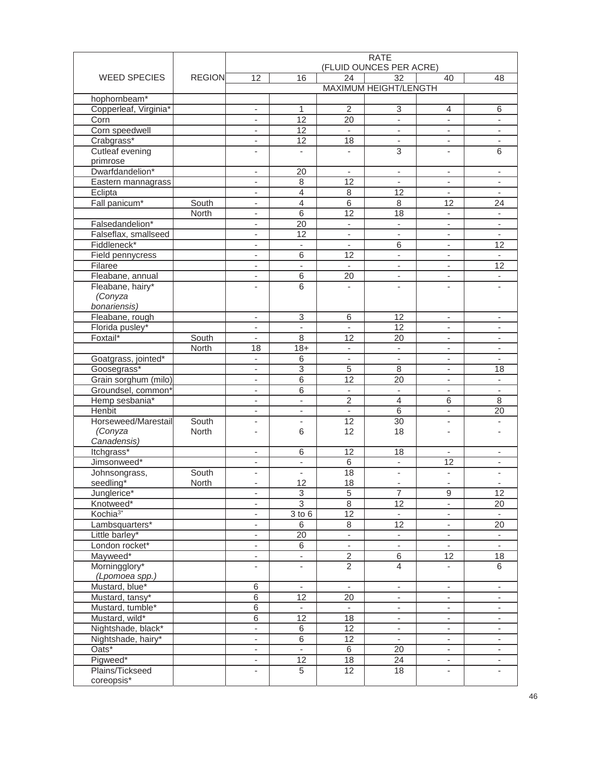|                        |               | <b>RATE</b>                    |                          |                          |                           |                          |                          |
|------------------------|---------------|--------------------------------|--------------------------|--------------------------|---------------------------|--------------------------|--------------------------|
|                        |               |                                |                          |                          | (FLUID OUNCES PER ACRE)   |                          |                          |
| <b>WEED SPECIES</b>    | <b>REGION</b> | 12                             | 16                       | 24                       | $\overline{32}$           | 40                       | 48                       |
|                        |               |                                |                          |                          | MAXIMUM HEIGHT/LENGTH     |                          |                          |
| hophornbeam*           |               |                                |                          |                          |                           |                          |                          |
| Copperleaf, Virginia*  |               | $\overline{\phantom{a}}$       | 1                        | 2                        | $\ensuremath{\mathsf{3}}$ | 4                        | 6                        |
| Corn                   |               | $\overline{\phantom{a}}$       | $\overline{12}$          | $\overline{20}$          | L,                        | $\overline{\phantom{a}}$ |                          |
| Corn speedwell         |               | $\overline{\phantom{a}}$       | 12                       | $\mathcal{L}$            | $\blacksquare$            | $\mathbf{r}$             | ÷.                       |
| Crabgrass*             |               | $\overline{\phantom{a}}$       | 12                       | 18                       | $\overline{\phantom{a}}$  | $\overline{\phantom{a}}$ | $\overline{\phantom{a}}$ |
| <b>Cutleaf evening</b> |               | $\overline{\phantom{a}}$       | $\overline{\phantom{a}}$ | $\overline{\phantom{a}}$ | 3                         | $\overline{\phantom{a}}$ | 6                        |
| primrose               |               |                                |                          |                          |                           |                          |                          |
| Dwarfdandelion*        |               | -                              | 20                       |                          | $\overline{\phantom{m}}$  | $\overline{\phantom{a}}$ |                          |
| Eastern mannagrass     |               | $\overline{\phantom{a}}$       | $\,8\,$                  | 12                       | $\blacksquare$            | $\blacksquare$           | $\blacksquare$           |
| Eclipta                |               | $\overline{\phantom{a}}$       | 4                        | 8                        | 12                        | $\overline{\phantom{a}}$ | $\overline{\phantom{a}}$ |
| Fall panicum*          | South         | $\overline{\phantom{a}}$       | 4                        | $\overline{6}$           | 8                         | 12                       | 24                       |
|                        | North         | $\overline{\phantom{a}}$       | $\overline{6}$           | 12                       | 18                        | $\overline{\phantom{a}}$ | $\overline{\phantom{a}}$ |
| Falsedandelion*        |               |                                | 20                       | $\overline{\phantom{a}}$ | $\overline{\phantom{0}}$  | $\overline{\phantom{a}}$ |                          |
|                        |               | $\overline{\phantom{m}}$<br>L, | 12                       | $\blacksquare$           | L.                        | $\blacksquare$           | $\omega$                 |
| Falseflax, smallseed   |               |                                |                          |                          |                           |                          |                          |
| Fiddleneck*            |               | $\overline{\phantom{a}}$       | $\overline{\phantom{a}}$ | $\overline{\phantom{a}}$ | 6                         | $\overline{\phantom{a}}$ | 12                       |
| Field pennycress       |               | ٠                              | 6                        | 12                       | ۰                         | ٠                        |                          |
| Filaree                |               | $\overline{\phantom{0}}$       | $\overline{\phantom{a}}$ | $\sim$                   | $\overline{\phantom{0}}$  | $\overline{\phantom{a}}$ | $\overline{12}$          |
| Fleabane, annual       |               | $\overline{\phantom{a}}$       | 6                        | 20                       | $\overline{\phantom{0}}$  | $\blacksquare$           | $\overline{\phantom{a}}$ |
| Fleabane, hairy*       |               | ٠                              | 6                        | ä,                       |                           | $\overline{\phantom{a}}$ |                          |
| (Conyza                |               |                                |                          |                          |                           |                          |                          |
| bonariensis)           |               |                                |                          |                          |                           |                          |                          |
| Fleabane, rough        |               | ٠                              | 3                        | 6                        | 12                        | $\blacksquare$           | $\overline{\phantom{a}}$ |
| Florida pusley*        |               | $\overline{\phantom{a}}$       |                          |                          | 12                        | $\overline{\phantom{a}}$ |                          |
| Foxtail*               | South         | $\blacksquare$                 | 8                        | 12                       | 20                        | $\blacksquare$           | $\overline{\phantom{a}}$ |
|                        | North         | 18                             | $18 +$                   | $\overline{\phantom{a}}$ | $\overline{\phantom{a}}$  | $\overline{\phantom{a}}$ | $\overline{\phantom{a}}$ |
| Goatgrass, jointed*    |               | $\overline{\phantom{a}}$       | 6                        | $\overline{\phantom{a}}$ | $\overline{\phantom{0}}$  | ٠                        |                          |
| Goosegrass*            |               | $\overline{\phantom{a}}$       | $\overline{3}$           | 5                        | $\,8\,$                   | $\blacksquare$           | 18                       |
| Grain sorghum (milo)   |               | -                              | 6                        | 12                       | 20                        | $\overline{\phantom{a}}$ |                          |
| Groundsel, common*     |               | $\overline{\phantom{a}}$       | 6                        | ä,                       | ÷.                        | $\blacksquare$           | $\blacksquare$           |
| Hemp sesbania*         |               | $\overline{\phantom{a}}$       | $\overline{\phantom{a}}$ | $\overline{c}$           | $\overline{4}$            | 6                        | 8                        |
| Henbit                 |               |                                |                          |                          | 6                         | $\blacksquare$           | 20                       |
|                        |               | $\overline{\phantom{a}}$       | $\overline{\phantom{a}}$ | $\overline{\phantom{a}}$ |                           |                          |                          |
| Horseweed/Marestail    | South         | -                              | ٠                        | 12                       | 30                        | $\overline{\phantom{a}}$ |                          |
| (Conyza                | <b>North</b>  | Ĭ.                             | 6                        | 12                       | 18                        | ٠                        |                          |
| Canadensis)            |               |                                |                          |                          |                           |                          |                          |
| Itchgrass*             |               | $\overline{\phantom{a}}$       | 6                        | 12                       | 18                        | $\overline{\phantom{a}}$ | $\overline{\phantom{a}}$ |
| Jimsonweed*            |               | ٠                              | $\overline{\phantom{a}}$ | $\,$ 6                   | $\overline{\phantom{0}}$  | 12                       |                          |
| Johnsongrass,          | South         |                                | $\overline{\phantom{m}}$ | 18                       |                           |                          |                          |
| seedling*              | North         |                                | 12                       | 18                       |                           |                          |                          |
| Junglerice*            |               | $\overline{\phantom{a}}$       | $\sqrt{3}$               | 5                        | $\overline{7}$            | 9                        | $\overline{12}$          |
| Knotweed*              |               | -                              | $\overline{3}$           | 8                        | 12                        | $\overline{\phantom{a}}$ | 20                       |
| Kochia <sup>3*</sup>   |               | $\overline{\phantom{a}}$       | $\overline{3}$ to 6      | 12                       |                           | $\overline{\phantom{a}}$ | $\sim$                   |
| Lambsquarters*         |               | $\overline{\phantom{a}}$       | $\overline{6}$           | $\overline{8}$           | $\overline{12}$           | $\overline{\phantom{a}}$ | $\overline{20}$          |
| Little barley*         |               | $\overline{\phantom{0}}$       | 20                       | $\blacksquare$           | ÷,                        | $\overline{\phantom{a}}$ | $\blacksquare$           |
| London rocket*         |               | $\overline{\phantom{a}}$       | 6                        | $\blacksquare$           | $\overline{\phantom{a}}$  | $\overline{\phantom{a}}$ | $\overline{\phantom{a}}$ |
| Mayweed*               |               | $\overline{\phantom{a}}$       | ۰                        | $\overline{c}$           | 6                         | 12                       | 18                       |
| Morningglory*          |               | $\overline{\phantom{a}}$       | $\overline{\phantom{a}}$ | $\overline{2}$           | $\overline{4}$            | $\overline{\phantom{a}}$ | $\overline{6}$           |
| (Lpomoea spp.)         |               |                                |                          |                          |                           |                          |                          |
| Mustard, blue*         |               | $\,$ 6                         | $\overline{\phantom{a}}$ | $\blacksquare$           | $\overline{\phantom{a}}$  | $\overline{\phantom{a}}$ | ÷.                       |
| Mustard, tansy*        |               | 6                              | 12                       | 20                       | $\blacksquare$            | $\overline{\phantom{a}}$ | $\overline{\phantom{a}}$ |
| Mustard, tumble*       |               | 6                              | $\overline{\phantom{a}}$ |                          | ۰                         | $\overline{\phantom{a}}$ | $\overline{\phantom{a}}$ |
|                        |               |                                |                          |                          |                           |                          |                          |
| Mustard, wild*         |               | 6<br>ä,                        | 12<br>$\overline{6}$     | 18<br>$\overline{12}$    | $\overline{\phantom{a}}$  | $\overline{\phantom{a}}$ | $\overline{\phantom{a}}$ |
| Nightshade, black*     |               |                                |                          |                          | $\overline{\phantom{a}}$  | $\overline{\phantom{a}}$ |                          |
| Nightshade, hairy*     |               | L.                             | $\,6\,$                  | 12                       | ÷,                        | ä,                       | $\overline{\phantom{a}}$ |
| Oats*                  |               | $\overline{\phantom{a}}$       | $\Box$                   | $\overline{6}$           | $\overline{20}$           | $\overline{\phantom{a}}$ | $\overline{\phantom{a}}$ |
| Pigweed*               |               | $\overline{\phantom{a}}$       | 12                       | 18                       | 24                        | $\overline{\phantom{a}}$ | $\overline{\phantom{a}}$ |
| Plains/Tickseed        |               | $\overline{\phantom{a}}$       | $\overline{5}$           | $\overline{12}$          | $\overline{18}$           | $\overline{\phantom{a}}$ | $\overline{\phantom{a}}$ |
| coreopsis*             |               |                                |                          |                          |                           |                          |                          |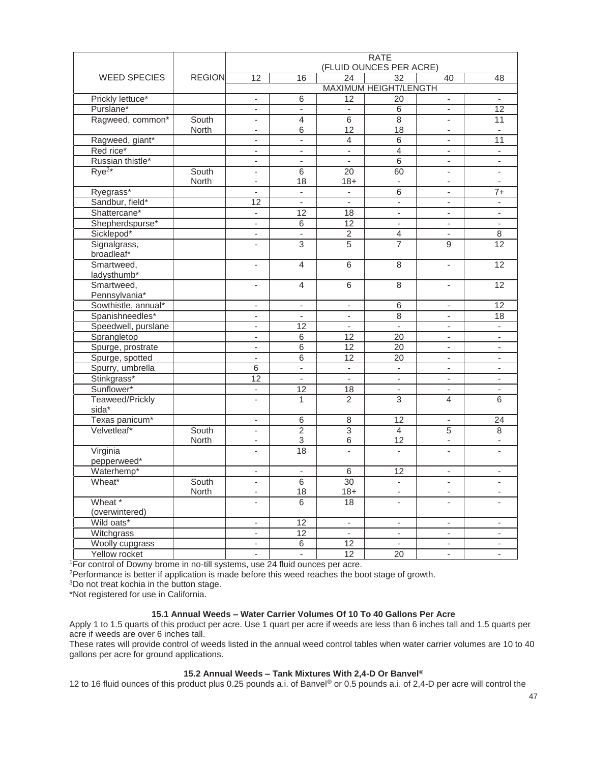|                            |               | <b>RATE</b><br>(FLUID OUNCES PER ACRE) |                           |                          |                                    |                          |                             |
|----------------------------|---------------|----------------------------------------|---------------------------|--------------------------|------------------------------------|--------------------------|-----------------------------|
|                            |               |                                        |                           |                          |                                    |                          |                             |
| <b>WEED SPECIES</b>        | <b>REGION</b> | 12                                     | 16                        | 24                       | 32<br><b>MAXIMUM HEIGHT/LENGTH</b> | 40                       | 48                          |
|                            |               |                                        |                           |                          |                                    |                          |                             |
| Prickly lettuce*           |               | $\overline{\phantom{0}}$               | 6                         | 12                       | 20                                 | $\overline{\phantom{a}}$ | $\overline{\phantom{a}}$    |
| Purslane*                  |               | $\qquad \qquad \blacksquare$           | $\overline{\phantom{a}}$  | $\blacksquare$           | 6                                  | $\overline{\phantom{a}}$ | $\overline{12}$             |
| Ragweed, common*           | South         | $\overline{\phantom{0}}$               | 4                         | 6                        | $\overline{8}$                     | ÷.                       | $\overline{11}$             |
|                            | North         | $\overline{\phantom{a}}$               | 6                         | 12                       | 18                                 | $\overline{\phantom{a}}$ | $\overline{\phantom{a}}$    |
| Ragweed, giant*            |               | $\overline{\phantom{m}}$               | $\overline{\phantom{a}}$  | 4                        | 6                                  | $\overline{\phantom{a}}$ | 11                          |
| Red rice*                  |               | $\overline{\phantom{a}}$               | $\overline{\phantom{a}}$  | $\overline{\phantom{a}}$ | $\overline{4}$                     | $\overline{\phantom{a}}$ | $\overline{\phantom{a}}$    |
| Russian thistle*           |               | $\qquad \qquad \blacksquare$           | $\overline{\phantom{a}}$  |                          | $\overline{6}$                     | $\overline{\phantom{a}}$ |                             |
| $Rye^{2*}$                 | South         | $\overline{\phantom{a}}$               | 6                         | 20                       | 60                                 | $\overline{a}$           | $\mathbf{r}$                |
|                            | North         | $\overline{\phantom{a}}$               | 18                        | $18 +$                   | $\overline{\phantom{a}}$           | $\overline{\phantom{a}}$ |                             |
| Ryegrass*                  |               | $\overline{\phantom{0}}$               | $\overline{\phantom{a}}$  | $\overline{\phantom{a}}$ | 6                                  | $\overline{\phantom{a}}$ | $7+$                        |
| Sandbur, field*            |               | 12                                     | $\overline{\phantom{a}}$  | $\overline{\phantom{a}}$ | $\overline{\phantom{a}}$           | $\overline{\phantom{a}}$ |                             |
| Shattercane*               |               | $\overline{\phantom{0}}$               | 12                        | 18                       | $\overline{\phantom{a}}$           | $\overline{\phantom{a}}$ |                             |
| Shepherdspurse*            |               | ÷.                                     | 6                         | 12                       | ÷.                                 | $\mathcal{L}$            | ÷.                          |
| Sicklepod*                 |               | $\overline{\phantom{a}}$               | $\overline{\phantom{a}}$  | $\overline{2}$           | 4                                  | $\overline{\phantom{a}}$ | 8                           |
| Signalgrass,<br>broadleaf* |               | $\overline{\phantom{0}}$               | 3                         | 5                        | $\overline{7}$                     | $9\,$                    | 12                          |
| Smartweed,                 |               | $\overline{\phantom{a}}$               | $\overline{4}$            | 6                        | 8                                  | $\overline{\phantom{a}}$ | $\overline{12}$             |
| ladysthumb*                |               |                                        |                           |                          |                                    |                          |                             |
| Smartweed,                 |               | $\overline{\phantom{0}}$               | $\overline{4}$            | 6                        | 8                                  | $\overline{\phantom{a}}$ | 12                          |
| Pennsylvania*              |               |                                        |                           |                          |                                    |                          |                             |
| Sowthistle, annual*        |               | $\overline{\phantom{a}}$               | $\overline{\phantom{a}}$  | $\overline{\phantom{a}}$ | 6                                  | $\overline{\phantom{a}}$ | 12                          |
| Spanishneedles*            |               | $\overline{\phantom{0}}$               | $\overline{\phantom{a}}$  | $\blacksquare$           | $\overline{8}$                     | $\blacksquare$           | $\overline{18}$             |
| Speedwell, purslane        |               | $\overline{\phantom{a}}$               | 12                        | $\overline{\phantom{a}}$ | $\overline{\phantom{a}}$           | $\overline{\phantom{a}}$ | $\mathcal{L}_{\mathcal{A}}$ |
| Sprangletop                |               | $\overline{\phantom{a}}$               | 6                         | 12                       | 20                                 | $\overline{\phantom{a}}$ | $\overline{\phantom{a}}$    |
| Spurge, prostrate          |               | $\overline{\phantom{0}}$               | $\overline{6}$            | 12                       | 20                                 | $\overline{\phantom{a}}$ | $\overline{\phantom{a}}$    |
| Spurge, spotted            |               | $\qquad \qquad \blacksquare$           | 6                         | $\overline{12}$          | $\overline{20}$                    | $\blacksquare$           | $\overline{\phantom{a}}$    |
| Spurry, umbrella           |               | 6                                      | $\overline{\phantom{a}}$  | $\overline{\phantom{a}}$ | ÷,                                 | ä,                       |                             |
| Stinkgrass*                |               | $\overline{12}$                        | $\overline{\phantom{a}}$  | $\overline{\phantom{a}}$ | $\overline{\phantom{a}}$           | $\overline{\phantom{a}}$ | $\overline{\phantom{a}}$    |
| Sunflower*                 |               | ۰                                      | 12                        | 18                       | $\overline{\phantom{a}}$           | $\overline{\phantom{a}}$ | $\overline{\phantom{a}}$    |
| Teaweed/Prickly<br>sida*   |               | $\overline{a}$                         | 1                         | $\overline{2}$           | 3                                  | 4                        | 6                           |
| Texas panicum*             |               | $\overline{\phantom{a}}$               | 6                         | 8                        | 12                                 | ÷.                       | 24                          |
| Velvetleaf*                | South         | $\overline{\phantom{0}}$               | $\overline{2}$            | $\overline{3}$           | $\overline{4}$                     | 5                        | 8                           |
|                            | North         | $\overline{\phantom{a}}$               | $\ensuremath{\mathsf{3}}$ | 6                        | 12                                 | ٠                        |                             |
| Virginia                   |               | $\overline{\phantom{a}}$               | 18                        | $\overline{\phantom{a}}$ |                                    | ٠                        |                             |
| pepperweed*                |               |                                        |                           |                          |                                    |                          |                             |
| Waterhemp*                 |               | $\overline{\phantom{a}}$               | $\overline{\phantom{a}}$  | 6                        | 12                                 | $\overline{\phantom{a}}$ | $\overline{\phantom{a}}$    |
| Wheat*                     | South         |                                        | 6                         | $\overline{30}$          | $\overline{\phantom{a}}$           |                          |                             |
|                            | North         |                                        | 18                        | $18 +$                   |                                    | $\overline{\phantom{a}}$ |                             |
| Wheat *                    |               |                                        | $\overline{6}$            | 18                       |                                    |                          |                             |
| (overwintered)             |               |                                        |                           |                          |                                    |                          |                             |
| Wild oats*                 |               | $\overline{\phantom{a}}$               | 12                        | $\overline{\phantom{a}}$ | $\overline{\phantom{a}}$           | $\overline{\phantom{a}}$ | $\overline{\phantom{a}}$    |
| Witchgrass                 |               | -                                      | 12                        | $\overline{\phantom{a}}$ | ۰                                  | $\overline{\phantom{a}}$ | $\overline{\phantom{a}}$    |
| Woolly cupgrass            |               | $\overline{\phantom{a}}$               | 6                         | 12                       | $\overline{\phantom{a}}$           | $\overline{\phantom{a}}$ | $\overline{\phantom{a}}$    |
| Yellow rocket              |               | $\frac{1}{2}$                          | $\Box$                    | 12                       | 20                                 | $\overline{\phantom{a}}$ | $\overline{\phantom{a}}$    |

<sup>1</sup>For control of Downy brome in no-till systems, use 24 fluid ounces per acre.

2Performance is better if application is made before this weed reaches the boot stage of growth.

3Do not treat kochia in the button stage.

\*Not registered for use in California.

## **15.1 Annual Weeds – Water Carrier Volumes Of 10 To 40 Gallons Per Acre**

Apply 1 to 1.5 quarts of this product per acre. Use 1 quart per acre if weeds are less than 6 inches tall and 1.5 quarts per acre if weeds are over 6 inches tall.

These rates will provide control of weeds listed in the annual weed control tables when water carrier volumes are 10 to 40 gallons per acre for ground applications.

## **15.2 Annual Weeds – Tank Mixtures With 2,4-D Or Banvel®**

12 to 16 fluid ounces of this product plus 0.25 pounds a.i. of Banvel**®** or 0.5 pounds a.i. of 2,4-D per acre will control the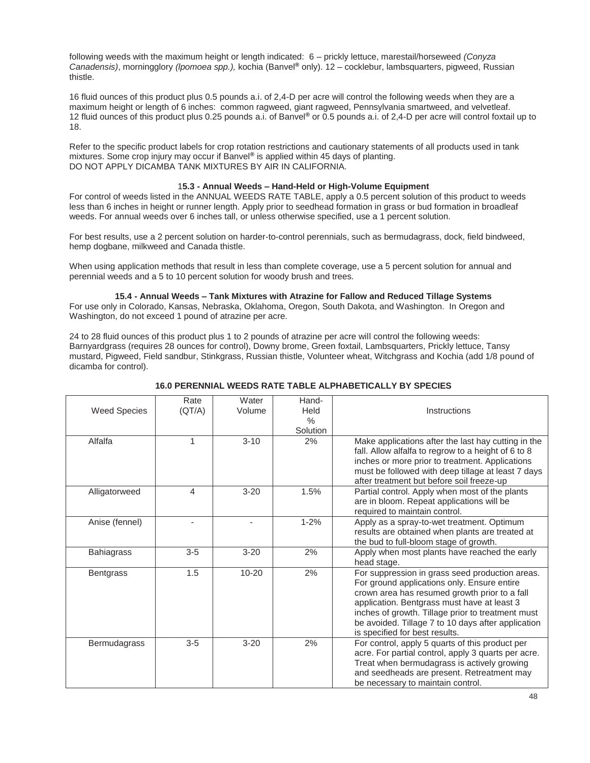following weeds with the maximum height or length indicated: 6 – prickly lettuce, marestail/horseweed *(Conyza Canadensis)*, morningglory *(lpomoea spp.),* kochia (Banvel**®** only). 12 – cocklebur, lambsquarters, pigweed, Russian thistle.

16 fluid ounces of this product plus 0.5 pounds a.i. of 2,4-D per acre will control the following weeds when they are a maximum height or length of 6 inches: common ragweed, giant ragweed, Pennsylvania smartweed, and velvetleaf. 12 fluid ounces of this product plus 0.25 pounds a.i. of Banvel**®** or 0.5 pounds a.i. of 2,4-D per acre will control foxtail up to 18.

Refer to the specific product labels for crop rotation restrictions and cautionary statements of all products used in tank mixtures. Some crop injury may occur if Banvel**®** is applied within 45 days of planting. DO NOT APPLY DICAMBA TANK MIXTURES BY AIR IN CALIFORNIA.

## 1**5.3 - Annual Weeds – Hand-Held or High-Volume Equipment**

For control of weeds listed in the ANNUAL WEEDS RATE TABLE, apply a 0.5 percent solution of this product to weeds less than 6 inches in height or runner length. Apply prior to seedhead formation in grass or bud formation in broadleaf weeds. For annual weeds over 6 inches tall, or unless otherwise specified, use a 1 percent solution.

For best results, use a 2 percent solution on harder-to-control perennials, such as bermudagrass, dock, field bindweed, hemp dogbane, milkweed and Canada thistle.

When using application methods that result in less than complete coverage, use a 5 percent solution for annual and perennial weeds and a 5 to 10 percent solution for woody brush and trees.

## **15.4 - Annual Weeds – Tank Mixtures with Atrazine for Fallow and Reduced Tillage Systems**

For use only in Colorado, Kansas, Nebraska, Oklahoma, Oregon, South Dakota, and Washington. In Oregon and Washington, do not exceed 1 pound of atrazine per acre.

24 to 28 fluid ounces of this product plus 1 to 2 pounds of atrazine per acre will control the following weeds: Barnyardgrass (requires 28 ounces for control), Downy brome, Green foxtail, Lambsquarters, Prickly lettuce, Tansy mustard, Pigweed, Field sandbur, Stinkgrass, Russian thistle, Volunteer wheat, Witchgrass and Kochia (add 1/8 pound of dicamba for control).

## **16.0 PERENNIAL WEEDS RATE TABLE ALPHABETICALLY BY SPECIES**

| <b>Weed Species</b> | Rate<br>(QT/A) | Water<br>Volume | Hand-<br>Held             | Instructions                                                                                                                                                                                                                                                                                                                                |
|---------------------|----------------|-----------------|---------------------------|---------------------------------------------------------------------------------------------------------------------------------------------------------------------------------------------------------------------------------------------------------------------------------------------------------------------------------------------|
|                     |                |                 | $\frac{0}{0}$<br>Solution |                                                                                                                                                                                                                                                                                                                                             |
| Alfalfa             |                | $3 - 10$        | 2%                        | Make applications after the last hay cutting in the<br>fall. Allow alfalfa to regrow to a height of 6 to 8<br>inches or more prior to treatment. Applications<br>must be followed with deep tillage at least 7 days<br>after treatment but before soil freeze-up                                                                            |
| Alligatorweed       | 4              | $3 - 20$        | 1.5%                      | Partial control. Apply when most of the plants<br>are in bloom. Repeat applications will be<br>required to maintain control.                                                                                                                                                                                                                |
| Anise (fennel)      |                |                 | $1 - 2%$                  | Apply as a spray-to-wet treatment. Optimum<br>results are obtained when plants are treated at<br>the bud to full-bloom stage of growth.                                                                                                                                                                                                     |
| <b>Bahiagrass</b>   | $3-5$          | $3 - 20$        | 2%                        | Apply when most plants have reached the early<br>head stage.                                                                                                                                                                                                                                                                                |
| <b>Bentgrass</b>    | 1.5            | $10 - 20$       | 2%                        | For suppression in grass seed production areas.<br>For ground applications only. Ensure entire<br>crown area has resumed growth prior to a fall<br>application. Bentgrass must have at least 3<br>inches of growth. Tillage prior to treatment must<br>be avoided. Tillage 7 to 10 days after application<br>is specified for best results. |
| Bermudagrass        | $3-5$          | $3 - 20$        | 2%                        | For control, apply 5 quarts of this product per<br>acre. For partial control, apply 3 quarts per acre.<br>Treat when bermudagrass is actively growing<br>and seedheads are present. Retreatment may<br>be necessary to maintain control.                                                                                                    |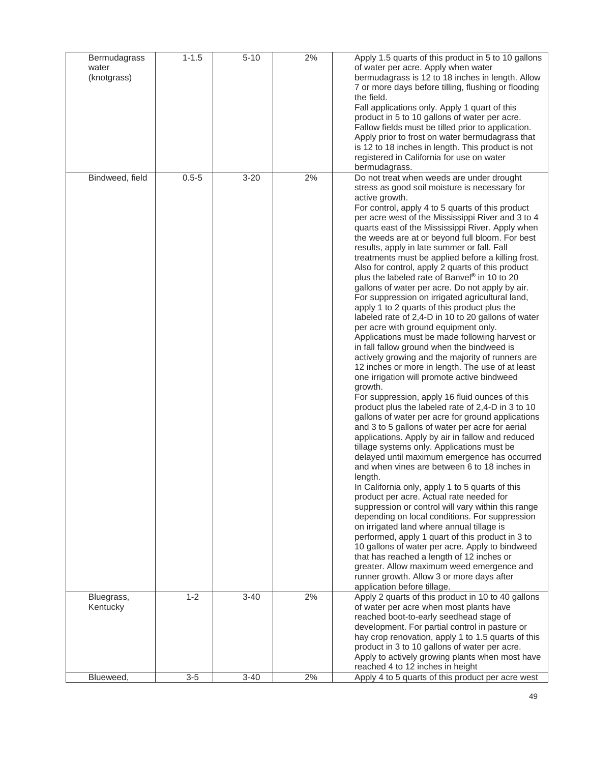| Bermudagrass<br>water<br>(knotgrass) | $1 - 1.5$ | $5 - 10$ | 2% | Apply 1.5 quarts of this product in 5 to 10 gallons<br>of water per acre. Apply when water<br>bermudagrass is 12 to 18 inches in length. Allow<br>7 or more days before tilling, flushing or flooding<br>the field.<br>Fall applications only. Apply 1 quart of this<br>product in 5 to 10 gallons of water per acre.<br>Fallow fields must be tilled prior to application.<br>Apply prior to frost on water bermudagrass that<br>is 12 to 18 inches in length. This product is not<br>registered in California for use on water<br>bermudagrass.                                                                                                                                                                                                                                                                                                                                                                                                                                                                                                                                                                                                                                                                                                                                                                                                                                                                                                                                                                                                                                                                                                                                                                                                                                                                                                                                                                                                                                                                        |
|--------------------------------------|-----------|----------|----|--------------------------------------------------------------------------------------------------------------------------------------------------------------------------------------------------------------------------------------------------------------------------------------------------------------------------------------------------------------------------------------------------------------------------------------------------------------------------------------------------------------------------------------------------------------------------------------------------------------------------------------------------------------------------------------------------------------------------------------------------------------------------------------------------------------------------------------------------------------------------------------------------------------------------------------------------------------------------------------------------------------------------------------------------------------------------------------------------------------------------------------------------------------------------------------------------------------------------------------------------------------------------------------------------------------------------------------------------------------------------------------------------------------------------------------------------------------------------------------------------------------------------------------------------------------------------------------------------------------------------------------------------------------------------------------------------------------------------------------------------------------------------------------------------------------------------------------------------------------------------------------------------------------------------------------------------------------------------------------------------------------------------|
| Bindweed, field                      | $0.5 - 5$ | $3 - 20$ | 2% | Do not treat when weeds are under drought<br>stress as good soil moisture is necessary for<br>active growth.<br>For control, apply 4 to 5 quarts of this product<br>per acre west of the Mississippi River and 3 to 4<br>quarts east of the Mississippi River. Apply when<br>the weeds are at or beyond full bloom. For best<br>results, apply in late summer or fall. Fall<br>treatments must be applied before a killing frost.<br>Also for control, apply 2 quarts of this product<br>plus the labeled rate of Banvel® in 10 to 20<br>gallons of water per acre. Do not apply by air.<br>For suppression on irrigated agricultural land,<br>apply 1 to 2 quarts of this product plus the<br>labeled rate of 2,4-D in 10 to 20 gallons of water<br>per acre with ground equipment only.<br>Applications must be made following harvest or<br>in fall fallow ground when the bindweed is<br>actively growing and the majority of runners are<br>12 inches or more in length. The use of at least<br>one irrigation will promote active bindweed<br>growth.<br>For suppression, apply 16 fluid ounces of this<br>product plus the labeled rate of 2,4-D in 3 to 10<br>gallons of water per acre for ground applications<br>and 3 to 5 gallons of water per acre for aerial<br>applications. Apply by air in fallow and reduced<br>tillage systems only. Applications must be<br>delayed until maximum emergence has occurred<br>and when vines are between 6 to 18 inches in<br>length.<br>In California only, apply 1 to 5 quarts of this<br>product per acre. Actual rate needed for<br>suppression or control will vary within this range<br>depending on local conditions. For suppression<br>on irrigated land where annual tillage is<br>performed, apply 1 quart of this product in 3 to<br>10 gallons of water per acre. Apply to bindweed<br>that has reached a length of 12 inches or<br>greater. Allow maximum weed emergence and<br>runner growth. Allow 3 or more days after<br>application before tillage. |
| Bluegrass,<br>Kentucky               | $1 - 2$   | $3 - 40$ | 2% | Apply 2 quarts of this product in 10 to 40 gallons<br>of water per acre when most plants have<br>reached boot-to-early seedhead stage of<br>development. For partial control in pasture or<br>hay crop renovation, apply 1 to 1.5 quarts of this<br>product in 3 to 10 gallons of water per acre.<br>Apply to actively growing plants when most have<br>reached 4 to 12 inches in height                                                                                                                                                                                                                                                                                                                                                                                                                                                                                                                                                                                                                                                                                                                                                                                                                                                                                                                                                                                                                                                                                                                                                                                                                                                                                                                                                                                                                                                                                                                                                                                                                                 |
| Blueweed,                            | $3-5$     | $3 - 40$ | 2% | Apply 4 to 5 quarts of this product per acre west                                                                                                                                                                                                                                                                                                                                                                                                                                                                                                                                                                                                                                                                                                                                                                                                                                                                                                                                                                                                                                                                                                                                                                                                                                                                                                                                                                                                                                                                                                                                                                                                                                                                                                                                                                                                                                                                                                                                                                        |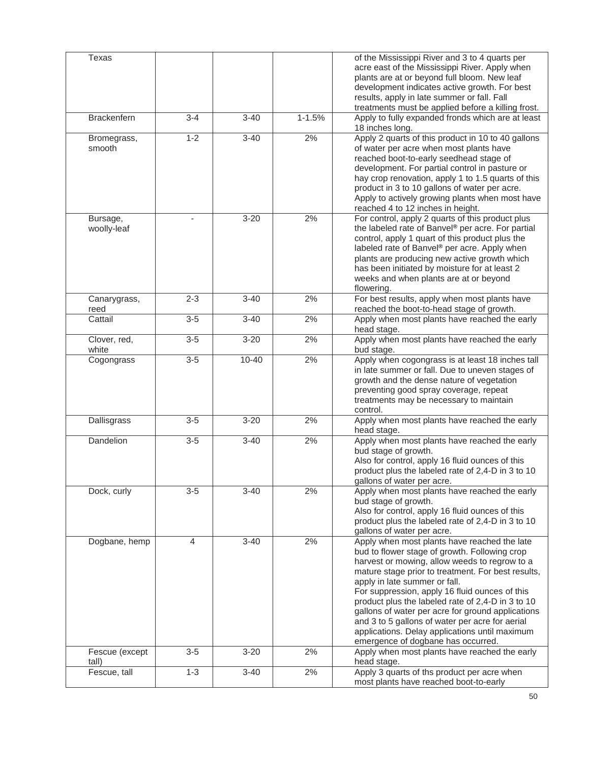| Texas                   |                   |                     |            | of the Mississippi River and 3 to 4 quarts per                                                  |
|-------------------------|-------------------|---------------------|------------|-------------------------------------------------------------------------------------------------|
|                         |                   |                     |            | acre east of the Mississippi River. Apply when                                                  |
|                         |                   |                     |            | plants are at or beyond full bloom. New leaf                                                    |
|                         |                   |                     |            | development indicates active growth. For best                                                   |
|                         |                   |                     |            | results, apply in late summer or fall. Fall                                                     |
|                         |                   |                     |            | treatments must be applied before a killing frost.                                              |
| <b>Brackenfern</b>      | $3 - 4$           | $3 - 40$            | $1 - 1.5%$ | Apply to fully expanded fronds which are at least<br>18 inches long.                            |
| Bromegrass,             | $1 - 2$           | $3 - 40$            | 2%         | Apply 2 quarts of this product in 10 to 40 gallons                                              |
| smooth                  |                   |                     |            | of water per acre when most plants have                                                         |
|                         |                   |                     |            | reached boot-to-early seedhead stage of                                                         |
|                         |                   |                     |            | development. For partial control in pasture or                                                  |
|                         |                   |                     |            | hay crop renovation, apply 1 to 1.5 quarts of this                                              |
|                         |                   |                     |            | product in 3 to 10 gallons of water per acre.                                                   |
|                         |                   |                     |            | Apply to actively growing plants when most have<br>reached 4 to 12 inches in height.            |
| Bursage,                |                   | $3 - 20$            | 2%         | For control, apply 2 quarts of this product plus                                                |
| woolly-leaf             |                   |                     |            | the labeled rate of Banvel® per acre. For partial                                               |
|                         |                   |                     |            | control, apply 1 quart of this product plus the<br>labeled rate of Banvel® per acre. Apply when |
|                         |                   |                     |            | plants are producing new active growth which                                                    |
|                         |                   |                     |            | has been initiated by moisture for at least 2                                                   |
|                         |                   |                     |            | weeks and when plants are at or beyond                                                          |
|                         |                   |                     |            | flowering.                                                                                      |
| Canarygrass,<br>reed    | $2 - 3$           | $3 - 40$            | 2%         | For best results, apply when most plants have<br>reached the boot-to-head stage of growth.      |
| Cattail                 | $3 - 5$           | $3 - 40$            | 2%         | Apply when most plants have reached the early                                                   |
|                         |                   |                     |            | head stage.                                                                                     |
| Clover, red,            | $\overline{3}$ -5 | $\overline{3} - 20$ | 2%         | Apply when most plants have reached the early                                                   |
| white                   |                   |                     |            | bud stage.                                                                                      |
| Cogongrass              | $3-5$             | $10 - 40$           | 2%         | Apply when cogongrass is at least 18 inches tall                                                |
|                         |                   |                     |            | in late summer or fall. Due to uneven stages of                                                 |
|                         |                   |                     |            | growth and the dense nature of vegetation                                                       |
|                         |                   |                     |            | preventing good spray coverage, repeat                                                          |
|                         |                   |                     |            | treatments may be necessary to maintain                                                         |
|                         |                   |                     |            | control.                                                                                        |
| Dallisgrass             | $3-5$             | $3 - 20$            | 2%         | Apply when most plants have reached the early                                                   |
|                         |                   |                     |            | head stage.                                                                                     |
| Dandelion               | $3-5$             | $3 - 40$            | 2%         | Apply when most plants have reached the early                                                   |
|                         |                   |                     |            | bud stage of growth.                                                                            |
|                         |                   |                     |            | Also for control, apply 16 fluid ounces of this                                                 |
|                         |                   |                     |            | product plus the labeled rate of 2,4-D in 3 to 10<br>gallons of water per acre.                 |
| Dock, curly             | $3-5$             | $3 - 40$            | 2%         | Apply when most plants have reached the early                                                   |
|                         |                   |                     |            | bud stage of growth.                                                                            |
|                         |                   |                     |            | Also for control, apply 16 fluid ounces of this                                                 |
|                         |                   |                     |            | product plus the labeled rate of 2,4-D in 3 to 10                                               |
|                         |                   |                     |            | gallons of water per acre.                                                                      |
| Dogbane, hemp           | $\overline{4}$    | $\overline{3} - 40$ | 2%         | Apply when most plants have reached the late                                                    |
|                         |                   |                     |            | bud to flower stage of growth. Following crop                                                   |
|                         |                   |                     |            | harvest or mowing, allow weeds to regrow to a                                                   |
|                         |                   |                     |            | mature stage prior to treatment. For best results,                                              |
|                         |                   |                     |            | apply in late summer or fall.                                                                   |
|                         |                   |                     |            | For suppression, apply 16 fluid ounces of this                                                  |
|                         |                   |                     |            | product plus the labeled rate of 2,4-D in 3 to 10                                               |
|                         |                   |                     |            | gallons of water per acre for ground applications                                               |
|                         |                   |                     |            | and 3 to 5 gallons of water per acre for aerial                                                 |
|                         |                   |                     |            | applications. Delay applications until maximum                                                  |
|                         |                   |                     |            | emergence of dogbane has occurred.                                                              |
| Fescue (except<br>tall) | $3-5$             | $3 - 20$            | 2%         | Apply when most plants have reached the early<br>head stage.                                    |
| Fescue, tall            | $1 - 3$           | $3 - 40$            | 2%         | Apply 3 quarts of ths product per acre when                                                     |
|                         |                   |                     |            | most plants have reached boot-to-early                                                          |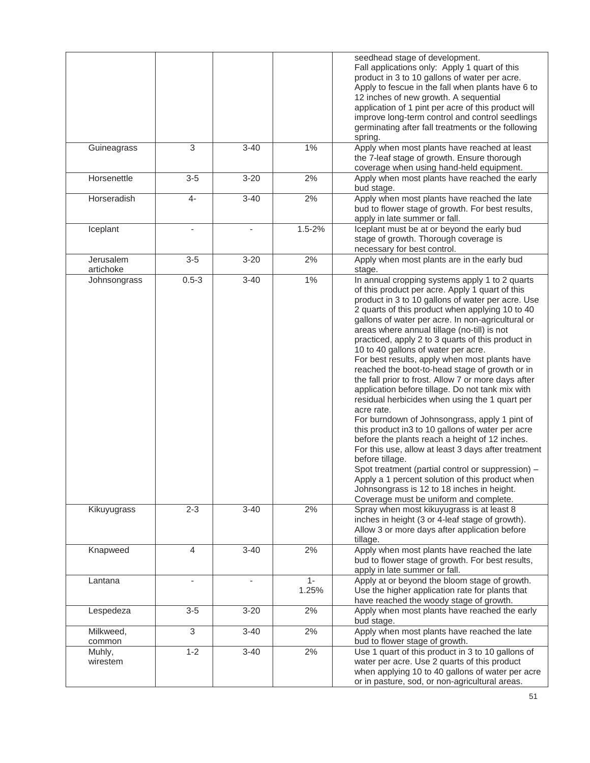|                        |                |          |                | seedhead stage of development.<br>Fall applications only: Apply 1 quart of this<br>product in 3 to 10 gallons of water per acre.<br>Apply to fescue in the fall when plants have 6 to<br>12 inches of new growth. A sequential<br>application of 1 pint per acre of this product will<br>improve long-term control and control seedlings<br>germinating after fall treatments or the following<br>spring.                                                                                                                                                                                                                                                                                                                                                                                                                                                                                                                                                                                                                                                                                                                |
|------------------------|----------------|----------|----------------|--------------------------------------------------------------------------------------------------------------------------------------------------------------------------------------------------------------------------------------------------------------------------------------------------------------------------------------------------------------------------------------------------------------------------------------------------------------------------------------------------------------------------------------------------------------------------------------------------------------------------------------------------------------------------------------------------------------------------------------------------------------------------------------------------------------------------------------------------------------------------------------------------------------------------------------------------------------------------------------------------------------------------------------------------------------------------------------------------------------------------|
| Guineagrass            | 3              | $3 - 40$ | $1\%$          | Apply when most plants have reached at least<br>the 7-leaf stage of growth. Ensure thorough<br>coverage when using hand-held equipment.                                                                                                                                                                                                                                                                                                                                                                                                                                                                                                                                                                                                                                                                                                                                                                                                                                                                                                                                                                                  |
| Horsenettle            | $3-5$          | $3 - 20$ | 2%             | Apply when most plants have reached the early<br>bud stage.                                                                                                                                                                                                                                                                                                                                                                                                                                                                                                                                                                                                                                                                                                                                                                                                                                                                                                                                                                                                                                                              |
| Horseradish            | $4-$           | $3 - 40$ | 2%             | Apply when most plants have reached the late<br>bud to flower stage of growth. For best results,<br>apply in late summer or fall.                                                                                                                                                                                                                                                                                                                                                                                                                                                                                                                                                                                                                                                                                                                                                                                                                                                                                                                                                                                        |
| Iceplant               |                |          | $1.5 - 2%$     | Iceplant must be at or beyond the early bud<br>stage of growth. Thorough coverage is<br>necessary for best control.                                                                                                                                                                                                                                                                                                                                                                                                                                                                                                                                                                                                                                                                                                                                                                                                                                                                                                                                                                                                      |
| Jerusalem<br>artichoke | $3-5$          | $3 - 20$ | 2%             | Apply when most plants are in the early bud<br>stage.                                                                                                                                                                                                                                                                                                                                                                                                                                                                                                                                                                                                                                                                                                                                                                                                                                                                                                                                                                                                                                                                    |
| Johnsongrass           | $0.5 - 3$      | $3 - 40$ | $1\%$          | In annual cropping systems apply 1 to 2 quarts<br>of this product per acre. Apply 1 quart of this<br>product in 3 to 10 gallons of water per acre. Use<br>2 quarts of this product when applying 10 to 40<br>gallons of water per acre. In non-agricultural or<br>areas where annual tillage (no-till) is not<br>practiced, apply 2 to 3 quarts of this product in<br>10 to 40 gallons of water per acre.<br>For best results, apply when most plants have<br>reached the boot-to-head stage of growth or in<br>the fall prior to frost. Allow 7 or more days after<br>application before tillage. Do not tank mix with<br>residual herbicides when using the 1 quart per<br>acre rate.<br>For burndown of Johnsongrass, apply 1 pint of<br>this product in3 to 10 gallons of water per acre<br>before the plants reach a height of 12 inches.<br>For this use, allow at least 3 days after treatment<br>before tillage.<br>Spot treatment (partial control or suppression) -<br>Apply a 1 percent solution of this product when<br>Johnsongrass is 12 to 18 inches in height.<br>Coverage must be uniform and complete. |
| Kikuyugrass            | $2 - 3$        | $3 - 40$ | 2%             | Spray when most kikuyugrass is at least 8<br>inches in height (3 or 4-leaf stage of growth).<br>Allow 3 or more days after application before<br>tillage.                                                                                                                                                                                                                                                                                                                                                                                                                                                                                                                                                                                                                                                                                                                                                                                                                                                                                                                                                                |
| Knapweed               | $\overline{4}$ | $3 - 40$ | 2%             | Apply when most plants have reached the late<br>bud to flower stage of growth. For best results,<br>apply in late summer or fall.                                                                                                                                                                                                                                                                                                                                                                                                                                                                                                                                                                                                                                                                                                                                                                                                                                                                                                                                                                                        |
| Lantana                |                |          | $1 -$<br>1.25% | Apply at or beyond the bloom stage of growth.<br>Use the higher application rate for plants that<br>have reached the woody stage of growth.                                                                                                                                                                                                                                                                                                                                                                                                                                                                                                                                                                                                                                                                                                                                                                                                                                                                                                                                                                              |
| Lespedeza              | $3-5$          | $3 - 20$ | 2%             | Apply when most plants have reached the early<br>bud stage.                                                                                                                                                                                                                                                                                                                                                                                                                                                                                                                                                                                                                                                                                                                                                                                                                                                                                                                                                                                                                                                              |
| Milkweed,<br>common    | 3              | $3 - 40$ | 2%             | Apply when most plants have reached the late<br>bud to flower stage of growth.                                                                                                                                                                                                                                                                                                                                                                                                                                                                                                                                                                                                                                                                                                                                                                                                                                                                                                                                                                                                                                           |
| Muhly,<br>wirestem     | $1 - 2$        | $3 - 40$ | 2%             | Use 1 quart of this product in 3 to 10 gallons of<br>water per acre. Use 2 quarts of this product<br>when applying 10 to 40 gallons of water per acre<br>or in pasture, sod, or non-agricultural areas.                                                                                                                                                                                                                                                                                                                                                                                                                                                                                                                                                                                                                                                                                                                                                                                                                                                                                                                  |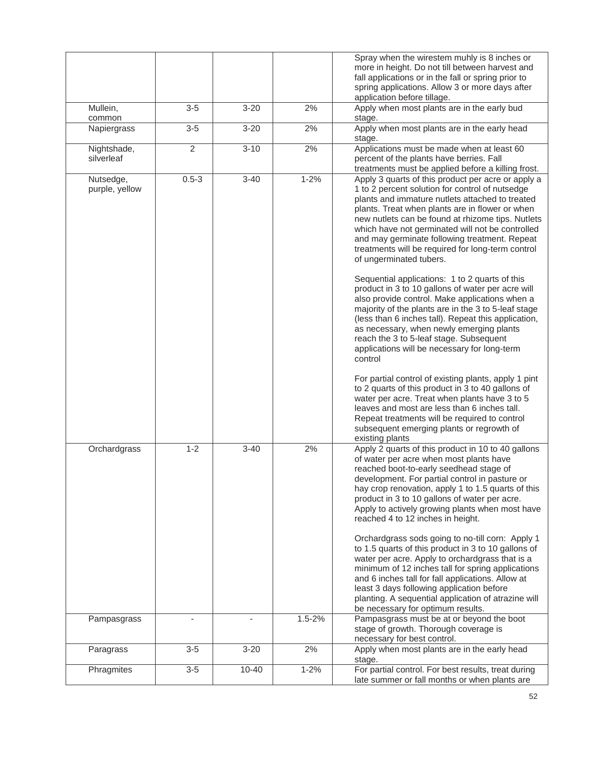|                             |                |           |            | Spray when the wirestem muhly is 8 inches or<br>more in height. Do not till between harvest and<br>fall applications or in the fall or spring prior to<br>spring applications. Allow 3 or more days after                                                                                                                                                                                                                                                                                                                                                                                                                                                                                                                                                                                                                                                                                                                              |
|-----------------------------|----------------|-----------|------------|----------------------------------------------------------------------------------------------------------------------------------------------------------------------------------------------------------------------------------------------------------------------------------------------------------------------------------------------------------------------------------------------------------------------------------------------------------------------------------------------------------------------------------------------------------------------------------------------------------------------------------------------------------------------------------------------------------------------------------------------------------------------------------------------------------------------------------------------------------------------------------------------------------------------------------------|
| Mullein,                    | $3-5$          | $3 - 20$  | 2%         | application before tillage.<br>Apply when most plants are in the early bud                                                                                                                                                                                                                                                                                                                                                                                                                                                                                                                                                                                                                                                                                                                                                                                                                                                             |
| common<br>Napiergrass       | $3-5$          | $3 - 20$  | 2%         | stage.<br>Apply when most plants are in the early head<br>stage.                                                                                                                                                                                                                                                                                                                                                                                                                                                                                                                                                                                                                                                                                                                                                                                                                                                                       |
| Nightshade,<br>silverleaf   | $\overline{2}$ | $3 - 10$  | 2%         | Applications must be made when at least 60<br>percent of the plants have berries. Fall<br>treatments must be applied before a killing frost.                                                                                                                                                                                                                                                                                                                                                                                                                                                                                                                                                                                                                                                                                                                                                                                           |
| Nutsedge,<br>purple, yellow | $0.5 - 3$      | $3 - 40$  | $1 - 2%$   | Apply 3 quarts of this product per acre or apply a<br>1 to 2 percent solution for control of nutsedge<br>plants and immature nutlets attached to treated<br>plants. Treat when plants are in flower or when<br>new nutlets can be found at rhizome tips. Nutlets<br>which have not germinated will not be controlled<br>and may germinate following treatment. Repeat<br>treatments will be required for long-term control<br>of ungerminated tubers.<br>Sequential applications: 1 to 2 quarts of this<br>product in 3 to 10 gallons of water per acre will<br>also provide control. Make applications when a<br>majority of the plants are in the 3 to 5-leaf stage<br>(less than 6 inches tall). Repeat this application,<br>as necessary, when newly emerging plants<br>reach the 3 to 5-leaf stage. Subsequent<br>applications will be necessary for long-term<br>control<br>For partial control of existing plants, apply 1 pint |
|                             |                |           |            | to 2 quarts of this product in 3 to 40 gallons of<br>water per acre. Treat when plants have 3 to 5<br>leaves and most are less than 6 inches tall.<br>Repeat treatments will be required to control<br>subsequent emerging plants or regrowth of<br>existing plants                                                                                                                                                                                                                                                                                                                                                                                                                                                                                                                                                                                                                                                                    |
| Orchardgrass                | $1 - 2$        | $3 - 40$  | 2%         | Apply 2 quarts of this product in 10 to 40 gallons<br>of water per acre when most plants have<br>reached boot-to-early seedhead stage of<br>development. For partial control in pasture or<br>hay crop renovation, apply 1 to 1.5 quarts of this<br>product in 3 to 10 gallons of water per acre.<br>Apply to actively growing plants when most have<br>reached 4 to 12 inches in height.                                                                                                                                                                                                                                                                                                                                                                                                                                                                                                                                              |
|                             |                |           |            | Orchardgrass sods going to no-till corn: Apply 1<br>to 1.5 quarts of this product in 3 to 10 gallons of<br>water per acre. Apply to orchardgrass that is a<br>minimum of 12 inches tall for spring applications<br>and 6 inches tall for fall applications. Allow at<br>least 3 days following application before<br>planting. A sequential application of atrazine will<br>be necessary for optimum results.                                                                                                                                                                                                                                                                                                                                                                                                                                                                                                                          |
| Pampasgrass                 |                |           | $1.5 - 2%$ | Pampasgrass must be at or beyond the boot<br>stage of growth. Thorough coverage is<br>necessary for best control.                                                                                                                                                                                                                                                                                                                                                                                                                                                                                                                                                                                                                                                                                                                                                                                                                      |
| Paragrass                   | $3-5$          | $3 - 20$  | 2%         | Apply when most plants are in the early head<br>stage.                                                                                                                                                                                                                                                                                                                                                                                                                                                                                                                                                                                                                                                                                                                                                                                                                                                                                 |
| Phragmites                  | $3-5$          | $10 - 40$ | $1 - 2%$   | For partial control. For best results, treat during<br>late summer or fall months or when plants are                                                                                                                                                                                                                                                                                                                                                                                                                                                                                                                                                                                                                                                                                                                                                                                                                                   |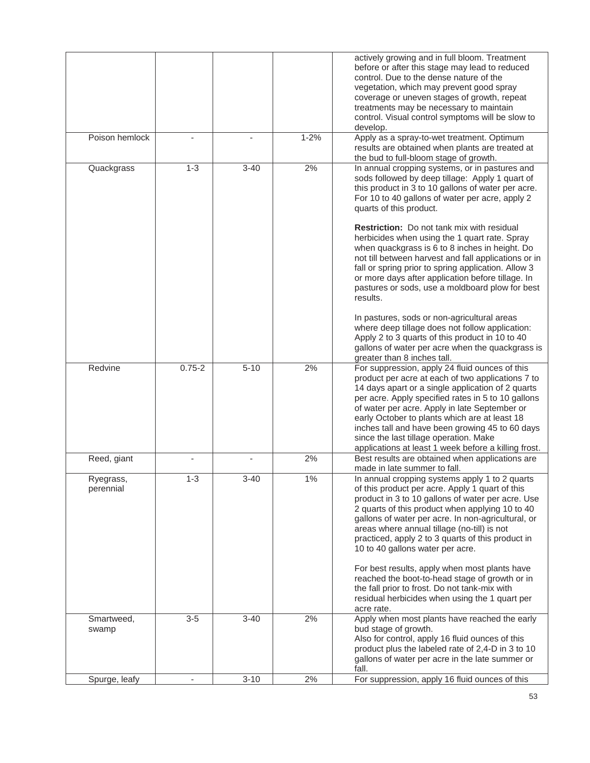|                        |            |          |          | actively growing and in full bloom. Treatment<br>before or after this stage may lead to reduced<br>control. Due to the dense nature of the<br>vegetation, which may prevent good spray<br>coverage or uneven stages of growth, repeat<br>treatments may be necessary to maintain<br>control. Visual control symptoms will be slow to<br>develop.                                                                                                                      |
|------------------------|------------|----------|----------|-----------------------------------------------------------------------------------------------------------------------------------------------------------------------------------------------------------------------------------------------------------------------------------------------------------------------------------------------------------------------------------------------------------------------------------------------------------------------|
| Poison hemlock         |            |          | $1 - 2%$ | Apply as a spray-to-wet treatment. Optimum<br>results are obtained when plants are treated at<br>the bud to full-bloom stage of growth.                                                                                                                                                                                                                                                                                                                               |
| Quackgrass             | $1 - 3$    | $3 - 40$ | 2%       | In annual cropping systems, or in pastures and<br>sods followed by deep tillage: Apply 1 quart of<br>this product in 3 to 10 gallons of water per acre.<br>For 10 to 40 gallons of water per acre, apply 2<br>quarts of this product.                                                                                                                                                                                                                                 |
|                        |            |          |          | <b>Restriction:</b> Do not tank mix with residual<br>herbicides when using the 1 quart rate. Spray<br>when quackgrass is 6 to 8 inches in height. Do<br>not till between harvest and fall applications or in<br>fall or spring prior to spring application. Allow 3<br>or more days after application before tillage. In<br>pastures or sods, use a moldboard plow for best<br>results.                                                                               |
|                        |            |          |          | In pastures, sods or non-agricultural areas<br>where deep tillage does not follow application:<br>Apply 2 to 3 quarts of this product in 10 to 40<br>gallons of water per acre when the quackgrass is<br>greater than 8 inches tall.                                                                                                                                                                                                                                  |
| Redvine                | $0.75 - 2$ | $5 - 10$ | 2%       | For suppression, apply 24 fluid ounces of this<br>product per acre at each of two applications 7 to<br>14 days apart or a single application of 2 quarts<br>per acre. Apply specified rates in 5 to 10 gallons<br>of water per acre. Apply in late September or<br>early October to plants which are at least 18<br>inches tall and have been growing 45 to 60 days<br>since the last tillage operation. Make<br>applications at least 1 week before a killing frost. |
| Reed, giant            |            |          | 2%       | Best results are obtained when applications are<br>made in late summer to fall.                                                                                                                                                                                                                                                                                                                                                                                       |
| Ryegrass,<br>perennial | $1 - 3$    | $3 - 40$ | $1\%$    | In annual cropping systems apply 1 to 2 quarts<br>of this product per acre. Apply 1 quart of this<br>product in 3 to 10 gallons of water per acre. Use<br>2 quarts of this product when applying 10 to 40<br>gallons of water per acre. In non-agricultural, or<br>areas where annual tillage (no-till) is not<br>practiced, apply 2 to 3 quarts of this product in<br>10 to 40 gallons water per acre.                                                               |
|                        |            |          |          | For best results, apply when most plants have<br>reached the boot-to-head stage of growth or in<br>the fall prior to frost. Do not tank-mix with<br>residual herbicides when using the 1 quart per<br>acre rate.                                                                                                                                                                                                                                                      |
| Smartweed,<br>swamp    | $3-5$      | $3 - 40$ | 2%       | Apply when most plants have reached the early<br>bud stage of growth.<br>Also for control, apply 16 fluid ounces of this<br>product plus the labeled rate of 2,4-D in 3 to 10<br>gallons of water per acre in the late summer or<br>fall.                                                                                                                                                                                                                             |
| Spurge, leafy          |            | $3 - 10$ | 2%       | For suppression, apply 16 fluid ounces of this                                                                                                                                                                                                                                                                                                                                                                                                                        |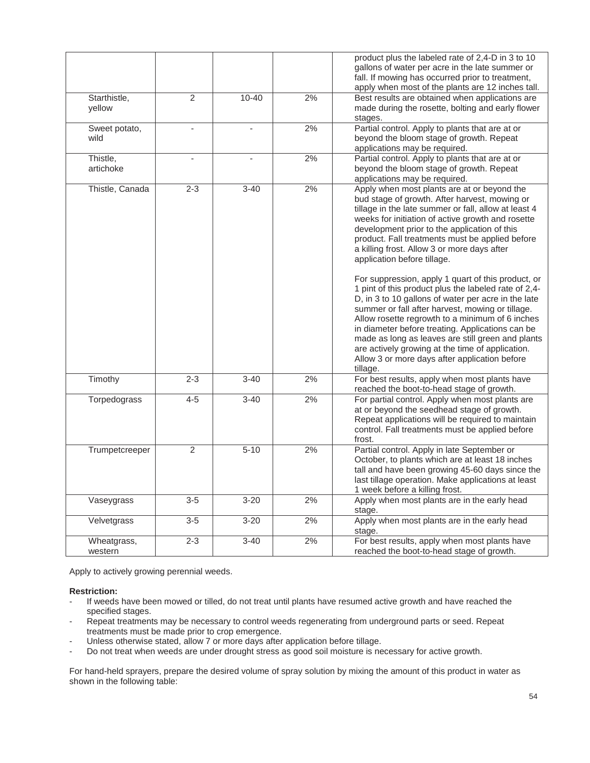|                 |                |                          |    | product plus the labeled rate of 2,4-D in 3 to 10<br>gallons of water per acre in the late summer or |
|-----------------|----------------|--------------------------|----|------------------------------------------------------------------------------------------------------|
|                 |                |                          |    | fall. If mowing has occurred prior to treatment,                                                     |
|                 |                |                          |    |                                                                                                      |
|                 |                |                          |    | apply when most of the plants are 12 inches tall.                                                    |
| Starthistle,    | $\overline{2}$ | $10 - 40$                | 2% | Best results are obtained when applications are                                                      |
| yellow          |                |                          |    | made during the rosette, bolting and early flower                                                    |
|                 |                |                          |    | stages.                                                                                              |
| Sweet potato,   |                | $\overline{\phantom{a}}$ | 2% | Partial control. Apply to plants that are at or                                                      |
| wild            |                |                          |    | beyond the bloom stage of growth. Repeat                                                             |
|                 |                |                          |    | applications may be required.                                                                        |
| Thistle,        |                |                          | 2% | Partial control. Apply to plants that are at or                                                      |
| artichoke       |                |                          |    | beyond the bloom stage of growth. Repeat                                                             |
|                 |                |                          |    | applications may be required.                                                                        |
| Thistle, Canada | $2 - 3$        | $3 - 40$                 | 2% | Apply when most plants are at or beyond the                                                          |
|                 |                |                          |    | bud stage of growth. After harvest, mowing or                                                        |
|                 |                |                          |    | tillage in the late summer or fall, allow at least 4                                                 |
|                 |                |                          |    | weeks for initiation of active growth and rosette                                                    |
|                 |                |                          |    | development prior to the application of this                                                         |
|                 |                |                          |    | product. Fall treatments must be applied before                                                      |
|                 |                |                          |    | a killing frost. Allow 3 or more days after                                                          |
|                 |                |                          |    | application before tillage.                                                                          |
|                 |                |                          |    |                                                                                                      |
|                 |                |                          |    | For suppression, apply 1 quart of this product, or                                                   |
|                 |                |                          |    | 1 pint of this product plus the labeled rate of 2,4-                                                 |
|                 |                |                          |    | D, in 3 to 10 gallons of water per acre in the late                                                  |
|                 |                |                          |    | summer or fall after harvest, mowing or tillage.                                                     |
|                 |                |                          |    | Allow rosette regrowth to a minimum of 6 inches                                                      |
|                 |                |                          |    | in diameter before treating. Applications can be                                                     |
|                 |                |                          |    |                                                                                                      |
|                 |                |                          |    | made as long as leaves are still green and plants                                                    |
|                 |                |                          |    | are actively growing at the time of application.                                                     |
|                 |                |                          |    | Allow 3 or more days after application before                                                        |
|                 |                |                          |    | tillage.                                                                                             |
| Timothy         | $2 - 3$        | $3 - 40$                 | 2% | For best results, apply when most plants have                                                        |
|                 |                |                          |    | reached the boot-to-head stage of growth.                                                            |
| Torpedograss    | $4 - 5$        | $\overline{3} - 40$      | 2% | For partial control. Apply when most plants are                                                      |
|                 |                |                          |    | at or beyond the seedhead stage of growth.                                                           |
|                 |                |                          |    | Repeat applications will be required to maintain                                                     |
|                 |                |                          |    | control. Fall treatments must be applied before                                                      |
|                 |                |                          |    | frost.                                                                                               |
| Trumpetcreeper  | $\overline{2}$ | $5 - 10$                 | 2% | Partial control. Apply in late September or                                                          |
|                 |                |                          |    | October, to plants which are at least 18 inches                                                      |
|                 |                |                          |    | tall and have been growing 45-60 days since the                                                      |
|                 |                |                          |    | last tillage operation. Make applications at least                                                   |
|                 |                |                          |    | 1 week before a killing frost.                                                                       |
| Vaseygrass      | $3-5$          | $3 - 20$                 | 2% | Apply when most plants are in the early head                                                         |
|                 |                |                          |    | stage.                                                                                               |
| Velvetgrass     | $3-5$          | $3 - 20$                 | 2% | Apply when most plants are in the early head                                                         |
|                 |                |                          |    | stage.                                                                                               |
| Wheatgrass,     | $2 - 3$        | $\overline{3} - 40$      | 2% | For best results, apply when most plants have                                                        |
| western         |                |                          |    | reached the boot-to-head stage of growth.                                                            |

Apply to actively growing perennial weeds.

**Restriction:**

- If weeds have been mowed or tilled, do not treat until plants have resumed active growth and have reached the specified stages.
- Repeat treatments may be necessary to control weeds regenerating from underground parts or seed. Repeat treatments must be made prior to crop emergence.
- Unless otherwise stated, allow 7 or more days after application before tillage.
- Do not treat when weeds are under drought stress as good soil moisture is necessary for active growth.

For hand-held sprayers, prepare the desired volume of spray solution by mixing the amount of this product in water as shown in the following table: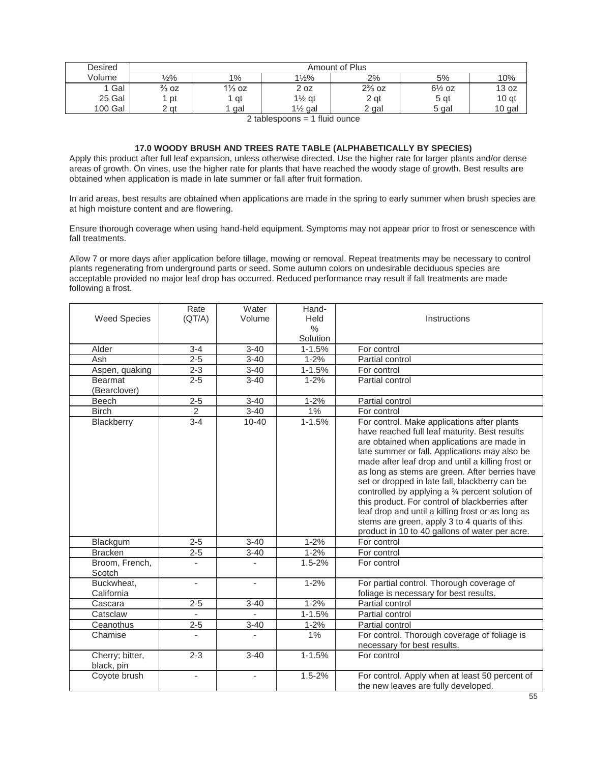| Desired | Amount of Plus   |                   |                    |                   |                   |                  |
|---------|------------------|-------------------|--------------------|-------------------|-------------------|------------------|
| Volume  | $\frac{1}{2}\%$  | 1%                | $1\frac{1}{2}\%$   | 2%                | 5%                | 10%              |
| Gal     | $\frac{2}{3}$ OZ | $1\frac{1}{3}$ oz | 2 oz               | $2\frac{2}{3}$ oz | $6\frac{1}{2}$ oz | 13 oz            |
| 25 Gal  | pt               | qt                | $1\frac{1}{2}$ qt  | 2 gt              | 5 gt              | 10 <sub>gt</sub> |
| 100 Gal | 2 at             | gal               | $1\frac{1}{2}$ gal | 2 gal             | 5 gal             | 10 gal           |

2 tablespoons = 1 fluid ounce

## **17.0 WOODY BRUSH AND TREES RATE TABLE (ALPHABETICALLY BY SPECIES)**

Apply this product after full leaf expansion, unless otherwise directed. Use the higher rate for larger plants and/or dense areas of growth. On vines, use the higher rate for plants that have reached the woody stage of growth. Best results are obtained when application is made in late summer or fall after fruit formation.

In arid areas, best results are obtained when applications are made in the spring to early summer when brush species are at high moisture content and are flowering.

Ensure thorough coverage when using hand-held equipment. Symptoms may not appear prior to frost or senescence with fall treatments.

Allow 7 or more days after application before tillage, mowing or removal. Repeat treatments may be necessary to control plants regenerating from underground parts or seed. Some autumn colors on undesirable deciduous species are acceptable provided no major leaf drop has occurred. Reduced performance may result if fall treatments are made following a frost.

| <b>Weed Species</b>            | Rate<br>(QT/A)           | Water<br>Volume     | Hand-<br>Held | Instructions                                                                                                                                                                                                                                                                                                                                                                                                                                                                                                                                                                                                       |
|--------------------------------|--------------------------|---------------------|---------------|--------------------------------------------------------------------------------------------------------------------------------------------------------------------------------------------------------------------------------------------------------------------------------------------------------------------------------------------------------------------------------------------------------------------------------------------------------------------------------------------------------------------------------------------------------------------------------------------------------------------|
|                                |                          |                     | $\%$          |                                                                                                                                                                                                                                                                                                                                                                                                                                                                                                                                                                                                                    |
|                                |                          |                     | Solution      |                                                                                                                                                                                                                                                                                                                                                                                                                                                                                                                                                                                                                    |
| Alder                          | $3 - 4$                  | $3 - 40$            | $1 - 1.5%$    | For control                                                                                                                                                                                                                                                                                                                                                                                                                                                                                                                                                                                                        |
| Ash                            | $2 - 5$                  | $3 - 40$            | $1 - 2%$      | Partial control                                                                                                                                                                                                                                                                                                                                                                                                                                                                                                                                                                                                    |
| Aspen, quaking                 | $2 - 3$                  | $3 - 40$            | $1 - 1.5%$    | For control                                                                                                                                                                                                                                                                                                                                                                                                                                                                                                                                                                                                        |
| <b>Bearmat</b><br>(Bearclover) | $2 - 5$                  | $3 - 40$            | $1 - 2%$      | Partial control                                                                                                                                                                                                                                                                                                                                                                                                                                                                                                                                                                                                    |
| Beech                          | $2 - 5$                  | $3 - 40$            | $1 - 2%$      | Partial control                                                                                                                                                                                                                                                                                                                                                                                                                                                                                                                                                                                                    |
| <b>Birch</b>                   | $\overline{c}$           | $3 - 40$            | $1\%$         | For control                                                                                                                                                                                                                                                                                                                                                                                                                                                                                                                                                                                                        |
| Blackberry                     | $3 - 4$                  | $10 - 40$           | $1 - 1.5%$    | For control. Make applications after plants<br>have reached full leaf maturity. Best results<br>are obtained when applications are made in<br>late summer or fall. Applications may also be<br>made after leaf drop and until a killing frost or<br>as long as stems are green. After berries have<br>set or dropped in late fall, blackberry can be<br>controlled by applying a 3⁄4 percent solution of<br>this product. For control of blackberries after<br>leaf drop and until a killing frost or as long as<br>stems are green, apply 3 to 4 quarts of this<br>product in 10 to 40 gallons of water per acre. |
| Blackgum                       | $2 - 5$                  | $3 - 40$            | $1 - 2%$      | For control                                                                                                                                                                                                                                                                                                                                                                                                                                                                                                                                                                                                        |
| <b>Bracken</b>                 | $2 - 5$                  | $3 - 40$            | $1 - 2%$      | For control                                                                                                                                                                                                                                                                                                                                                                                                                                                                                                                                                                                                        |
| Broom, French,<br>Scotch       |                          |                     | $1.5 - 2%$    | For control                                                                                                                                                                                                                                                                                                                                                                                                                                                                                                                                                                                                        |
| Buckwheat,<br>California       | $\overline{\phantom{a}}$ | ÷,                  | $1 - 2%$      | For partial control. Thorough coverage of<br>foliage is necessary for best results.                                                                                                                                                                                                                                                                                                                                                                                                                                                                                                                                |
| Cascara                        | $2 - 5$                  | $3 - 40$            | $1 - 2%$      | Partial control                                                                                                                                                                                                                                                                                                                                                                                                                                                                                                                                                                                                    |
| Catsclaw                       | $\overline{\phantom{a}}$ |                     | $1 - 1.5%$    | Partial control                                                                                                                                                                                                                                                                                                                                                                                                                                                                                                                                                                                                    |
| Ceanothus                      | $2 - 5$                  | $3 - 40$            | $1 - 2%$      | Partial control                                                                                                                                                                                                                                                                                                                                                                                                                                                                                                                                                                                                    |
| Chamise                        | $\overline{\phantom{a}}$ | ÷,                  | 1%            | For control. Thorough coverage of foliage is<br>necessary for best results.                                                                                                                                                                                                                                                                                                                                                                                                                                                                                                                                        |
| Cherry; bitter,<br>black, pin  | $2 - 3$                  | $\overline{3} - 40$ | $1 - 1.5%$    | For control                                                                                                                                                                                                                                                                                                                                                                                                                                                                                                                                                                                                        |
| Coyote brush                   | $\blacksquare$           | $\bar{a}$           | $1.5 - 2%$    | For control. Apply when at least 50 percent of<br>the new leaves are fully developed.                                                                                                                                                                                                                                                                                                                                                                                                                                                                                                                              |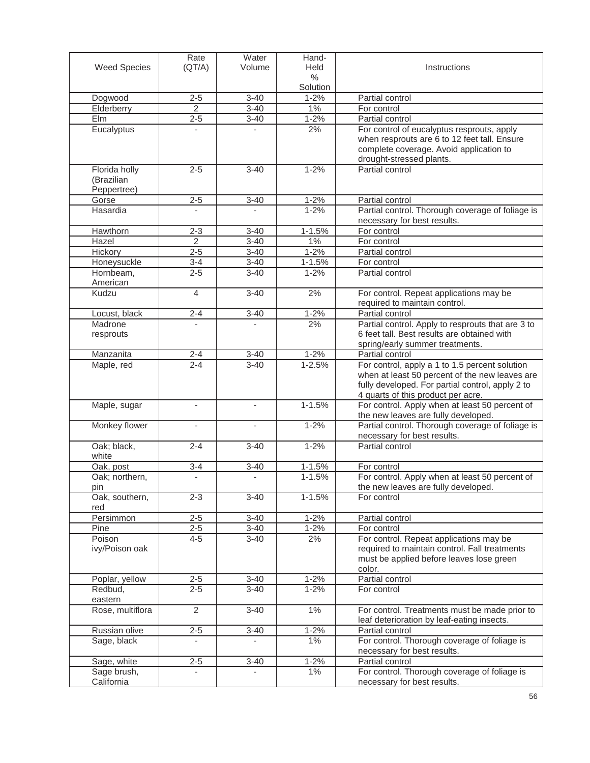|                              | Rate                     | Water                    | Hand-                  |                                                                   |
|------------------------------|--------------------------|--------------------------|------------------------|-------------------------------------------------------------------|
| <b>Weed Species</b>          | (QT/A)                   | Volume                   | Held<br>$\%$           | Instructions                                                      |
|                              |                          |                          | Solution               |                                                                   |
| Dogwood                      | $2 - 5$                  | $3 - 40$                 | $1 - 2%$               | Partial control                                                   |
| Elderberry                   | $\overline{2}$           | $3 - 40$                 | $1\%$                  | For control                                                       |
| <b>Elm</b>                   | $2 - 5$                  | $3 - 40$                 | $1 - 2%$               | Partial control                                                   |
| Eucalyptus                   | $\overline{\phantom{a}}$ |                          | 2%                     | For control of eucalyptus resprouts, apply                        |
|                              |                          |                          |                        | when resprouts are 6 to 12 feet tall. Ensure                      |
|                              |                          |                          |                        | complete coverage. Avoid application to                           |
| Florida holly                | $2 - 5$                  | $3 - 40$                 | $1 - 2%$               | drought-stressed plants.<br>Partial control                       |
| (Brazilian                   |                          |                          |                        |                                                                   |
| Peppertree)                  |                          |                          |                        |                                                                   |
| Gorse                        | $2 - 5$                  | $3 - 40$                 | $1 - 2%$               | Partial control                                                   |
| Hasardia                     | $\overline{a}$           |                          | $1 - 2%$               | Partial control. Thorough coverage of foliage is                  |
|                              |                          |                          |                        | necessary for best results.                                       |
| Hawthorn                     | $2 - 3$                  | $3 - 40$                 | $1 - 1.5%$             | For control                                                       |
| Hazel                        | 2                        | $3 - 40$                 | 1%                     | For control                                                       |
| Hickory                      | $2 - 5$                  | $3 - 40$                 | $1 - 2%$               | Partial control                                                   |
| Honeysuckle                  | $3 - 4$                  | $3 - 40$                 | $1 - 1.5%$             | For control                                                       |
| Hornbeam,<br>American        | $2 - 5$                  | $3 - 40$                 | $1 - 2%$               | Partial control                                                   |
| Kudzu                        | $\overline{4}$           | $3 - 40$                 | 2%                     | For control. Repeat applications may be                           |
|                              |                          |                          |                        | required to maintain control.                                     |
| Locust, black                | $2 - 4$                  | $3 - 40$                 | $1 - 2%$               | Partial control                                                   |
| Madrone                      |                          |                          | 2%                     | Partial control. Apply to resprouts that are 3 to                 |
| resprouts                    |                          |                          |                        | 6 feet tall. Best results are obtained with                       |
|                              |                          |                          |                        | spring/early summer treatments.                                   |
| Manzanita<br>Maple, red      | $2 - 4$<br>$2 - 4$       | $3 - 40$<br>$3 - 40$     | $1 - 2%$<br>$1 - 2.5%$ | Partial control<br>For control, apply a 1 to 1.5 percent solution |
|                              |                          |                          |                        | when at least 50 percent of the new leaves are                    |
|                              |                          |                          |                        | fully developed. For partial control, apply 2 to                  |
|                              |                          |                          |                        | 4 quarts of this product per acre.                                |
| Maple, sugar                 | ÷,                       | $\overline{\phantom{a}}$ | $1 - 1.5%$             | For control. Apply when at least 50 percent of                    |
|                              |                          |                          |                        | the new leaves are fully developed.                               |
| Monkey flower                |                          |                          | $1 - 2%$               | Partial control. Thorough coverage of foliage is                  |
| Oak; black,                  | $2 - 4$                  | $3 - 40$                 | $1 - 2%$               | necessary for best results.<br>Partial control                    |
| white                        |                          |                          |                        |                                                                   |
| Oak, post                    | $3 - 4$                  | $3 - 40$                 | $1 - 1.5%$             | For control                                                       |
| Oak; northern,               |                          |                          | $1 - 1.5%$             | For control. Apply when at least 50 percent of                    |
| pin                          |                          |                          |                        | the new leaves are fully developed.                               |
| Oak, southern,               | $2 - 3$                  | $3 - 40$                 | $1 - 1.5%$             | For control                                                       |
| red                          |                          |                          |                        |                                                                   |
| Persimmon                    | $2 - 5$<br>$2 - 5$       | $3 - 40$                 | $1 - 2%$               | Partial control                                                   |
| Pine<br>Poison               | $4 - 5$                  | $3 - 40$<br>$3 - 40$     | $1 - 2%$<br>2%         | For control<br>For control. Repeat applications may be            |
| ivy/Poison oak               |                          |                          |                        | required to maintain control. Fall treatments                     |
|                              |                          |                          |                        | must be applied before leaves lose green                          |
|                              |                          |                          |                        | color.                                                            |
| Poplar, yellow               | $2 - 5$                  | $3 - 40$                 | $1 - 2%$               | Partial control                                                   |
| Redbud,                      | $2 - 5$                  | $3 - 40$                 | $1 - 2%$               | For control                                                       |
| eastern                      |                          |                          |                        |                                                                   |
| Rose, multiflora             | $\overline{2}$           | $3 - 40$                 | $1\%$                  | For control. Treatments must be made prior to                     |
|                              |                          |                          |                        | leaf deterioration by leaf-eating insects.                        |
| Russian olive<br>Sage, black | $2 - 5$                  | $3 - 40$                 | $1 - 2%$<br>$1\%$      | Partial control<br>For control. Thorough coverage of foliage is   |
|                              |                          |                          |                        | necessary for best results.                                       |
| Sage, white                  | $2 - 5$                  | $3 - 40$                 | $1 - 2%$               | Partial control                                                   |
| Sage brush,                  |                          |                          | 1%                     | For control. Thorough coverage of foliage is                      |
| California                   |                          |                          |                        | necessary for best results.                                       |
|                              |                          |                          |                        |                                                                   |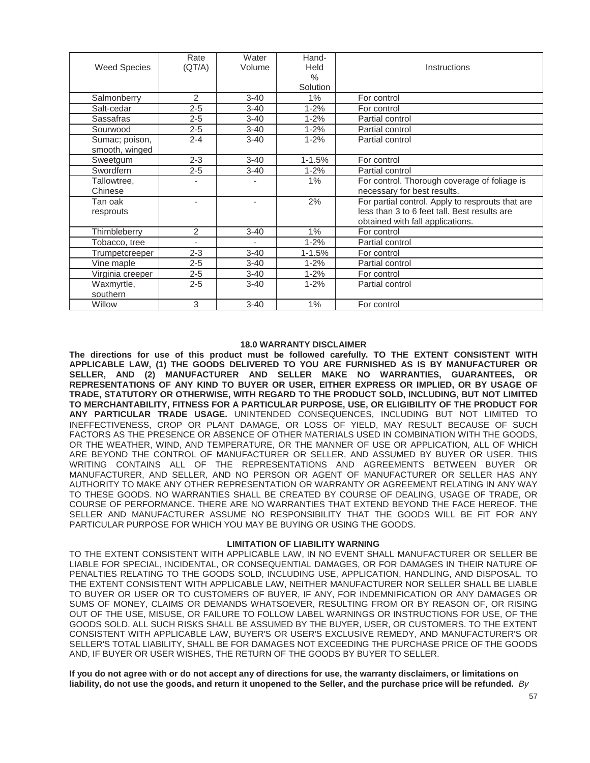|                     | Rate           | Water<br>Volume | Hand-<br>Held | Instructions                                     |
|---------------------|----------------|-----------------|---------------|--------------------------------------------------|
| <b>Weed Species</b> | (QT/A)         |                 | $\%$          |                                                  |
|                     |                |                 | Solution      |                                                  |
| Salmonberry         | $\overline{2}$ | $3 - 40$        | $1\%$         | For control                                      |
|                     |                |                 |               |                                                  |
| Salt-cedar          | $2 - 5$        | $3 - 40$        | $1 - 2%$      | For control                                      |
| Sassafras           | $2 - 5$        | $3 - 40$        | $1 - 2%$      | Partial control                                  |
| Sourwood            | $2 - 5$        | $3 - 40$        | $1 - 2%$      | Partial control                                  |
| Sumac; poison,      | $2 - 4$        | $3 - 40$        | $1 - 2%$      | Partial control                                  |
| smooth, winged      |                |                 |               |                                                  |
| Sweetgum            | $2 - 3$        | $3 - 40$        | $1 - 1.5%$    | For control                                      |
| Swordfern           | $2 - 5$        | $3 - 40$        | $1 - 2%$      | Partial control                                  |
| Tallowtree,         |                |                 | 1%            | For control. Thorough coverage of foliage is     |
| Chinese             |                |                 |               | necessary for best results.                      |
| Tan oak             |                | ٠               | 2%            | For partial control. Apply to resprouts that are |
| resprouts           |                |                 |               | less than 3 to 6 feet tall. Best results are     |
|                     |                |                 |               | obtained with fall applications.                 |
| Thimbleberry        | $\overline{2}$ | $3 - 40$        | 1%            | For control                                      |
| Tobacco, tree       |                |                 | $1 - 2%$      | Partial control                                  |
| Trumpetcreeper      | $2 - 3$        | $3 - 40$        | $1 - 1.5%$    | For control                                      |
| Vine maple          | $2 - 5$        | $3 - 40$        | $1 - 2%$      | Partial control                                  |
| Virginia creeper    | $2 - 5$        | $3 - 40$        | $1 - 2%$      | For control                                      |
| Waxmyrtle,          | $2 - 5$        | $3 - 40$        | $1 - 2%$      | Partial control                                  |
| southern            |                |                 |               |                                                  |
| Willow              | 3              | $3 - 40$        | 1%            | For control                                      |

## **18.0 WARRANTY DISCLAIMER**

**The directions for use of this product must be followed carefully. TO THE EXTENT CONSISTENT WITH APPLICABLE LAW, (1) THE GOODS DELIVERED TO YOU ARE FURNISHED AS IS BY MANUFACTURER OR SELLER, AND (2) MANUFACTURER AND SELLER MAKE NO WARRANTIES, GUARANTEES, OR REPRESENTATIONS OF ANY KIND TO BUYER OR USER, EITHER EXPRESS OR IMPLIED, OR BY USAGE OF TRADE, STATUTORY OR OTHERWISE, WITH REGARD TO THE PRODUCT SOLD, INCLUDING, BUT NOT LIMITED TO MERCHANTABILITY, FITNESS FOR A PARTICULAR PURPOSE, USE, OR ELIGIBILITY OF THE PRODUCT FOR ANY PARTICULAR TRADE USAGE.** UNINTENDED CONSEQUENCES, INCLUDING BUT NOT LIMITED TO INEFFECTIVENESS, CROP OR PLANT DAMAGE, OR LOSS OF YIELD, MAY RESULT BECAUSE OF SUCH FACTORS AS THE PRESENCE OR ABSENCE OF OTHER MATERIALS USED IN COMBINATION WITH THE GOODS, OR THE WEATHER, WIND, AND TEMPERATURE, OR THE MANNER OF USE OR APPLICATION, ALL OF WHICH ARE BEYOND THE CONTROL OF MANUFACTURER OR SELLER, AND ASSUMED BY BUYER OR USER. THIS WRITING CONTAINS ALL OF THE REPRESENTATIONS AND AGREEMENTS BETWEEN BUYER OR MANUFACTURER, AND SELLER, AND NO PERSON OR AGENT OF MANUFACTURER OR SELLER HAS ANY AUTHORITY TO MAKE ANY OTHER REPRESENTATION OR WARRANTY OR AGREEMENT RELATING IN ANY WAY TO THESE GOODS. NO WARRANTIES SHALL BE CREATED BY COURSE OF DEALING, USAGE OF TRADE, OR COURSE OF PERFORMANCE. THERE ARE NO WARRANTIES THAT EXTEND BEYOND THE FACE HEREOF. THE SELLER AND MANUFACTURER ASSUME NO RESPONSIBILITY THAT THE GOODS WILL BE FIT FOR ANY PARTICULAR PURPOSE FOR WHICH YOU MAY BE BUYING OR USING THE GOODS.

#### **LIMITATION OF LIABILITY WARNING**

TO THE EXTENT CONSISTENT WITH APPLICABLE LAW, IN NO EVENT SHALL MANUFACTURER OR SELLER BE LIABLE FOR SPECIAL, INCIDENTAL, OR CONSEQUENTIAL DAMAGES, OR FOR DAMAGES IN THEIR NATURE OF PENALTIES RELATING TO THE GOODS SOLD, INCLUDING USE, APPLICATION, HANDLING, AND DISPOSAL. TO THE EXTENT CONSISTENT WITH APPLICABLE LAW, NEITHER MANUFACTURER NOR SELLER SHALL BE LIABLE TO BUYER OR USER OR TO CUSTOMERS OF BUYER, IF ANY, FOR INDEMNIFICATION OR ANY DAMAGES OR SUMS OF MONEY, CLAIMS OR DEMANDS WHATSOEVER, RESULTING FROM OR BY REASON OF, OR RISING OUT OF THE USE, MISUSE, OR FAILURE TO FOLLOW LABEL WARNINGS OR INSTRUCTIONS FOR USE, OF THE GOODS SOLD. ALL SUCH RISKS SHALL BE ASSUMED BY THE BUYER, USER, OR CUSTOMERS. TO THE EXTENT CONSISTENT WITH APPLICABLE LAW, BUYER'S OR USER'S EXCLUSIVE REMEDY, AND MANUFACTURER'S OR SELLER'S TOTAL LIABILITY, SHALL BE FOR DAMAGES NOT EXCEEDING THE PURCHASE PRICE OF THE GOODS AND, IF BUYER OR USER WISHES, THE RETURN OF THE GOODS BY BUYER TO SELLER.

If you do not agree with or do not accept any of directions for use, the warranty disclaimers, or limitations on liability, do not use the goods, and return it unopened to the Seller, and the purchase price will be refunded. By